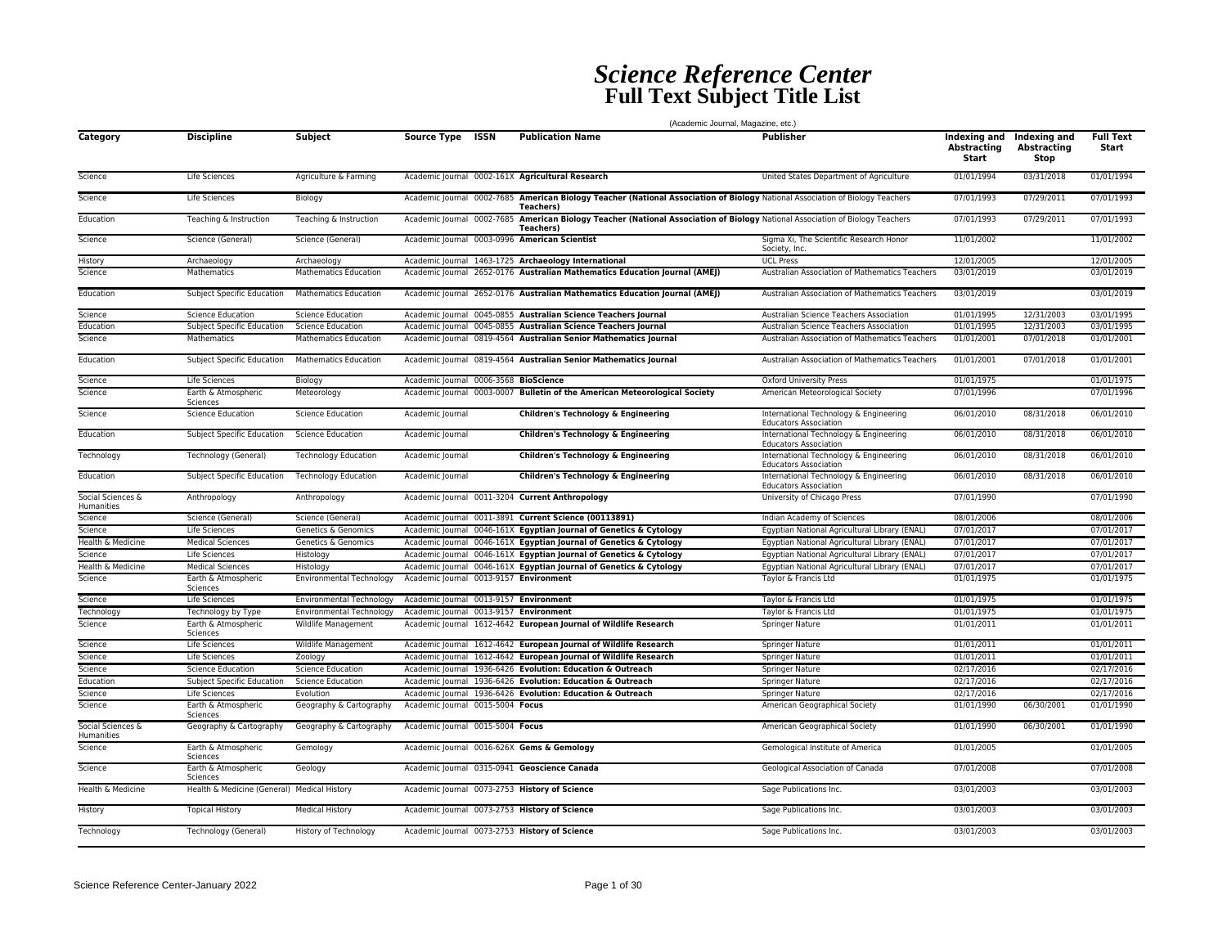## *Science Reference Center* **Full Text Subject Title List**

|                                 | (Academic Journal, Magazine, etc.)          |                              |                                        |  |                                                                                                                                                    |                                                                        |                                             |                                     |                           |  |  |  |
|---------------------------------|---------------------------------------------|------------------------------|----------------------------------------|--|----------------------------------------------------------------------------------------------------------------------------------------------------|------------------------------------------------------------------------|---------------------------------------------|-------------------------------------|---------------------------|--|--|--|
| Category                        | <b>Discipline</b>                           | <b>Subject</b>               | Source Type ISSN                       |  | <b>Publication Name</b>                                                                                                                            | <b>Publisher</b>                                                       | Indexing and<br><b>Abstracting</b><br>Start | Indexing and<br>Abstracting<br>Stop | <b>Full Text</b><br>Start |  |  |  |
| Science                         | Life Sciences                               | Agriculture & Farming        |                                        |  | Academic Journal 0002-161X Agricultural Research                                                                                                   | United States Department of Agriculture                                | 01/01/1994                                  | 03/31/2018                          | 01/01/1994                |  |  |  |
| Science                         | Life Sciences                               | Biology                      |                                        |  | Academic Journal 0002-7685 American Biology Teacher (National Association of Biology National Association of Biology Teachers<br>Teachers)         |                                                                        | 07/01/1993                                  | 07/29/2011                          | 07/01/1993                |  |  |  |
| Education                       | Teaching & Instruction                      | Teaching & Instruction       |                                        |  | Academic Journal 0002-7685 American Biology Teacher (National Association of Biology National Association of Biology Teachers<br><b>Teachers</b> ) |                                                                        | 07/01/1993                                  | 07/29/2011                          | 07/01/1993                |  |  |  |
| Science                         | Science (General)                           | Science (General)            |                                        |  | Academic Journal 0003-0996 American Scientist                                                                                                      | Sigma Xi, The Scientific Research Honor<br>Society, Inc.               | 11/01/2002                                  |                                     | 11/01/2002                |  |  |  |
| History                         | Archaeology                                 | Archaeology                  |                                        |  | Academic Journal 1463-1725 Archaeology International                                                                                               | <b>UCL Press</b>                                                       | 12/01/2005                                  |                                     | 12/01/2005                |  |  |  |
| Science                         | Mathematics                                 | <b>Mathematics Education</b> |                                        |  | Academic Journal 2652-0176 Australian Mathematics Education Journal (AMEJ)                                                                         | Australian Association of Mathematics Teachers                         | 03/01/2019                                  |                                     | 03/01/2019                |  |  |  |
| Education                       | Subject Specific Education                  | <b>Mathematics Education</b> |                                        |  | Academic Journal 2652-0176 Australian Mathematics Education Journal (AMEJ)                                                                         | Australian Association of Mathematics Teachers                         | 03/01/2019                                  |                                     | 03/01/2019                |  |  |  |
| Science                         | <b>Science Education</b>                    | <b>Science Education</b>     |                                        |  | Academic Journal 0045-0855 Australian Science Teachers Journal                                                                                     | Australian Science Teachers Association                                | 01/01/1995                                  | 12/31/2003                          | 03/01/1995                |  |  |  |
| Education                       | Subject Specific Education                  | <b>Science Education</b>     |                                        |  | Academic Journal 0045-0855 Australian Science Teachers Journal                                                                                     | Australian Science Teachers Association                                | 01/01/1995                                  | 12/31/2003                          | 03/01/1995                |  |  |  |
| Science                         | Mathematics                                 | <b>Mathematics Education</b> |                                        |  | Academic Journal 0819-4564 Australian Senior Mathematics Journal                                                                                   | Australian Association of Mathematics Teachers                         | 01/01/2001                                  | 07/01/2018                          | 01/01/2001                |  |  |  |
| Education                       | Subject Specific Education                  | <b>Mathematics Education</b> |                                        |  | Academic Journal 0819-4564 Australian Senior Mathematics Journal                                                                                   | Australian Association of Mathematics Teachers                         | 01/01/2001                                  | 07/01/2018                          | 01/01/2001                |  |  |  |
| Science                         | Life Sciences                               | Biology                      | Academic Journal 0006-3568 BioScience  |  |                                                                                                                                                    | Oxford University Press                                                | 01/01/1975                                  |                                     | 01/01/1975                |  |  |  |
| Science                         | Earth & Atmospheric<br>Sciences             | Meteorology                  |                                        |  | Academic Journal 0003-0007 Bulletin of the American Meteorological Society                                                                         | American Meteorological Society                                        | 07/01/1996                                  |                                     | 07/01/1996                |  |  |  |
| Science                         | <b>Science Education</b>                    | <b>Science Education</b>     | Academic Journal                       |  | <b>Children's Technology &amp; Engineering</b>                                                                                                     | International Technology & Engineering<br><b>Educators Association</b> | 06/01/2010                                  | 08/31/2018                          | 06/01/2010                |  |  |  |
| Education                       | <b>Subject Specific Education</b>           | <b>Science Education</b>     | Academic Journal                       |  | <b>Children's Technology &amp; Engineering</b>                                                                                                     | International Technology & Engineering<br><b>Educators Association</b> | 06/01/2010                                  | 08/31/2018                          | 06/01/2010                |  |  |  |
| Technology                      | Technology (General)                        | <b>Technology Education</b>  | Academic Journal                       |  | <b>Children's Technology &amp; Engineering</b>                                                                                                     | International Technology & Engineering<br><b>Educators Association</b> | 06/01/2010                                  | 08/31/2018                          | 06/01/2010                |  |  |  |
| Education                       | Subject Specific Education                  | <b>Technology Education</b>  | Academic Iournal                       |  | Children's Technology & Engineering                                                                                                                | International Technology & Engineering<br><b>Educators Association</b> | 06/01/2010                                  | 08/31/2018                          | 06/01/2010                |  |  |  |
| Social Sciences &<br>Humanities | Anthropology                                | Anthropology                 |                                        |  | Academic Journal 0011-3204 Current Anthropology                                                                                                    | University of Chicago Press                                            | 07/01/1990                                  |                                     | 07/01/1990                |  |  |  |
| Science                         | Science (General)                           | Science (General)            |                                        |  | Academic Journal 0011-3891 Current Science (00113891)                                                                                              | Indian Academy of Sciences                                             | 08/01/2006                                  |                                     | 08/01/2006                |  |  |  |
| Science                         | Life Sciences                               | Genetics & Genomics          |                                        |  | Academic Journal 0046-161X Egyptian Journal of Genetics & Cytology                                                                                 | Egyptian National Agricultural Library (ENAL)                          | 07/01/2017                                  |                                     | 07/01/2017                |  |  |  |
| Health & Medicine               | <b>Medical Sciences</b>                     | Genetics & Genomics          |                                        |  | Academic Journal 0046-161X Egyptian Journal of Genetics & Cytology                                                                                 | Eqyptian National Agricultural Library (ENAL)                          | 07/01/2017                                  |                                     | 07/01/2017                |  |  |  |
| Science                         | Life Sciences                               | Histology                    |                                        |  | Academic Journal 0046-161X Egyptian Journal of Genetics & Cytology                                                                                 | Eqyptian National Agricultural Library (ENAL)                          | 07/01/2017                                  |                                     | 07/01/2017                |  |  |  |
| Health & Medicine               | <b>Medical Sciences</b>                     | Histology                    |                                        |  | Academic Journal 0046-161X Egyptian Journal of Genetics & Cytology                                                                                 | Egyptian National Agricultural Library (ENAL)                          | 07/01/2017                                  |                                     | 07/01/2017                |  |  |  |
| Science                         | Earth & Atmospheric<br>Sciences             | Environmental Technology     | Academic Journal 0013-9157 Environment |  |                                                                                                                                                    | Taylor & Francis Ltd                                                   | 01/01/1975                                  |                                     | 01/01/1975                |  |  |  |
| Science                         | Life Sciences                               | Environmental Technology     | Academic Journal 0013-9157 Environment |  |                                                                                                                                                    | Taylor & Francis Ltd                                                   | 01/01/1975                                  |                                     | 01/01/1975                |  |  |  |
| Technology                      | Technology by Type                          | Environmental Technology     | Academic Journal 0013-9157 Environment |  |                                                                                                                                                    | Taylor & Francis Ltd                                                   | 01/01/1975                                  |                                     | 01/01/1975                |  |  |  |
| Science                         | Earth & Atmospheric<br>Sciences             | Wildlife Management          |                                        |  | Academic Journal 1612-4642 European Journal of Wildlife Research                                                                                   | Springer Nature                                                        | 01/01/2011                                  |                                     | 01/01/2011                |  |  |  |
| Science                         | Life Sciences                               | Wildlife Management          |                                        |  | Academic Journal 1612-4642 European Journal of Wildlife Research                                                                                   | Springer Nature                                                        | 01/01/2011                                  |                                     | 01/01/2011                |  |  |  |
| Science                         | Life Sciences                               | Zoology                      |                                        |  | Academic Journal 1612-4642 European Journal of Wildlife Research                                                                                   | <b>Springer Nature</b>                                                 | 01/01/2011                                  |                                     | 01/01/2011                |  |  |  |
| Science                         | <b>Science Education</b>                    | <b>Science Education</b>     |                                        |  | Academic lournal 1936-6426 Evolution: Education & Outreach                                                                                         | <b>Springer Nature</b>                                                 | 02/17/2016                                  |                                     | 02/17/2016                |  |  |  |
| Education                       | <b>Subject Specific Education</b>           | <b>Science Education</b>     |                                        |  | Academic Journal 1936-6426 Evolution: Education & Outreach                                                                                         | Springer Nature                                                        | 02/17/2016                                  |                                     | 02/17/2016                |  |  |  |
| Science                         | Life Sciences                               | Evolution                    |                                        |  | Academic Journal 1936-6426 Evolution: Education & Outreach                                                                                         | Springer Nature                                                        | 02/17/2016                                  |                                     | 02/17/2016                |  |  |  |
| Science                         | Earth & Atmospheric<br>Sciences             | Geography & Cartography      | Academic Journal 0015-5004 Focus       |  |                                                                                                                                                    | American Geographical Society                                          | 01/01/1990                                  | 06/30/2001                          | 01/01/1990                |  |  |  |
| Social Sciences &<br>Humanities | Geography & Cartography                     | Geography & Cartography      | Academic Journal 0015-5004 Focus       |  |                                                                                                                                                    | American Geographical Society                                          | 01/01/1990                                  | 06/30/2001                          | 01/01/1990                |  |  |  |
| Science                         | Earth & Atmospheric<br>Sciences             | Gemology                     |                                        |  | Academic Journal 0016-626X Gems & Gemology                                                                                                         | Gemological Institute of America                                       | 01/01/2005                                  |                                     | 01/01/2005                |  |  |  |
| Science                         | Earth & Atmospheric<br>Sciences             | Geology                      |                                        |  | Academic Journal 0315-0941 Geoscience Canada                                                                                                       | Geological Association of Canada                                       | 07/01/2008                                  |                                     | 07/01/2008                |  |  |  |
| Health & Medicine               | Health & Medicine (General) Medical History |                              |                                        |  | Academic Journal 0073-2753 History of Science                                                                                                      | Sage Publications Inc.                                                 | 03/01/2003                                  |                                     | 03/01/2003                |  |  |  |
| History                         | <b>Topical History</b>                      | <b>Medical History</b>       |                                        |  | Academic Journal 0073-2753 History of Science                                                                                                      | Sage Publications Inc.                                                 | 03/01/2003                                  |                                     | 03/01/2003                |  |  |  |
| Technology                      | Technology (General)                        | <b>History of Technology</b> |                                        |  | Academic Journal 0073-2753 History of Science                                                                                                      | Sage Publications Inc.                                                 | 03/01/2003                                  |                                     | 03/01/2003                |  |  |  |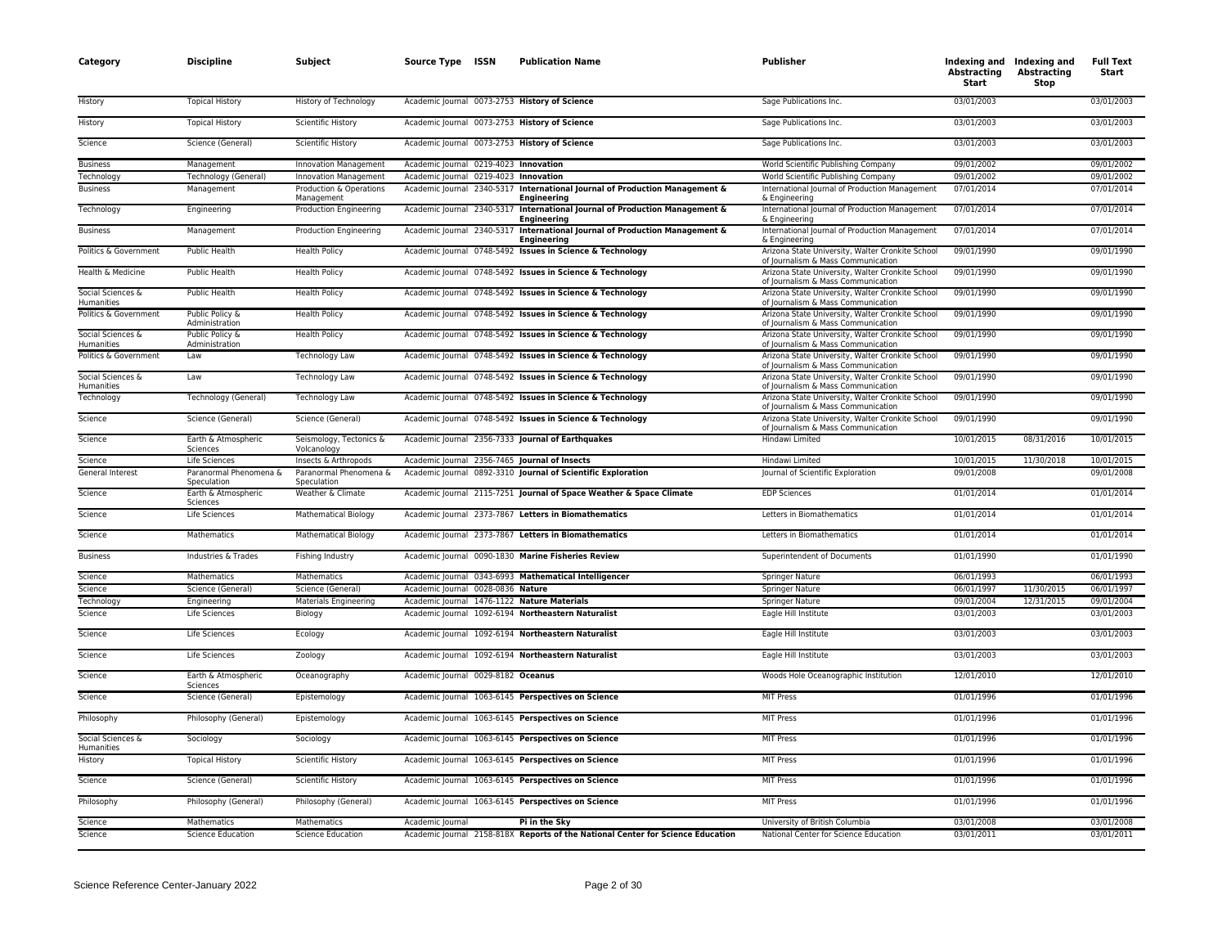| Category                               | <b>Discipline</b>                     | Subject                                | Source Type ISSN                      | <b>Publication Name</b>                                                         | Publisher                                                                              | <b>Abstracting</b><br>Start | Indexing and Indexing and<br><b>Abstracting</b><br>Stop | <b>Full Text</b><br>Start |
|----------------------------------------|---------------------------------------|----------------------------------------|---------------------------------------|---------------------------------------------------------------------------------|----------------------------------------------------------------------------------------|-----------------------------|---------------------------------------------------------|---------------------------|
| History                                | <b>Topical History</b>                | History of Technology                  |                                       | Academic Journal 0073-2753 History of Science                                   | Sage Publications Inc.                                                                 | 03/01/2003                  |                                                         | 03/01/2003                |
| History                                | <b>Topical History</b>                | <b>Scientific History</b>              |                                       | Academic Journal 0073-2753 History of Science                                   | Sage Publications Inc.                                                                 | 03/01/2003                  |                                                         | 03/01/2003                |
| Science                                | Science (General)                     | Scientific History                     |                                       | Academic lournal 0073-2753 History of Science                                   | Sage Publications Inc.                                                                 | 03/01/2003                  |                                                         | 03/01/2003                |
| <b>Business</b>                        | Management                            | <b>Innovation Management</b>           | Academic Journal 0219-4023 Innovation |                                                                                 | World Scientific Publishing Company                                                    | 09/01/2002                  |                                                         | 09/01/2002                |
| Technology                             | Technology (General)                  | <b>Innovation Management</b>           | Academic Journal 0219-4023 Innovation |                                                                                 | World Scientific Publishing Company                                                    | 09/01/2002                  |                                                         | 09/01/2002                |
| <b>Business</b>                        | Management                            | Production & Operations<br>Management  | Academic Journal 2340-5317            | International Journal of Production Management &<br><b>Engineering</b>          | International Journal of Production Management<br>& Engineering                        | 07/01/2014                  |                                                         | 07/01/2014                |
| Technology                             | Engineering                           | <b>Production Engineering</b>          | Academic Journal 2340-5317            | International Journal of Production Management &<br><b>Engineering</b>          | International Journal of Production Management<br>& Engineering                        | 07/01/2014                  |                                                         | 07/01/2014                |
| <b>Business</b>                        | Management                            | <b>Production Engineering</b>          | Academic Journal 2340-5317            | International Journal of Production Management &<br><b>Engineering</b>          | International Journal of Production Management<br>& Engineering                        | 07/01/2014                  |                                                         | 07/01/2014                |
| Politics & Government                  | Public Health                         | <b>Health Policy</b>                   |                                       | Academic Journal 0748-5492 Issues in Science & Technology                       | Arizona State University, Walter Cronkite School<br>of Journalism & Mass Communication | 09/01/1990                  |                                                         | 09/01/1990                |
| Health & Medicine                      | Public Health                         | <b>Health Policy</b>                   |                                       | Academic Journal 0748-5492 Issues in Science & Technology                       | Arizona State University, Walter Cronkite School<br>of Journalism & Mass Communication | 09/01/1990                  |                                                         | 09/01/1990                |
| Social Sciences &<br><b>Humanities</b> | Public Health                         | <b>Health Policy</b>                   |                                       | Academic Journal 0748-5492 Issues in Science & Technology                       | Arizona State University, Walter Cronkite School<br>of Journalism & Mass Communication | 09/01/1990                  |                                                         | 09/01/1990                |
| Politics & Government                  | Public Policy &<br>Administration     | <b>Health Policy</b>                   |                                       | Academic Journal 0748-5492 Issues in Science & Technology                       | Arizona State University, Walter Cronkite School<br>of Journalism & Mass Communication | 09/01/1990                  |                                                         | 09/01/1990                |
| Social Sciences &<br>Humanities        | Public Policy &<br>Administration     | <b>Health Policy</b>                   |                                       | Academic Journal 0748-5492 Issues in Science & Technology                       | Arizona State University, Walter Cronkite School<br>of Journalism & Mass Communication | 09/01/1990                  |                                                         | 09/01/1990                |
| Politics & Government                  | Law                                   | Technology Law                         |                                       | Academic Journal 0748-5492 Issues in Science & Technology                       | Arizona State University, Walter Cronkite School<br>of Journalism & Mass Communication | 09/01/1990                  |                                                         | 09/01/1990                |
| Social Sciences &<br>Humanities        | Law                                   | <b>Technology Law</b>                  |                                       | Academic Journal 0748-5492 Issues in Science & Technology                       | Arizona State University, Walter Cronkite School<br>of Journalism & Mass Communication | 09/01/1990                  |                                                         | 09/01/1990                |
| Technology                             | Technology (General)                  | Technology Law                         |                                       | Academic Journal 0748-5492 Issues in Science & Technology                       | Arizona State University, Walter Cronkite School<br>of Journalism & Mass Communication | 09/01/1990                  |                                                         | 09/01/1990                |
| Science                                | Science (General)                     | Science (General)                      |                                       | Academic Journal 0748-5492 Issues in Science & Technology                       | Arizona State University, Walter Cronkite School<br>of Journalism & Mass Communication | 09/01/1990                  |                                                         | 09/01/1990                |
| Science                                | Earth & Atmospheric<br>Sciences       | Seismology, Tectonics &<br>Volcanology |                                       | Academic Journal 2356-7333 Journal of Earthquakes                               | Hindawi Limited                                                                        | 10/01/2015                  | 08/31/2016                                              | 10/01/2015                |
| Science                                | Life Sciences                         | Insects & Arthropods                   |                                       | Academic Journal 2356-7465 Journal of Insects                                   | Hindawi Limited                                                                        | 10/01/2015                  | 11/30/2018                                              | 10/01/2015                |
| General Interest                       | Paranormal Phenomena &<br>Speculation | Paranormal Phenomena &<br>Speculation  |                                       | Academic Journal 0892-3310 Journal of Scientific Exploration                    | Journal of Scientific Exploration                                                      | 09/01/2008                  |                                                         | 09/01/2008                |
| Science                                | Earth & Atmospheric<br>Sciences       | Weather & Climate                      |                                       | Academic Journal 2115-7251 Journal of Space Weather & Space Climate             | <b>EDP Sciences</b>                                                                    | 01/01/2014                  |                                                         | 01/01/2014                |
| Science                                | Life Sciences                         | <b>Mathematical Biology</b>            |                                       | Academic Journal 2373-7867 Letters in Biomathematics                            | Letters in Biomathematics                                                              | 01/01/2014                  |                                                         | 01/01/2014                |
| Science                                | Mathematics                           | <b>Mathematical Biology</b>            |                                       | Academic Journal 2373-7867 Letters in Biomathematics                            | Letters in Biomathematics                                                              | 01/01/2014                  |                                                         | 01/01/2014                |
| <b>Business</b>                        | Industries & Trades                   | Fishing Industry                       |                                       | Academic Journal 0090-1830 Marine Fisheries Review                              | Superintendent of Documents                                                            | 01/01/1990                  |                                                         | 01/01/1990                |
| Science                                | Mathematics                           | Mathematics                            |                                       | Academic Journal 0343-6993 Mathematical Intelligencer                           | Springer Nature                                                                        | 06/01/1993                  |                                                         | 06/01/1993                |
| Science                                | Science (General)                     | Science (General)                      | Academic Journal 0028-0836 Nature     |                                                                                 | Springer Nature                                                                        | 06/01/1997                  | 11/30/2015                                              | 06/01/1997                |
| Technolog <sup>®</sup>                 | Engineering                           | <b>Materials Engineering</b>           |                                       | Academic Journal 1476-1122 Nature Materials                                     | <b>Springer Nature</b>                                                                 | 09/01/2004                  | 12/31/2015                                              | 09/01/2004                |
| Science                                | Life Sciences                         | Biology                                |                                       | Academic Journal 1092-6194 Northeastern Naturalist                              | Eagle Hill Institute                                                                   | 03/01/2003                  |                                                         | 03/01/2003                |
| Science                                | Life Sciences                         | Ecology                                |                                       | Academic Journal 1092-6194 Northeastern Naturalist                              | Eagle Hill Institute                                                                   | 03/01/2003                  |                                                         | 03/01/2003                |
| Science                                | Life Sciences                         | Zoology                                |                                       | Academic Journal 1092-6194 Northeastern Naturalist                              | Eagle Hill Institute                                                                   | 03/01/2003                  |                                                         | 03/01/2003                |
| Science                                | Earth & Atmospheric<br>Sciences       | Oceanography                           | Academic Journal 0029-8182 Oceanus    |                                                                                 | Woods Hole Oceanographic Institution                                                   | 12/01/2010                  |                                                         | 12/01/2010                |
| Science                                | Science (General)                     | Epistemology                           |                                       | Academic Journal 1063-6145 Perspectives on Science                              | <b>MIT Press</b>                                                                       | 01/01/1996                  |                                                         | 01/01/1996                |
| Philosophy                             | Philosophy (General)                  | Epistemology                           |                                       | Academic Journal 1063-6145 Perspectives on Science                              | MIT Press                                                                              | 01/01/1996                  |                                                         | 01/01/1996                |
| Social Sciences &<br>Humanities        | Sociology                             | Sociology                              |                                       | Academic Journal 1063-6145 Perspectives on Science                              | <b>MIT Press</b>                                                                       | 01/01/1996                  |                                                         | 01/01/1996                |
| History                                | <b>Topical History</b>                | Scientific History                     |                                       | Academic Journal 1063-6145 Perspectives on Science                              | <b>MIT Press</b>                                                                       | 01/01/1996                  |                                                         | 01/01/1996                |
| Science                                | Science (General)                     | <b>Scientific History</b>              |                                       | Academic Journal 1063-6145 Perspectives on Science                              | <b>MIT Press</b>                                                                       | 01/01/1996                  |                                                         | 01/01/1996                |
| Philosophy                             | Philosophy (General)                  | Philosophy (General)                   |                                       | Academic Journal 1063-6145 Perspectives on Science                              | <b>MIT Press</b>                                                                       | 01/01/1996                  |                                                         | 01/01/1996                |
| Science                                | Mathematics                           | Mathematics                            | Academic Journal                      | Pi in the Sky                                                                   | University of British Columbia                                                         | 03/01/2008                  |                                                         | 03/01/2008                |
| Science                                | <b>Science Education</b>              | <b>Science Education</b>               |                                       | Academic Journal 2158-818X Reports of the National Center for Science Education | National Center for Science Education                                                  | 03/01/2011                  |                                                         | 03/01/2011                |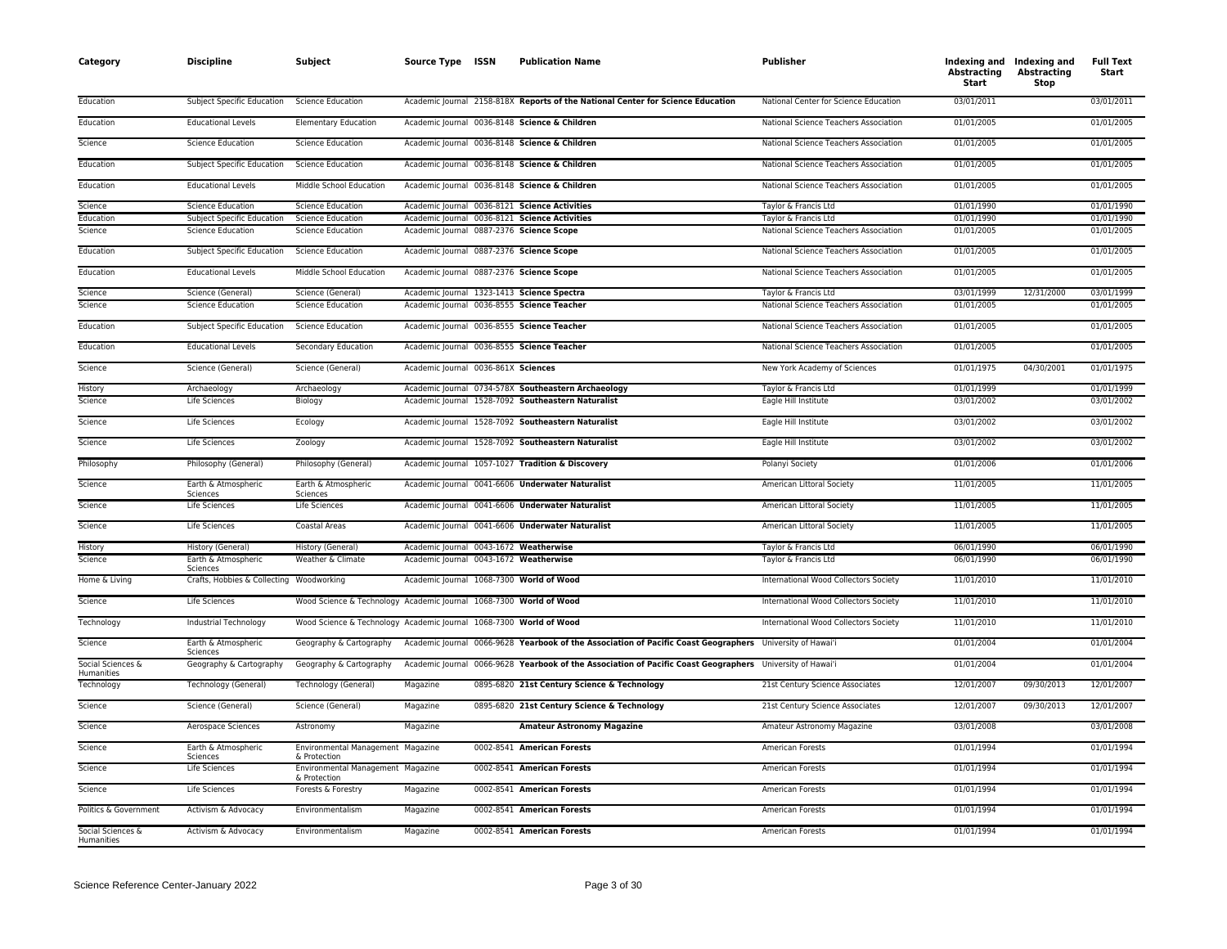| Category                        | <b>Discipline</b>                                    | Subject                                                            | Source Type ISSN                         | <b>Publication Name</b>                                                                                   | <b>Publisher</b>                      | Abstracting<br>Start | Indexing and Indexing and<br>Abstracting<br>Stop | <b>Full Text</b><br>Start |
|---------------------------------|------------------------------------------------------|--------------------------------------------------------------------|------------------------------------------|-----------------------------------------------------------------------------------------------------------|---------------------------------------|----------------------|--------------------------------------------------|---------------------------|
| Education                       | Subject Specific Education                           | <b>Science Education</b>                                           |                                          | Academic Journal 2158-818X Reports of the National Center for Science Education                           | National Center for Science Education | 03/01/2011           |                                                  | 03/01/2011                |
| Education                       | <b>Educational Levels</b>                            | <b>Elementary Education</b>                                        |                                          | Academic Journal 0036-8148 Science & Children                                                             | National Science Teachers Association | 01/01/2005           |                                                  | 01/01/2005                |
| Science                         | <b>Science Education</b>                             | <b>Science Education</b>                                           |                                          | Academic Journal 0036-8148 Science & Children                                                             | National Science Teachers Association | 01/01/2005           |                                                  | 01/01/2005                |
| Education                       | <b>Subject Specific Education</b>                    | <b>Science Education</b>                                           |                                          | Academic Journal 0036-8148 Science & Children                                                             | National Science Teachers Association | 01/01/2005           |                                                  | 01/01/2005                |
| Education                       | <b>Educational Levels</b>                            | Middle School Education                                            |                                          | Academic Journal 0036-8148 Science & Children                                                             | National Science Teachers Association | 01/01/2005           |                                                  | 01/01/2005                |
| Science                         | <b>Science Education</b>                             | <b>Science Education</b>                                           |                                          | Academic Journal 0036-8121 Science Activities                                                             | Taylor & Francis Ltd                  | 01/01/1990           |                                                  | 01/01/1990                |
| Education                       | Subject Specific Education                           | <b>Science Education</b>                                           |                                          | Academic Journal 0036-8121 Science Activities                                                             | Taylor & Francis Ltd                  | 01/01/1990           |                                                  | 01/01/1990                |
| Science                         | <b>Science Education</b>                             | <b>Science Education</b>                                           | Academic Journal 0887-2376 Science Scope |                                                                                                           | National Science Teachers Association | 01/01/2005           |                                                  | 01/01/2005                |
| Education                       | Subject Specific Education                           | <b>Science Education</b>                                           | Academic Journal 0887-2376 Science Scope |                                                                                                           | National Science Teachers Association | 01/01/2005           |                                                  | 01/01/2005                |
| Education                       | <b>Educational Levels</b>                            | Middle School Education                                            | Academic Journal 0887-2376 Science Scope |                                                                                                           | National Science Teachers Association | 01/01/2005           |                                                  | 01/01/2005                |
| Science                         | Science (General)                                    | Science (General)                                                  |                                          | Academic Journal 1323-1413 Science Spectra                                                                | Taylor & Francis Ltd                  | 03/01/1999           | 12/31/2000                                       | 03/01/1999                |
| Science                         | <b>Science Education</b>                             | <b>Science Education</b>                                           |                                          | Academic Journal 0036-8555 Science Teacher                                                                | National Science Teachers Association | 01/01/2005           |                                                  | 01/01/2005                |
| Education                       | Subject Specific Education                           | <b>Science Education</b>                                           |                                          | Academic Journal 0036-8555 Science Teacher                                                                | National Science Teachers Association | 01/01/2005           |                                                  | 01/01/2005                |
| Education                       | <b>Educational Levels</b>                            | Secondary Education                                                |                                          | Academic Journal 0036-8555 Science Teacher                                                                | National Science Teachers Association | 01/01/2005           |                                                  | 01/01/2005                |
| Science                         | Science (General)                                    | Science (General)                                                  | Academic Journal 0036-861X Sciences      |                                                                                                           | New York Academy of Sciences          | 01/01/1975           | 04/30/2001                                       | 01/01/1975                |
| History                         | Archaeology                                          | Archaeology                                                        |                                          | Academic Journal 0734-578X Southeastern Archaeology                                                       | Taylor & Francis Ltd                  | 01/01/1999           |                                                  | 01/01/1999                |
| Science                         | Life Sciences                                        | Biology                                                            |                                          | Academic Journal 1528-7092 Southeastern Naturalist                                                        | Eagle Hill Institute                  | 03/01/2002           |                                                  | 03/01/2002                |
| Science                         | Life Sciences                                        | Ecology                                                            |                                          | Academic Journal 1528-7092 Southeastern Naturalist                                                        | Eagle Hill Institute                  | 03/01/2002           |                                                  | 03/01/2002                |
| Science                         | Life Sciences                                        | Zoology                                                            |                                          | Academic Journal 1528-7092 Southeastern Naturalist                                                        | Eagle Hill Institute                  | 03/01/2002           |                                                  | 03/01/2002                |
| Philosophy                      | Philosophy (General)                                 | Philosophy (General)                                               |                                          | Academic Journal 1057-1027 Tradition & Discovery                                                          | Polanyi Society                       | 01/01/2006           |                                                  | 01/01/2006                |
| Science                         | Earth & Atmospheric                                  | Earth & Atmospheric                                                |                                          | Academic Journal 0041-6606 Underwater Naturalist                                                          | American Littoral Society             | 11/01/2005           |                                                  | 11/01/2005                |
| Science                         | Sciences<br>Life Sciences                            | Sciences<br>Life Sciences                                          |                                          | Academic Journal 0041-6606 Underwater Naturalist                                                          | American Littoral Society             | 11/01/2005           |                                                  | 11/01/2005                |
| Science                         | Life Sciences                                        | Coastal Areas                                                      |                                          | Academic Journal 0041-6606 Underwater Naturalist                                                          | American Littoral Society             | 11/01/2005           |                                                  | 11/01/2005                |
| History                         | History (General)                                    | History (General)                                                  | Academic Journal 0043-1672 Weatherwise   |                                                                                                           | Taylor & Francis Ltd                  | 06/01/1990           |                                                  | 06/01/1990                |
| Science                         | Earth & Atmospheric                                  | Weather & Climate                                                  | Academic Journal 0043-1672 Weatherwise   |                                                                                                           | Taylor & Francis Ltd                  | 06/01/1990           |                                                  | 06/01/1990                |
| Home & Living                   | Sciences<br>Crafts, Hobbies & Collecting Woodworking |                                                                    | Academic Journal 1068-7300 World of Wood |                                                                                                           | International Wood Collectors Society | 11/01/2010           |                                                  | 11/01/2010                |
| Science                         | Life Sciences                                        | Wood Science & Technology Academic Journal 1068-7300 World of Wood |                                          |                                                                                                           | International Wood Collectors Society | 11/01/2010           |                                                  | 11/01/2010                |
| Technology                      | Industrial Technology                                | Wood Science & Technology Academic Journal 1068-7300 World of Wood |                                          |                                                                                                           | International Wood Collectors Society | 11/01/2010           |                                                  | 11/01/2010                |
| Science                         | Earth & Atmospheric                                  | Geography & Cartography                                            |                                          | Academic Journal 0066-9628 Yearbook of the Association of Pacific Coast Geographers University of Hawai'i |                                       | 01/01/2004           |                                                  | 01/01/2004                |
| Social Sciences &               | Sciences<br>Geography & Cartography                  | Geography & Cartography                                            |                                          | Academic Journal 0066-9628 Yearbook of the Association of Pacific Coast Geographers University of Hawai'i |                                       | 01/01/2004           |                                                  | 01/01/2004                |
| Humanities<br>Technology        | Technology (General)                                 | Technology (General)                                               | Magazine                                 | 0895-6820 21st Century Science & Technology                                                               | 21st Century Science Associates       | 12/01/2007           | 09/30/2013                                       | 12/01/2007                |
| Science                         | Science (General)                                    | Science (General)                                                  | Magazine                                 | 0895-6820 21st Century Science & Technology                                                               | 21st Century Science Associates       | 12/01/2007           | 09/30/2013                                       | 12/01/2007                |
| Science                         | Aerospace Sciences                                   | Astronomy                                                          | Magazine                                 | <b>Amateur Astronomy Magazine</b>                                                                         | Amateur Astronomy Magazine            | 03/01/2008           |                                                  | 03/01/2008                |
| Science                         |                                                      | Environmental Management Magazine                                  |                                          | 0002-8541 American Forests                                                                                | American Forests                      | 01/01/1994           |                                                  | 01/01/1994                |
|                                 | Earth & Atmospheric<br>Sciences                      | & Protection                                                       |                                          |                                                                                                           |                                       |                      |                                                  |                           |
| Science                         | Life Sciences                                        | Environmental Management Magazine<br>& Protection                  |                                          | 0002-8541 American Forests                                                                                | American Forests                      | 01/01/1994           |                                                  | 01/01/1994                |
| Science                         | Life Sciences                                        | Forests & Forestry                                                 | Magazine                                 | 0002-8541 American Forests                                                                                | American Forests                      | 01/01/1994           |                                                  | 01/01/1994                |
| Politics & Government           | Activism & Advocacy                                  | Environmentalism                                                   | Magazine                                 | 0002-8541 American Forests                                                                                | American Forests                      | 01/01/1994           |                                                  | 01/01/1994                |
| Social Sciences &<br>Humanities | Activism & Advocacy                                  | Environmentalism                                                   | Magazine                                 | 0002-8541 American Forests                                                                                | American Forests                      | 01/01/1994           |                                                  | 01/01/1994                |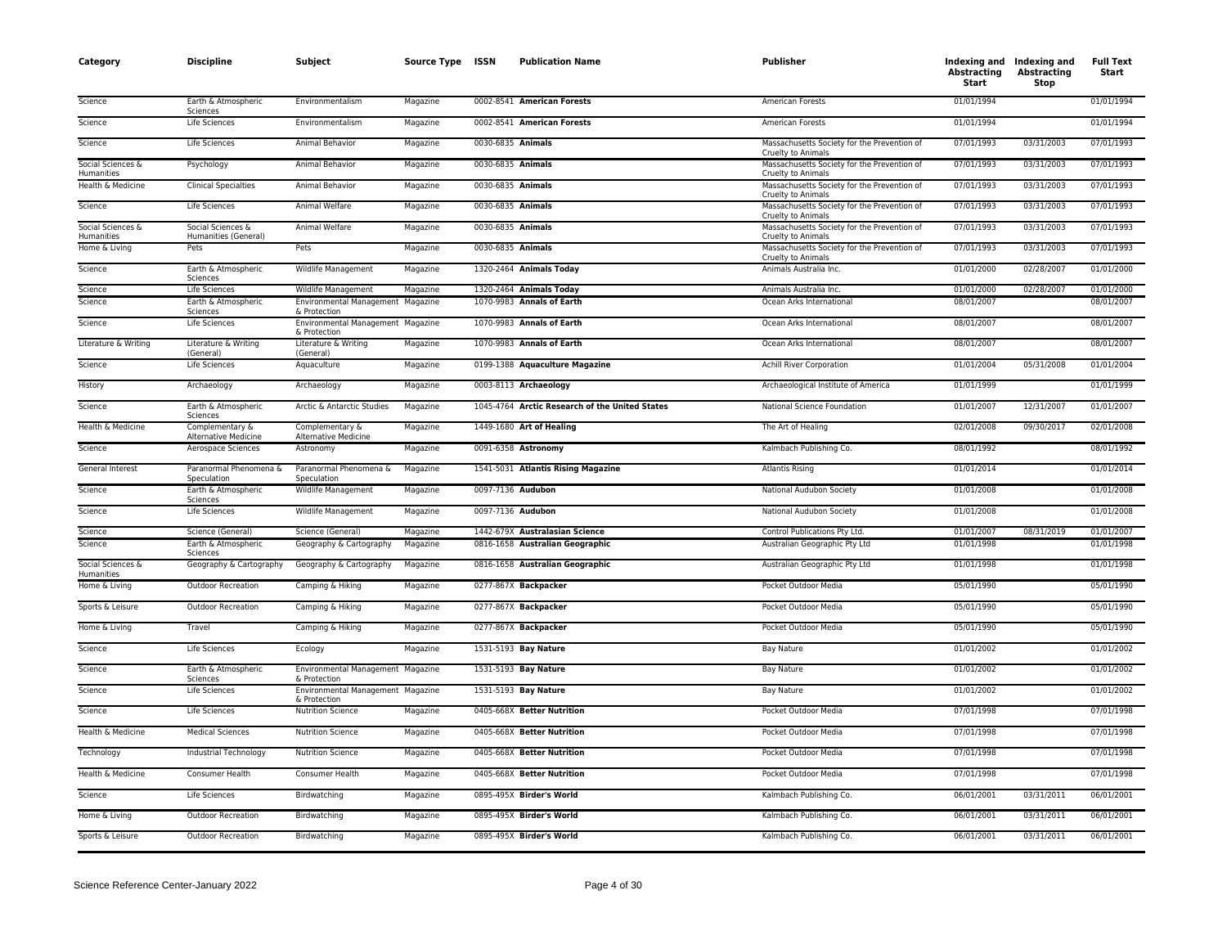| Category                               | <b>Discipline</b>                              | Subject                                           | Source Type ISSN |                   | <b>Publication Name</b>                        | <b>Publisher</b>                                                  | <b>Abstracting</b><br>Start | Indexing and Indexing and<br><b>Abstracting</b><br>Stop | <b>Full Text</b><br>Start |
|----------------------------------------|------------------------------------------------|---------------------------------------------------|------------------|-------------------|------------------------------------------------|-------------------------------------------------------------------|-----------------------------|---------------------------------------------------------|---------------------------|
| Science                                | Earth & Atmospheric<br>Sciences                | Environmentalism                                  | Magazine         |                   | 0002-8541 American Forests                     | American Forests                                                  | 01/01/1994                  |                                                         | 01/01/1994                |
| Science                                | Life Sciences                                  | Environmentalism                                  | Magazine         |                   | 0002-8541 American Forests                     | American Forests                                                  | 01/01/1994                  |                                                         | 01/01/1994                |
| Science                                | Life Sciences                                  | Animal Behavior                                   | Magazine         | 0030-6835 Animals |                                                | Massachusetts Society for the Prevention of<br>Cruelty to Animals | 07/01/1993                  | 03/31/2003                                              | 07/01/1993                |
| Social Sciences &<br><b>Humanities</b> | Psychology                                     | Animal Behavior                                   | Magazine         | 0030-6835 Animals |                                                | Massachusetts Society for the Prevention of<br>Cruelty to Animals | 07/01/1993                  | 03/31/2003                                              | 07/01/1993                |
| Health & Medicine                      | <b>Clinical Specialties</b>                    | Animal Behavior                                   | Magazine         | 0030-6835 Animals |                                                | Massachusetts Society for the Prevention of<br>Cruelty to Animals | 07/01/1993                  | 03/31/2003                                              | 07/01/1993                |
| Science                                | Life Sciences                                  | Animal Welfare                                    | Magazine         | 0030-6835 Animals |                                                | Massachusetts Society for the Prevention of<br>Cruelty to Animals | 07/01/1993                  | 03/31/2003                                              | 07/01/1993                |
| Social Sciences &<br>Humanities        | Social Sciences &<br>Humanities (General)      | Animal Welfare                                    | Magazine         | 0030-6835 Animals |                                                | Massachusetts Society for the Prevention of<br>Cruelty to Animals | 07/01/1993                  | 03/31/2003                                              | 07/01/1993                |
| Home & Living                          | Pets                                           | Pets                                              | Magazine         | 0030-6835 Animals |                                                | Massachusetts Society for the Prevention of<br>Cruelty to Animals | 07/01/1993                  | 03/31/2003                                              | 07/01/1993                |
| Science                                | Earth & Atmospheric<br>Sciences                | Wildlife Management                               | Magazine         |                   | 1320-2464 Animals Today                        | Animals Australia Inc.                                            | 01/01/2000                  | 02/28/2007                                              | 01/01/2000                |
| Science                                | Life Sciences                                  | Wildlife Management                               | Magazine         |                   | 1320-2464 Animals Today                        | Animals Australia Inc.                                            | 01/01/2000                  | 02/28/2007                                              | 01/01/2000                |
| Science                                | Earth & Atmospheric<br>Sciences                | Environmental Management Magazine<br>& Protection |                  |                   | 1070-9983 Annals of Earth                      | Ocean Arks International                                          | 08/01/2007                  |                                                         | 08/01/2007                |
| Science                                | Life Sciences                                  | Environmental Management Magazine<br>& Protection |                  |                   | 1070-9983 Annals of Earth                      | Ocean Arks International                                          | 08/01/2007                  |                                                         | 08/01/2007                |
| Literature & Writing                   | Literature & Writing<br>(General)              | Literature & Writing<br>(General)                 | Magazine         |                   | 1070-9983 Annals of Earth                      | Ocean Arks International                                          | 08/01/2007                  |                                                         | 08/01/2007                |
| Science                                | Life Sciences                                  | Aquaculture                                       | Magazine         |                   | 0199-1388 Aquaculture Magazine                 | <b>Achill River Corporation</b>                                   | 01/01/2004                  | 05/31/2008                                              | 01/01/2004                |
| History                                | Archaeology                                    | Archaeology                                       | Magazine         |                   | 0003-8113 Archaeology                          | Archaeological Institute of America                               | 01/01/1999                  |                                                         | 01/01/1999                |
| Science                                | Earth & Atmospheric<br>Sciences                | Arctic & Antarctic Studies                        | Magazine         |                   | 1045-4764 Arctic Research of the United States | National Science Foundation                                       | 01/01/2007                  | 12/31/2007                                              | 01/01/2007                |
| Health & Medicine                      | Complementary &<br><b>Alternative Medicine</b> | Complementary &<br><b>Alternative Medicine</b>    | Magazine         |                   | 1449-1680 Art of Healing                       | The Art of Healing                                                | 02/01/2008                  | 09/30/2017                                              | 02/01/2008                |
| Science                                | Aerospace Sciences                             | Astronomy                                         | Magazine         |                   | 0091-6358 Astronomy                            | Kalmbach Publishing Co.                                           | 08/01/1992                  |                                                         | 08/01/1992                |
| General Interest                       | Paranormal Phenomena &<br>Speculation          | Paranormal Phenomena &<br>Speculation             | Magazine         |                   | 1541-5031 Atlantis Rising Magazine             | <b>Atlantis Rising</b>                                            | 01/01/2014                  |                                                         | 01/01/2014                |
| Science                                | Earth & Atmospheric<br>Sciences                | Wildlife Management                               | Magazine         | 0097-7136 Audubon |                                                | National Audubon Society                                          | 01/01/2008                  |                                                         | 01/01/2008                |
| Science                                | Life Sciences                                  | Wildlife Management                               | Magazine         | 0097-7136 Audubon |                                                | National Audubon Society                                          | 01/01/2008                  |                                                         | 01/01/2008                |
| Science                                | Science (General)                              | Science (General)                                 | Magazine         |                   | 1442-679X Australasian Science                 | Control Publications Pty Ltd                                      | 01/01/2007                  | 08/31/2019                                              | 01/01/2007                |
| Science                                | Earth & Atmospheric<br>Sciences                | Geography & Cartography                           | Magazine         |                   | 0816-1658 Australian Geographic                | Australian Geographic Pty Ltd                                     | 01/01/1998                  |                                                         | 01/01/1998                |
| Social Sciences &<br>Humanities        | Geography & Cartography                        | Geography & Cartography                           | Magazine         |                   | 0816-1658 Australian Geographic                | Australian Geographic Pty Ltd                                     | 01/01/1998                  |                                                         | 01/01/1998                |
| Home & Living                          | <b>Outdoor Recreation</b>                      | Camping & Hiking                                  | Magazine         |                   | 0277-867X Backpacker                           | Pocket Outdoor Media                                              | 05/01/1990                  |                                                         | 05/01/1990                |
| Sports & Leisure                       | <b>Outdoor Recreation</b>                      | Camping & Hiking                                  | Magazine         |                   | 0277-867X Backpacker                           | Pocket Outdoor Media                                              | 05/01/1990                  |                                                         | 05/01/1990                |
| Home & Living                          | Travel                                         | Camping & Hiking                                  | Magazine         |                   | 0277-867X Backpacker                           | Pocket Outdoor Media                                              | 05/01/1990                  |                                                         | 05/01/1990                |
| Science                                | Life Sciences                                  | Ecology                                           | Magazine         |                   | 1531-5193 Bay Nature                           | Bay Nature                                                        | 01/01/2002                  |                                                         | 01/01/2002                |
| Science                                | Earth & Atmospheric<br>Sciences                | Environmental Management Magazine<br>& Protection |                  |                   | 1531-5193 Bay Nature                           | Bay Nature                                                        | 01/01/2002                  |                                                         | 01/01/2002                |
| Science                                | Life Sciences                                  | Environmental Management Magazine<br>& Protection |                  |                   | 1531-5193 Bay Nature                           | <b>Bay Nature</b>                                                 | 01/01/2002                  |                                                         | 01/01/2002                |
| Science                                | Life Sciences                                  | <b>Nutrition Science</b>                          | Magazine         |                   | 0405-668X Better Nutrition                     | Pocket Outdoor Media                                              | 07/01/1998                  |                                                         | 07/01/1998                |
| Health & Medicine                      | <b>Medical Sciences</b>                        | <b>Nutrition Science</b>                          | Magazine         |                   | 0405-668X Better Nutrition                     | Pocket Outdoor Media                                              | 07/01/1998                  |                                                         | 07/01/1998                |
| Technology                             | Industrial Technology                          | <b>Nutrition Science</b>                          | Magazine         |                   | 0405-668X Better Nutrition                     | Pocket Outdoor Media                                              | 07/01/1998                  |                                                         | 07/01/1998                |
| Health & Medicine                      | Consumer Health                                | Consumer Health                                   | Magazine         |                   | 0405-668X Better Nutrition                     | Pocket Outdoor Media                                              | 07/01/1998                  |                                                         | 07/01/1998                |
| Science                                | Life Sciences                                  | Birdwatching                                      | Magazine         |                   | 0895-495X Birder's World                       | Kalmbach Publishing Co.                                           | 06/01/2001                  | 03/31/2011                                              | 06/01/2001                |
| Home & Living                          | <b>Outdoor Recreation</b>                      | Birdwatching                                      | Magazine         |                   | 0895-495X Birder's World                       | Kalmbach Publishing Co.                                           | 06/01/2001                  | 03/31/2011                                              | 06/01/2001                |
| Sports & Leisure                       | <b>Outdoor Recreation</b>                      | Birdwatching                                      | Magazine         |                   | 0895-495X Birder's World                       | Kalmbach Publishing Co.                                           | 06/01/2001                  | 03/31/2011                                              | 06/01/2001                |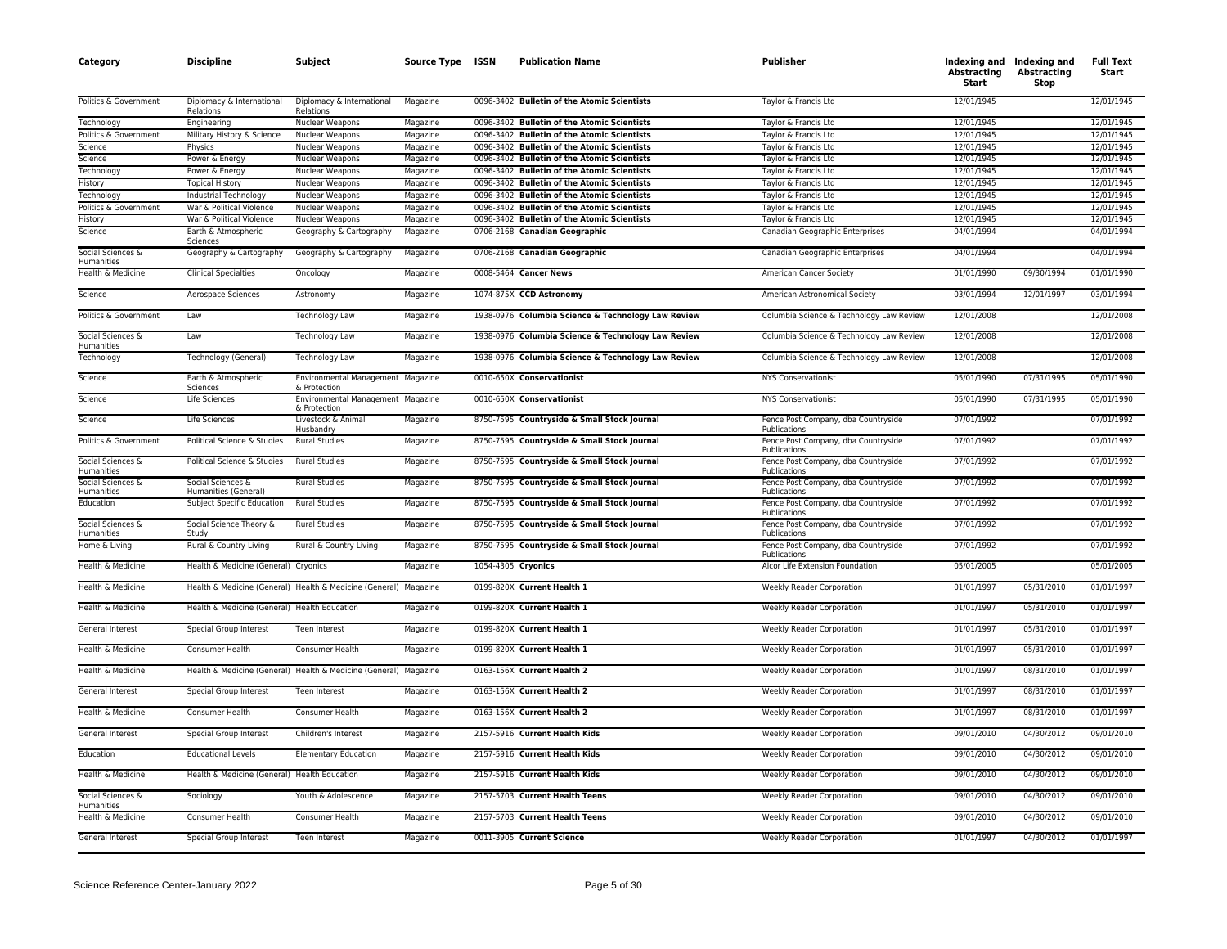| Category                        | <b>Discipline</b>                            | Subject                                                          | Source Type ISSN     | <b>Publication Name</b>                                                                    | <b>Publisher</b>                                    | Abstracting<br>Start     | Indexing and Indexing and<br>Abstracting<br>Stop | <b>Full Text</b><br>Start |
|---------------------------------|----------------------------------------------|------------------------------------------------------------------|----------------------|--------------------------------------------------------------------------------------------|-----------------------------------------------------|--------------------------|--------------------------------------------------|---------------------------|
| Politics & Government           | Diplomacy & International<br>Relations       | Diplomacy & International<br>Relations                           | Magazine             | 0096-3402 Bulletin of the Atomic Scientists                                                | Taylor & Francis Ltd                                | 12/01/1945               |                                                  | 12/01/1945                |
| Technology                      | Engineering                                  | Nuclear Weapons                                                  | Magazine             | 0096-3402 Bulletin of the Atomic Scientists                                                | Taylor & Francis Ltd                                | 12/01/1945               |                                                  | 12/01/1945                |
| Politics & Government           | Military History & Science                   | Nuclear Weapons                                                  | Magazine             | 0096-3402 Bulletin of the Atomic Scientists                                                | Taylor & Francis Ltd                                | 12/01/1945               |                                                  | 12/01/1945                |
| Science                         | Physics                                      | Nuclear Weapons                                                  | Magazine             | 0096-3402 Bulletin of the Atomic Scientists                                                | Taylor & Francis Ltd                                | 12/01/1945               |                                                  | 12/01/1945                |
| Science<br>Technology           | Power & Energy<br>Power & Energy             | Nuclear Weapons                                                  | Magazine             | 0096-3402 Bulletin of the Atomic Scientists<br>0096-3402 Bulletin of the Atomic Scientists | Taylor & Francis Ltd<br>Taylor & Francis Ltd        | 12/01/1945<br>12/01/1945 |                                                  | 12/01/1945<br>12/01/1945  |
| History                         | <b>Topical History</b>                       | <b>Nuclear Weapons</b><br>Nuclear Weapons                        | Magazine             | 0096-3402 Bulletin of the Atomic Scientists                                                | Taylor & Francis Ltd                                | 12/01/1945               |                                                  | 12/01/1945                |
| Technology                      | Industrial Technology                        | Nuclear Weapons                                                  | Magazine<br>Magazine | 0096-3402 Bulletin of the Atomic Scientists                                                | Taylor & Francis Ltd                                | 12/01/1945               |                                                  | 12/01/1945                |
| Politics & Government           | War & Political Violence                     | Nuclear Weapons                                                  | Magazine             | 0096-3402 Bulletin of the Atomic Scientists                                                | Taylor & Francis Ltd                                | 12/01/1945               |                                                  | 12/01/1945                |
| History                         | War & Political Violence                     | Nuclear Weapons                                                  | Magazine             | 0096-3402 Bulletin of the Atomic Scientists                                                | Taylor & Francis Ltd                                | 12/01/1945               |                                                  | 12/01/1945                |
| Science                         | Earth & Atmospheric<br>Sciences              | Geography & Cartography                                          | Magazine             | 0706-2168 Canadian Geographic                                                              | Canadian Geographic Enterprises                     | 04/01/1994               |                                                  | 04/01/1994                |
| Social Sciences &<br>Humanities | Geography & Cartography                      | Geography & Cartography                                          | Magazine             | 0706-2168 Canadian Geographic                                                              | Canadian Geographic Enterprises                     | 04/01/1994               |                                                  | 04/01/1994                |
| Health & Medicine               | <b>Clinical Specialties</b>                  | Oncology                                                         | Magazine             | 0008-5464 Cancer News                                                                      | American Cancer Society                             | 01/01/1990               | 09/30/1994                                       | 01/01/1990                |
| Science                         | Aerospace Sciences                           | Astronomy                                                        | Magazine             | 1074-875X CCD Astronomy                                                                    | American Astronomical Society                       | 03/01/1994               | 12/01/1997                                       | 03/01/1994                |
| Politics & Government           | Law                                          | Technology Law                                                   | Magazine             | 1938-0976 Columbia Science & Technology Law Review                                         | Columbia Science & Technology Law Review            | 12/01/2008               |                                                  | 12/01/2008                |
| Social Sciences &<br>Humanities | Law                                          | Technology Law                                                   | Magazine             | 1938-0976 Columbia Science & Technology Law Review                                         | Columbia Science & Technology Law Review            | 12/01/2008               |                                                  | 12/01/2008                |
| Technology                      | Technology (General)                         | Technology Law                                                   | Magazine             | 1938-0976 Columbia Science & Technology Law Review                                         | Columbia Science & Technology Law Review            | 12/01/2008               |                                                  | 12/01/2008                |
| Science                         | Earth & Atmospheric<br>Sciences              | Environmental Management Magazine<br>& Protection                |                      | 0010-650X Conservationist                                                                  | <b>NYS Conservationist</b>                          | 05/01/1990               | 07/31/1995                                       | 05/01/1990                |
| Science                         | <b>Life Sciences</b>                         | Environmental Management Magazine<br>& Protection                |                      | 0010-650X Conservationist                                                                  | <b>NYS Conservationist</b>                          | 05/01/1990               | 07/31/1995                                       | 05/01/1990                |
| Science                         | Life Sciences                                | Livestock & Animal<br>Husbandry                                  | Magazine             | 8750-7595 Countryside & Small Stock Journal                                                | Fence Post Company, dba Countryside<br>Publications | 07/01/1992               |                                                  | 07/01/1992                |
| Politics & Government           | Political Science & Studies                  | <b>Rural Studies</b>                                             | Magazine             | 8750-7595 Countryside & Small Stock Journal                                                | Fence Post Company, dba Countryside<br>Publications | 07/01/1992               |                                                  | 07/01/1992                |
| Social Sciences &<br>Humanities | Political Science & Studies                  | <b>Rural Studies</b>                                             | Magazine             | 8750-7595 Countryside & Small Stock Journal                                                | Fence Post Company, dba Countryside<br>Publications | 07/01/1992               |                                                  | 07/01/1992                |
| Social Sciences &<br>Humanities | Social Sciences &<br>Humanities (General)    | <b>Rural Studies</b>                                             | Magazine             | 8750-7595 Countryside & Small Stock Journal                                                | Fence Post Company, dba Countryside<br>Publications | 07/01/1992               |                                                  | 07/01/1992                |
| Education                       | Subject Specific Education                   | <b>Rural Studies</b>                                             | Magazine             | 8750-7595 Countryside & Small Stock Journal                                                | Fence Post Company, dba Countryside<br>Publications | 07/01/1992               |                                                  | 07/01/1992                |
| Social Sciences &<br>Humanities | Social Science Theory &<br>Study             | <b>Rural Studies</b>                                             | Magazine             | 8750-7595 Countryside & Small Stock Journal                                                | Fence Post Company, dba Countryside<br>Publications | 07/01/1992               |                                                  | 07/01/1992                |
| Home & Living                   | Rural & Country Living                       | Rural & Country Living                                           | Magazine             | 8750-7595 Countryside & Small Stock Journal                                                | Fence Post Company, dba Countryside<br>Publications | 07/01/1992               |                                                  | 07/01/1992                |
| Health & Medicine               | Health & Medicine (General) Cryonics         |                                                                  | Magazine             | 1054-4305 Cryonics                                                                         | Alcor Life Extension Foundation                     | 05/01/2005               |                                                  | 05/01/2005                |
| Health & Medicine               |                                              | Health & Medicine (General) Health & Medicine (General) Magazine |                      | 0199-820X Current Health 1                                                                 | Weekly Reader Corporation                           | 01/01/1997               | 05/31/2010                                       | 01/01/1997                |
| Health & Medicine               | Health & Medicine (General) Health Education |                                                                  | Magazine             | 0199-820X Current Health 1                                                                 | Weekly Reader Corporation                           | 01/01/1997               | 05/31/2010                                       | 01/01/1997                |
| General Interest                | Special Group Interest                       | Teen Interest                                                    | Magazine             | 0199-820X Current Health 1                                                                 | Weekly Reader Corporation                           | 01/01/1997               | 05/31/2010                                       | 01/01/1997                |
| Health & Medicine               | Consumer Health                              | Consumer Health                                                  | Magazine             | 0199-820X Current Health 1                                                                 | Weekly Reader Corporation                           | 01/01/1997               | 05/31/2010                                       | 01/01/1997                |
| Health & Medicine               |                                              | Health & Medicine (General) Health & Medicine (General) Magazine |                      | 0163-156X Current Health 2                                                                 | Weekly Reader Corporation                           | 01/01/1997               | 08/31/2010                                       | 01/01/1997                |
| <b>General Interest</b>         | <b>Special Group Interest</b>                | <b>Teen Interest</b>                                             | Magazine             | 0163-156X Current Health 2                                                                 | <b>Weekly Reader Corporation</b>                    | 01/01/1997               | 08/31/2010                                       | 01/01/1997                |
| Health & Medicine               | Consumer Health                              | Consumer Health                                                  | Magazine             | 0163-156X Current Health 2                                                                 | <b>Weekly Reader Corporation</b>                    | 01/01/1997               | 08/31/2010                                       | 01/01/1997                |
| <b>General Interest</b>         | Special Group Interest                       | Children's Interest                                              | Magazine             | 2157-5916 Current Health Kids                                                              | <b>Weekly Reader Corporation</b>                    | 09/01/2010               | 04/30/2012                                       | 09/01/2010                |
| Education                       | <b>Educational Levels</b>                    | <b>Elementary Education</b>                                      | Magazine             | 2157-5916 Current Health Kids                                                              | <b>Weekly Reader Corporation</b>                    | 09/01/2010               | 04/30/2012                                       | 09/01/2010                |
| Health & Medicine               | Health & Medicine (General) Health Education |                                                                  | Magazine             | 2157-5916 Current Health Kids                                                              | Weekly Reader Corporation                           | 09/01/2010               | 04/30/2012                                       | 09/01/2010                |
| Social Sciences &<br>Humanities | Sociology                                    | Youth & Adolescence                                              | Magazine             | 2157-5703 Current Health Teens                                                             | Weekly Reader Corporation                           | 09/01/2010               | 04/30/2012                                       | 09/01/2010                |
| Health & Medicine               | Consumer Health                              | Consumer Health                                                  | Magazine             | 2157-5703 Current Health Teens                                                             | Weekly Reader Corporation                           | 09/01/2010               | 04/30/2012                                       | 09/01/2010                |
| <b>General Interest</b>         | <b>Special Group Interest</b>                | Teen Interest                                                    | Magazine             | 0011-3905 Current Science                                                                  | <b>Weekly Reader Corporation</b>                    | 01/01/1997               | 04/30/2012                                       | 01/01/1997                |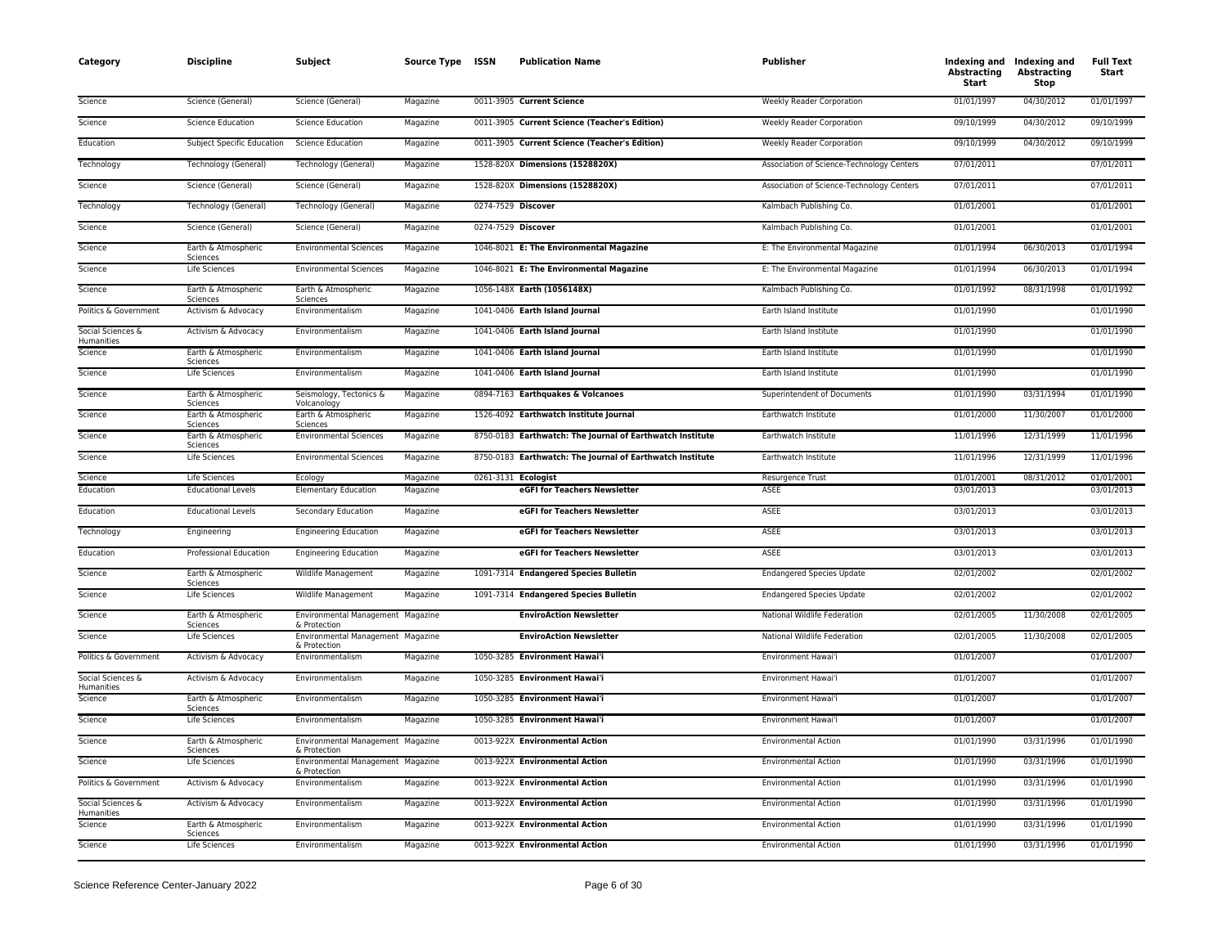| Category                        | <b>Discipline</b>               | Subject                                           | Source Type ISSN | <b>Publication Name</b>                                   | <b>Publisher</b>                          | <b>Abstracting</b><br>Start | Indexing and Indexing and<br><b>Abstracting</b><br>Stop | <b>Full Text</b><br>Start |
|---------------------------------|---------------------------------|---------------------------------------------------|------------------|-----------------------------------------------------------|-------------------------------------------|-----------------------------|---------------------------------------------------------|---------------------------|
| Science                         | Science (General)               | Science (General)                                 | Magazine         | 0011-3905 Current Science                                 | <b>Weekly Reader Corporation</b>          | 01/01/1997                  | 04/30/2012                                              | 01/01/1997                |
| Science                         | <b>Science Education</b>        | <b>Science Education</b>                          | Magazine         | 0011-3905 Current Science (Teacher's Edition)             | Weekly Reader Corporation                 | 09/10/1999                  | 04/30/2012                                              | 09/10/1999                |
| Education                       | Subject Specific Education      | <b>Science Education</b>                          | Magazine         | 0011-3905 Current Science (Teacher's Edition)             | Weekly Reader Corporation                 | 09/10/1999                  | 04/30/2012                                              | 09/10/1999                |
| Technology                      | Technology (General)            | Technology (General)                              | Magazine         | 1528-820X Dimensions (1528820X)                           | Association of Science-Technology Centers | 07/01/2011                  |                                                         | 07/01/2011                |
| Science                         | Science (General)               | Science (General)                                 | Magazine         | 1528-820X Dimensions (1528820X)                           | Association of Science-Technology Centers | 07/01/2011                  |                                                         | 07/01/2011                |
| Technology                      | <b>Technology (General)</b>     | Technology (General)                              | Magazine         | 0274-7529 Discover                                        | Kalmbach Publishing Co.                   | 01/01/2001                  |                                                         | 01/01/2001                |
| Science                         | Science (General)               | Science (General)                                 | Magazine         | 0274-7529 Discover                                        | Kalmbach Publishing Co.                   | 01/01/2001                  |                                                         | 01/01/2001                |
| Science                         | Earth & Atmospheric<br>Sciences | <b>Environmental Sciences</b>                     | Magazine         | 1046-8021 E: The Environmental Magazine                   | E: The Environmental Magazine             | 01/01/1994                  | 06/30/2013                                              | 01/01/1994                |
| Science                         | Life Sciences                   | <b>Environmental Sciences</b>                     | Magazine         | 1046-8021 E: The Environmental Magazine                   | E: The Environmental Magazine             | 01/01/1994                  | 06/30/2013                                              | 01/01/1994                |
| Science                         | Earth & Atmospheric<br>Sciences | Earth & Atmospheric<br>Sciences                   | Magazine         | 1056-148X Earth (1056148X)                                | Kalmbach Publishing Co.                   | 01/01/1992                  | 08/31/1998                                              | 01/01/1992                |
| Politics & Government           | Activism & Advocacy             | Environmentalism                                  | Magazine         | 1041-0406 Earth Island Journal                            | Earth Island Institute                    | 01/01/1990                  |                                                         | 01/01/1990                |
| Social Sciences &<br>Humanities | Activism & Advocacy             | Environmentalism                                  | Magazine         | 1041-0406 Earth Island Journal                            | Earth Island Institute                    | 01/01/1990                  |                                                         | 01/01/1990                |
| Science                         | Earth & Atmospheric<br>Sciences | Environmentalism                                  | Magazine         | 1041-0406 Earth Island Journal                            | Earth Island Institute                    | 01/01/1990                  |                                                         | 01/01/1990                |
| Science                         | Life Sciences                   | Environmentalism                                  | Magazine         | 1041-0406 Earth Island Journal                            | Earth Island Institute                    | 01/01/1990                  |                                                         | 01/01/1990                |
| Science                         | Earth & Atmospheric<br>Sciences | Seismology, Tectonics &<br>Volcanology            | Magazine         | 0894-7163 Earthquakes & Volcanoes                         | Superintendent of Documents               | 01/01/1990                  | 03/31/1994                                              | 01/01/1990                |
| Science                         | Earth & Atmospheric<br>Sciences | Earth & Atmospheric<br>Sciences                   | Magazine         | 1526-4092 Earthwatch Institute Journal                    | Earthwatch Institute                      | 01/01/2000                  | 11/30/2007                                              | 01/01/2000                |
| Science                         | Earth & Atmospheric<br>Sciences | <b>Environmental Sciences</b>                     | Magazine         | 8750-0183 Earthwatch: The Journal of Earthwatch Institute | Earthwatch Institute                      | 11/01/1996                  | 12/31/1999                                              | 11/01/1996                |
| Science                         | Life Sciences                   | <b>Environmental Sciences</b>                     | Magazine         | 8750-0183 Earthwatch: The Journal of Earthwatch Institute | Earthwatch Institute                      | 11/01/1996                  | 12/31/1999                                              | 11/01/1996                |
| Science                         | Life Sciences                   | Ecology                                           | Magazine         | 0261-3131 Ecologist                                       | <b>Resurgence Trust</b>                   | 01/01/2001                  | 08/31/2012                                              | 01/01/2001                |
| Education                       | <b>Educational Levels</b>       | <b>Elementary Education</b>                       | Magazine         | eGFI for Teachers Newsletter                              | <b>ASEE</b>                               | 03/01/2013                  |                                                         | 03/01/2013                |
| Education                       | <b>Educational Levels</b>       | Secondary Education                               | Magazine         | eGFI for Teachers Newsletter                              | <b>ASEE</b>                               | 03/01/2013                  |                                                         | 03/01/2013                |
| Technology                      | Engineering                     | <b>Engineering Education</b>                      | Magazine         | eGFI for Teachers Newsletter                              | <b>ASEE</b>                               | 03/01/2013                  |                                                         | 03/01/2013                |
| Education                       | Professional Education          | <b>Engineering Education</b>                      | Magazine         | eGFI for Teachers Newsletter                              | ASEE                                      | 03/01/2013                  |                                                         | 03/01/2013                |
| Science                         | Earth & Atmospheric<br>Sciences | Wildlife Management                               | Magazine         | 1091-7314 Endangered Species Bulletin                     | <b>Endangered Species Update</b>          | 02/01/2002                  |                                                         | 02/01/2002                |
| Science                         | Life Sciences                   | Wildlife Management                               | Magazine         | 1091-7314 Endangered Species Bulletin                     | <b>Endangered Species Update</b>          | 02/01/2002                  |                                                         | 02/01/2002                |
| Science                         | Earth & Atmospheric<br>Sciences | Environmental Management Magazine<br>& Protection |                  | <b>EnviroAction Newsletter</b>                            | National Wildlife Federation              | 02/01/2005                  | 11/30/2008                                              | 02/01/2005                |
| Science                         | Life Sciences                   | Environmental Management Magazine<br>& Protection |                  | <b>EnviroAction Newsletter</b>                            | National Wildlife Federation              | 02/01/2005                  | 11/30/2008                                              | 02/01/2005                |
| Politics & Government           | Activism & Advocacy             | Environmentalism                                  | Magazine         | 1050-3285 Environment Hawai'i                             | Environment Hawai'i                       | 01/01/2007                  |                                                         | 01/01/2007                |
| Social Sciences &<br>Humanities | Activism & Advocacy             | Environmentalism                                  | Magazine         | 1050-3285 Environment Hawai'i                             | Environment Hawai'i                       | 01/01/2007                  |                                                         | 01/01/2007                |
| Science                         | Earth & Atmospheric<br>Sciences | Environmentalism                                  | Magazine         | 1050-3285 Environment Hawai'i                             | Environment Hawai'i                       | 01/01/2007                  |                                                         | 01/01/2007                |
| Science                         | Life Sciences                   | Environmentalism                                  | Magazine         | 1050-3285 Environment Hawai'i                             | Environment Hawai'i                       | 01/01/2007                  |                                                         | 01/01/2007                |
| Science                         | Earth & Atmospheric<br>Sciences | Environmental Management Magazine<br>& Protection |                  | 0013-922X Environmental Action                            | <b>Environmental Action</b>               | 01/01/1990                  | 03/31/1996                                              | 01/01/1990                |
| Science                         | Life Sciences                   | Environmental Management Magazine<br>& Protection |                  | 0013-922X Environmental Action                            | <b>Environmental Action</b>               | 01/01/1990                  | 03/31/1996                                              | 01/01/1990                |
| Politics & Government           | Activism & Advocacy             | Environmentalism                                  | Magazine         | 0013-922X Environmental Action                            | <b>Environmental Action</b>               | 01/01/1990                  | 03/31/1996                                              | 01/01/1990                |
| Social Sciences &<br>Humanities | Activism & Advocacy             | Environmentalism                                  | Magazine         | 0013-922X Environmental Action                            | <b>Environmental Action</b>               | 01/01/1990                  | 03/31/1996                                              | 01/01/1990                |
| Science                         | Earth & Atmospheric<br>Sciences | Environmentalism                                  | Magazine         | 0013-922X Environmental Action                            | <b>Environmental Action</b>               | 01/01/1990                  | 03/31/1996                                              | 01/01/1990                |
| Science                         | Life Sciences                   | Environmentalism                                  | Magazine         | 0013-922X Environmental Action                            | <b>Environmental Action</b>               | 01/01/1990                  | 03/31/1996                                              | 01/01/1990                |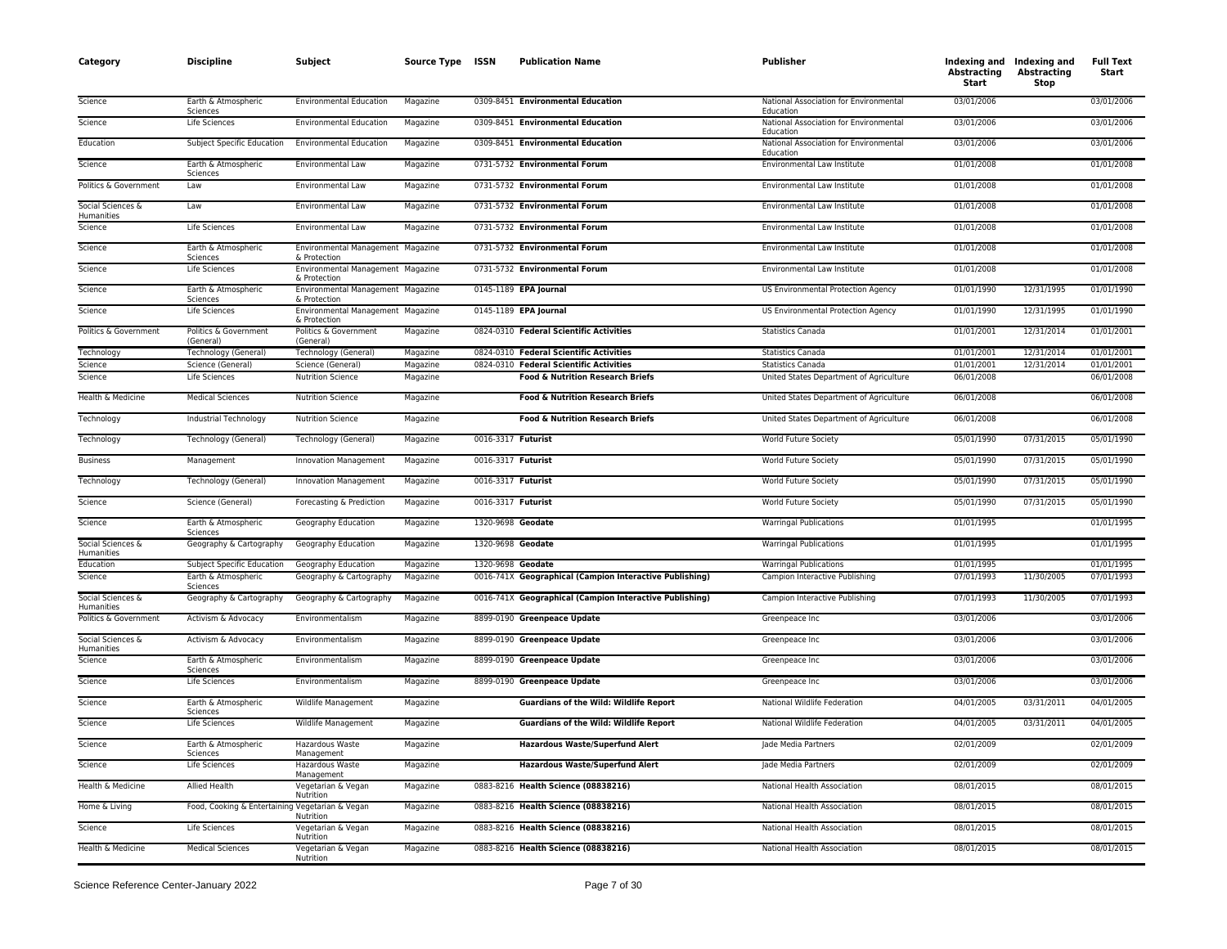| Category                        | <b>Discipline</b>                               | <b>Subject</b>                                    | Source Type ISSN |                    | <b>Publication Name</b>                                 | <b>Publisher</b>                                    | Abstracting<br>Start | Indexing and Indexing and<br>Abstracting<br>Stop | <b>Full Text</b><br>Start |
|---------------------------------|-------------------------------------------------|---------------------------------------------------|------------------|--------------------|---------------------------------------------------------|-----------------------------------------------------|----------------------|--------------------------------------------------|---------------------------|
| Science                         | Earth & Atmospheric<br>Sciences                 | <b>Environmental Education</b>                    | Magazine         |                    | 0309-8451 Environmental Education                       | National Association for Environmental<br>Education | 03/01/2006           |                                                  | 03/01/2006                |
| Science                         | Life Sciences                                   | <b>Environmental Education</b>                    | Magazine         |                    | 0309-8451 Environmental Education                       | National Association for Environmental<br>Education | 03/01/2006           |                                                  | 03/01/2006                |
| Education                       | <b>Subject Specific Education</b>               | <b>Environmental Education</b>                    | Magazine         |                    | 0309-8451 Environmental Education                       | National Association for Environmental<br>Education | 03/01/2006           |                                                  | 03/01/2006                |
| Science                         | Earth & Atmospheric<br>Sciences                 | Environmental Law                                 | Magazine         |                    | 0731-5732 Environmental Forum                           | Environmental Law Institute                         | 01/01/2008           |                                                  | 01/01/2008                |
| Politics & Government           | Law                                             | Environmental Law                                 | Magazine         |                    | 0731-5732 Environmental Forum                           | Environmental Law Institute                         | 01/01/2008           |                                                  | 01/01/2008                |
| Social Sciences &<br>Humanities | Law                                             | Environmental Law                                 | Magazine         |                    | 0731-5732 Environmental Forum                           | Environmental Law Institute                         | 01/01/2008           |                                                  | 01/01/2008                |
| Science                         | Life Sciences                                   | Environmental Law                                 | Magazine         |                    | 0731-5732 Environmental Forum                           | Environmental Law Institute                         | 01/01/2008           |                                                  | 01/01/2008                |
| Science                         | Earth & Atmospheric<br>Sciences                 | Environmental Management Magazine<br>& Protection |                  |                    | 0731-5732 Environmental Forum                           | Environmental Law Institute                         | 01/01/2008           |                                                  | 01/01/2008                |
| Science                         | Life Sciences                                   | Environmental Management Magazine<br>& Protection |                  |                    | 0731-5732 Environmental Forum                           | <b>Environmental Law Institute</b>                  | 01/01/2008           |                                                  | 01/01/2008                |
| Science                         | Earth & Atmospheric<br>Sciences                 | Environmental Management Magazine<br>& Protection |                  |                    | 0145-1189 EPA Journal                                   | US Environmental Protection Agency                  | 01/01/1990           | 12/31/1995                                       | 01/01/1990                |
| Science                         | Life Sciences                                   | Environmental Management Magazine<br>& Protection |                  |                    | 0145-1189 EPA Journal                                   | US Environmental Protection Agency                  | 01/01/1990           | 12/31/1995                                       | 01/01/1990                |
| Politics & Government           | Politics & Government<br>(General)              | Politics & Government<br>(General)                | Magazine         |                    | 0824-0310 Federal Scientific Activities                 | Statistics Canada                                   | 01/01/2001           | 12/31/2014                                       | 01/01/2001                |
| Technology                      | Technology (General)                            | Technology (General)                              | Magazine         |                    | 0824-0310 Federal Scientific Activities                 | <b>Statistics Canada</b>                            | 01/01/2001           | 12/31/2014                                       | 01/01/2001                |
| Science                         | Science (General)                               | Science (General)                                 | Magazine         |                    | 0824-0310 Federal Scientific Activities                 | <b>Statistics Canada</b>                            | 01/01/2001           | 12/31/2014                                       | 01/01/2001                |
| Science                         | Life Sciences                                   | <b>Nutrition Science</b>                          | Magazine         |                    | <b>Food &amp; Nutrition Research Briefs</b>             | United States Department of Agriculture             | 06/01/2008           |                                                  | 06/01/2008                |
| Health & Medicine               | <b>Medical Sciences</b>                         | <b>Nutrition Science</b>                          | Magazine         |                    | <b>Food &amp; Nutrition Research Briefs</b>             | United States Department of Agriculture             | 06/01/2008           |                                                  | 06/01/2008                |
| Technology                      | Industrial Technology                           | <b>Nutrition Science</b>                          | Magazine         |                    | <b>Food &amp; Nutrition Research Briefs</b>             | United States Department of Agriculture             | 06/01/2008           |                                                  | 06/01/2008                |
| Technology                      | Technology (General)                            | Technology (General)                              | Magazine         | 0016-3317 Futurist |                                                         | World Future Society                                | 05/01/1990           | 07/31/2015                                       | 05/01/1990                |
| <b>Business</b>                 | Management                                      | <b>Innovation Management</b>                      | Magazine         | 0016-3317 Futurist |                                                         | World Future Society                                | 05/01/1990           | 07/31/2015                                       | 05/01/1990                |
| Technology                      | Technology (General)                            | Innovation Management                             | Magazine         | 0016-3317 Futurist |                                                         | World Future Society                                | 05/01/1990           | 07/31/2015                                       | 05/01/1990                |
| Science                         | Science (General)                               | Forecasting & Prediction                          | Magazine         | 0016-3317 Futurist |                                                         | World Future Society                                | 05/01/1990           | 07/31/2015                                       | 05/01/1990                |
| Science                         | Earth & Atmospheric<br>Sciences                 | Geography Education                               | Magazine         | 1320-9698 Geodate  |                                                         | <b>Warringal Publications</b>                       | 01/01/1995           |                                                  | 01/01/1995                |
| Social Sciences &<br>Humanities | Geography & Cartography                         | Geography Education                               | Magazine         | 1320-9698 Geodate  |                                                         | <b>Warringal Publications</b>                       | 01/01/1995           |                                                  | 01/01/1995                |
| Education                       | Subject Specific Education                      | Geography Education                               | Magazine         | 1320-9698 Geodate  |                                                         | <b>Warringal Publications</b>                       | 01/01/1995           |                                                  | 01/01/1995                |
| Science                         | Earth & Atmospheric<br>Sciences                 | Geography & Cartography                           | Magazine         |                    | 0016-741X Geographical (Campion Interactive Publishing) | Campion Interactive Publishing                      | 07/01/1993           | 11/30/2005                                       | 07/01/1993                |
| Social Sciences &<br>Humanities | Geography & Cartography                         | Geography & Cartography                           | Magazine         |                    | 0016-741X Geographical (Campion Interactive Publishing) | Campion Interactive Publishing                      | 07/01/1993           | 11/30/2005                                       | 07/01/1993                |
| Politics & Government           | Activism & Advocacy                             | Environmentalism                                  | Magazine         |                    | 8899-0190 Greenpeace Update                             | Greenpeace Inc                                      | 03/01/2006           |                                                  | 03/01/2006                |
| Social Sciences &<br>Humanities | Activism & Advocacy                             | Environmentalism                                  | Magazine         |                    | 8899-0190 Greenpeace Update                             | Greenpeace Inc                                      | 03/01/2006           |                                                  | 03/01/2006                |
| Science                         | Earth & Atmospheric<br>Sciences                 | Environmentalism                                  | Magazine         |                    | 8899-0190 Greenpeace Update                             | Greenpeace Inc                                      | 03/01/2006           |                                                  | 03/01/2006                |
| Science                         | Life Sciences                                   | Environmentalism                                  | Magazine         |                    | 8899-0190 Greenpeace Update                             | Greenpeace Inc                                      | 03/01/2006           |                                                  | 03/01/2006                |
| Science                         | Earth & Atmospheric<br>Sciences                 | Wildlife Management                               | Magazine         |                    | <b>Guardians of the Wild: Wildlife Report</b>           | National Wildlife Federation                        | 04/01/2005           | 03/31/2011                                       | 04/01/2005                |
| Science                         | Life Sciences                                   | Wildlife Management                               | Magazine         |                    | <b>Guardians of the Wild: Wildlife Report</b>           | National Wildlife Federation                        | 04/01/2005           | 03/31/2011                                       | 04/01/2005                |
| Science                         | Earth & Atmospheric<br>Sciences                 | Hazardous Waste<br>Management                     | Magazine         |                    | <b>Hazardous Waste/Superfund Alert</b>                  | Jade Media Partners                                 | 02/01/2009           |                                                  | 02/01/2009                |
| Science                         | Life Sciences                                   | Hazardous Waste<br>Management                     | Magazine         |                    | <b>Hazardous Waste/Superfund Alert</b>                  | Jade Media Partners                                 | 02/01/2009           |                                                  | 02/01/2009                |
| Health & Medicine               | Allied Health                                   | Vegetarian & Vegan<br>Nutrition                   | Magazine         |                    | 0883-8216 Health Science (08838216)                     | National Health Association                         | 08/01/2015           |                                                  | 08/01/2015                |
| Home & Living                   | Food, Cooking & Entertaining Vegetarian & Vegan | Nutrition                                         | Magazine         |                    | 0883-8216 Health Science (08838216)                     | National Health Association                         | 08/01/2015           |                                                  | 08/01/2015                |
| Science                         | Life Sciences                                   | Vegetarian & Vegan<br>Nutrition                   | Magazine         |                    | 0883-8216 Health Science (08838216)                     | National Health Association                         | 08/01/2015           |                                                  | 08/01/2015                |
| Health & Medicine               | <b>Medical Sciences</b>                         | Vegetarian & Vegan<br>Nutrition                   | Magazine         |                    | 0883-8216 Health Science (08838216)                     | National Health Association                         | 08/01/2015           |                                                  | 08/01/2015                |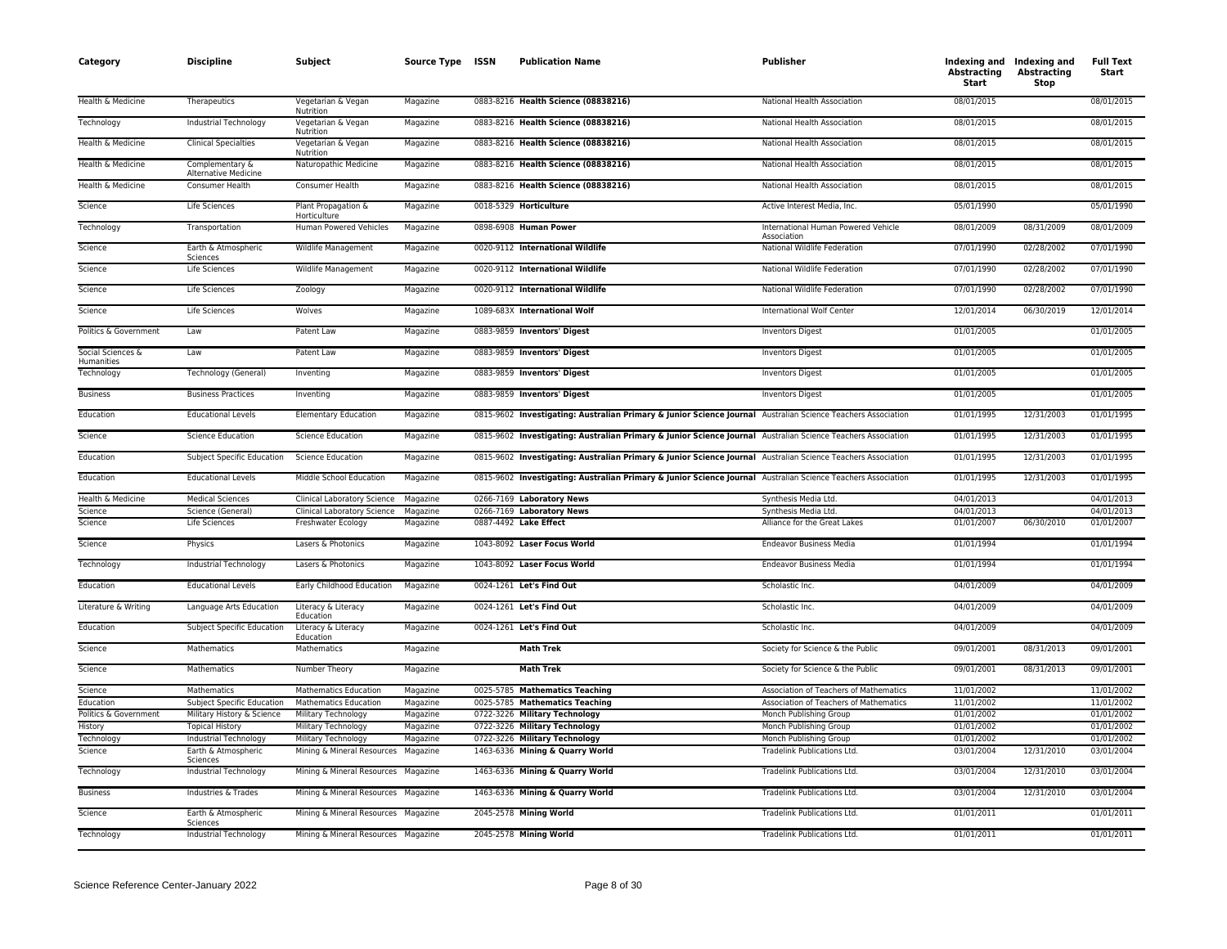| Category                        | <b>Discipline</b>                       | <b>Subject</b>                      | Source Type ISSN | <b>Publication Name</b>                                                                                      | <b>Publisher</b>                                   | Abstracting<br>Start | Indexing and Indexing and<br>Abstracting<br>Stop | <b>Full Text</b><br>Start |
|---------------------------------|-----------------------------------------|-------------------------------------|------------------|--------------------------------------------------------------------------------------------------------------|----------------------------------------------------|----------------------|--------------------------------------------------|---------------------------|
| Health & Medicine               | Therapeutics                            | Vegetarian & Vegan<br>Nutrition     | Magazine         | 0883-8216 Health Science (08838216)                                                                          | National Health Association                        | 08/01/2015           |                                                  | 08/01/2015                |
| Technology                      | Industrial Technology                   | Vegetarian & Vegan<br>Nutrition     | Magazine         | 0883-8216 Health Science (08838216)                                                                          | National Health Association                        | 08/01/2015           |                                                  | 08/01/2015                |
| Health & Medicine               | <b>Clinical Specialties</b>             | Vegetarian & Vegan<br>Nutrition     | Magazine         | 0883-8216 Health Science (08838216)                                                                          | National Health Association                        | 08/01/2015           |                                                  | 08/01/2015                |
| Health & Medicine               | Complementary &<br>Alternative Medicine | Naturopathic Medicine               | Magazine         | 0883-8216 Health Science (08838216)                                                                          | National Health Association                        | 08/01/2015           |                                                  | 08/01/2015                |
| Health & Medicine               | Consumer Health                         | Consumer Health                     | Magazine         | 0883-8216 Health Science (08838216)                                                                          | National Health Association                        | 08/01/2015           |                                                  | 08/01/2015                |
| Science                         | Life Sciences                           | Plant Propagation &<br>Horticulture | Magazine         | 0018-5329 Horticulture                                                                                       | Active Interest Media, Inc.                        | 05/01/1990           |                                                  | 05/01/1990                |
| Technology                      | Transportation                          | Human Powered Vehicles              | Magazine         | 0898-6908 Human Power                                                                                        | International Human Powered Vehicle<br>Association | 08/01/2009           | 08/31/2009                                       | 08/01/2009                |
| Science                         | Earth & Atmospheric<br>Sciences         | Wildlife Management                 | Magazine         | 0020-9112 International Wildlife                                                                             | National Wildlife Federation                       | 07/01/1990           | 02/28/2002                                       | 07/01/1990                |
| Science                         | <b>Life Sciences</b>                    | Wildlife Management                 | Magazine         | 0020-9112 International Wildlife                                                                             | National Wildlife Federation                       | 07/01/1990           | 02/28/2002                                       | 07/01/1990                |
| Science                         | <b>Life Sciences</b>                    | Zoology                             | Magazine         | 0020-9112 International Wildlife                                                                             | National Wildlife Federation                       | 07/01/1990           | 02/28/2002                                       | 07/01/1990                |
| Science                         | Life Sciences                           | Wolves                              | Magazine         | 1089-683X International Wolf                                                                                 | <b>International Wolf Center</b>                   | 12/01/2014           | 06/30/2019                                       | 12/01/2014                |
| Politics & Government           | Law                                     | Patent Law                          | Magazine         | 0883-9859 Inventors' Digest                                                                                  | <b>Inventors Digest</b>                            | 01/01/2005           |                                                  | 01/01/2005                |
| Social Sciences &<br>Humanities | Law                                     | Patent Law                          | Magazine         | 0883-9859 Inventors' Digest                                                                                  | <b>Inventors Digest</b>                            | 01/01/2005           |                                                  | 01/01/2005                |
| Technology                      | Technology (General)                    | Inventing                           | Magazine         | 0883-9859 Inventors' Digest                                                                                  | <b>Inventors Digest</b>                            | 01/01/2005           |                                                  | 01/01/2005                |
| <b>Business</b>                 | <b>Business Practices</b>               | Inventing                           | Magazine         | 0883-9859 Inventors' Digest                                                                                  | <b>Inventors Digest</b>                            | 01/01/2005           |                                                  | 01/01/2005                |
| Education                       | <b>Educational Levels</b>               | <b>Elementary Education</b>         | Magazine         | 0815-9602 Investigating: Australian Primary & Junior Science Journal Australian Science Teachers Association |                                                    | 01/01/1995           | 12/31/2003                                       | 01/01/1995                |
| Science                         | <b>Science Education</b>                | <b>Science Education</b>            | Magazine         | 0815-9602 Investigating: Australian Primary & Junior Science Journal Australian Science Teachers Association |                                                    | 01/01/1995           | 12/31/2003                                       | 01/01/1995                |
| Education                       | Subject Specific Education              | <b>Science Education</b>            | Magazine         | 0815-9602 Investigating: Australian Primary & Junior Science Journal Australian Science Teachers Association |                                                    | 01/01/1995           | 12/31/2003                                       | 01/01/1995                |
| Education                       | <b>Educational Levels</b>               | Middle School Education             | Magazine         | 0815-9602 Investigating: Australian Primary & Junior Science Journal Australian Science Teachers Association |                                                    | 01/01/1995           | 12/31/2003                                       | 01/01/1995                |
| Health & Medicine               | <b>Medical Sciences</b>                 | <b>Clinical Laboratory Science</b>  | Magazine         | 0266-7169 Laboratory News                                                                                    | Synthesis Media Ltd.                               | 04/01/2013           |                                                  | 04/01/2013                |
| Science                         | Science (General)                       | <b>Clinical Laboratory Science</b>  | Magazine         | 0266-7169 Laboratory News                                                                                    | Synthesis Media Ltd.                               | 04/01/2013           |                                                  | 04/01/2013                |
| Science                         | Life Sciences                           | Freshwater Ecology                  | Magazine         | 0887-4492 Lake Effect                                                                                        | Alliance for the Great Lakes                       | 01/01/2007           | 06/30/2010                                       | 01/01/2007                |
| Science                         | Physics                                 | Lasers & Photonics                  | Magazine         | 1043-8092 Laser Focus World                                                                                  | <b>Endeavor Business Media</b>                     | 01/01/1994           |                                                  | 01/01/1994                |
| Technology                      | Industrial Technology                   | Lasers & Photonics                  | Magazine         | 1043-8092 Laser Focus World                                                                                  | <b>Endeavor Business Media</b>                     | 01/01/1994           |                                                  | 01/01/1994                |
| Education                       | <b>Educational Levels</b>               | Early Childhood Education           | Magazine         | 0024-1261 Let's Find Out                                                                                     | Scholastic Inc.                                    | 04/01/2009           |                                                  | 04/01/2009                |
| Literature & Writing            | Language Arts Education                 | Literacy & Literacy<br>Education    | Magazine         | 0024-1261 Let's Find Out                                                                                     | Scholastic Inc.                                    | 04/01/2009           |                                                  | 04/01/2009                |
| Education                       | <b>Subject Specific Education</b>       | Literacy & Literacy<br>Education    | Magazine         | 0024-1261 Let's Find Out                                                                                     | Scholastic Inc.                                    | 04/01/2009           |                                                  | 04/01/2009                |
| Science                         | Mathematics                             | Mathematics                         | Magazine         | <b>Math Trek</b>                                                                                             | Society for Science & the Public                   | 09/01/2001           | 08/31/2013                                       | 09/01/2001                |
| Science                         | Mathematics                             | Number Theory                       | Magazine         | <b>Math Trek</b>                                                                                             | Society for Science & the Public                   | 09/01/2001           | 08/31/2013                                       | 09/01/2001                |
| Science                         | Mathematics                             | <b>Mathematics Education</b>        | Magazine         | 0025-5785 Mathematics Teaching                                                                               | Association of Teachers of Mathematics             | 11/01/2002           |                                                  | 11/01/2002                |
| Education                       | Subject Specific Education              | <b>Mathematics Education</b>        | Magazine         | 0025-5785 Mathematics Teaching                                                                               | Association of Teachers of Mathematics             | 11/01/2002           |                                                  | 11/01/2002                |
| Politics & Government           | Military History & Science              | Military Technology                 | Magazine         | 0722-3226 Military Technology                                                                                | Monch Publishing Group                             | 01/01/2002           |                                                  | 01/01/2002                |
| History                         | <b>Topical History</b>                  | Military Technology                 | Magazine         | 0722-3226 Military Technology                                                                                | Monch Publishing Group                             | 01/01/2002           |                                                  | 01/01/2002                |
| Technology                      | Industrial Technology                   | Military Technology                 | Magazine         | 0722-3226 Military Technology                                                                                | Monch Publishing Group                             | 01/01/2002           |                                                  | 01/01/2002                |
| Science                         | Earth & Atmospheric<br>Sciences         | Mining & Mineral Resources Magazine |                  | 1463-6336 Mining & Quarry World                                                                              | Tradelink Publications Ltd.                        | 03/01/2004           | 12/31/2010                                       | 03/01/2004                |
| Technology                      | Industrial Technology                   | Mining & Mineral Resources Magazine |                  | 1463-6336 Mining & Quarry World                                                                              | Tradelink Publications Ltd.                        | 03/01/2004           | 12/31/2010                                       | 03/01/2004                |
| <b>Business</b>                 | Industries & Trades                     | Mining & Mineral Resources Magazine |                  | 1463-6336 Mining & Quarry World                                                                              | Tradelink Publications Ltd.                        | 03/01/2004           | 12/31/2010                                       | 03/01/2004                |
| Science                         | Earth & Atmospheric<br>Sciences         | Mining & Mineral Resources Magazine |                  | 2045-2578 Mining World                                                                                       | Tradelink Publications Ltd.                        | 01/01/2011           |                                                  | 01/01/2011                |
| Technology                      | Industrial Technology                   | Mining & Mineral Resources Magazine |                  | 2045-2578 Mining World                                                                                       | <b>Tradelink Publications Ltd.</b>                 | 01/01/2011           |                                                  | 01/01/2011                |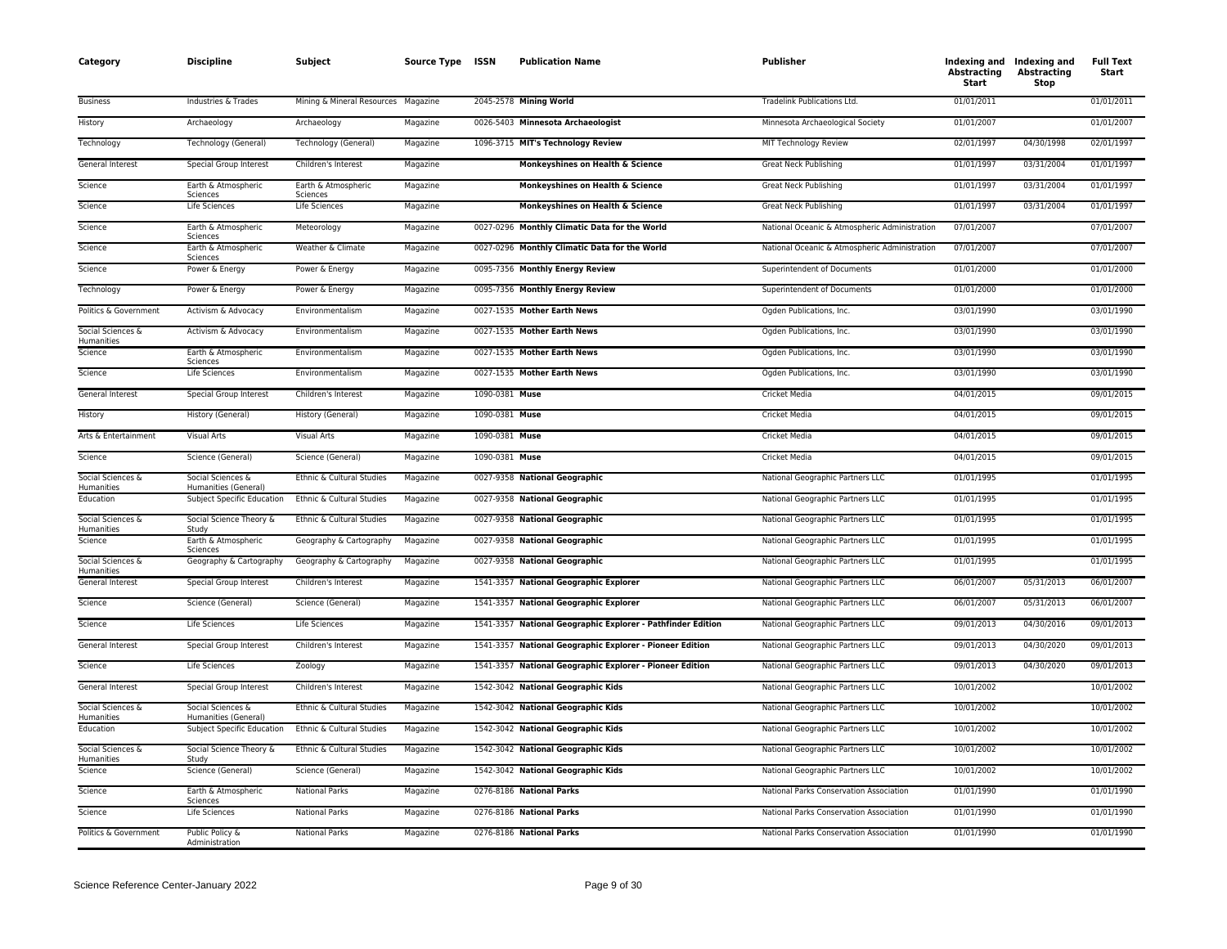| Category                        | <b>Discipline</b>                                         | Subject                             | Source Type ISSN |                | <b>Publication Name</b>                                     | Publisher                                     | Abstracting<br>Start | Indexing and Indexing and<br>Abstracting<br>Stop | <b>Full Text</b><br>Start |
|---------------------------------|-----------------------------------------------------------|-------------------------------------|------------------|----------------|-------------------------------------------------------------|-----------------------------------------------|----------------------|--------------------------------------------------|---------------------------|
| <b>Business</b>                 | Industries & Trades                                       | Mining & Mineral Resources Magazine |                  |                | 2045-2578 Mining World                                      | Tradelink Publications Ltd.                   | 01/01/2011           |                                                  | 01/01/2011                |
| History                         | Archaeology                                               | Archaeology                         | Magazine         |                | 0026-5403 Minnesota Archaeologist                           | Minnesota Archaeological Society              | 01/01/2007           |                                                  | 01/01/2007                |
| Technology                      | Technology (General)                                      | Technology (General)                | Magazine         |                | 1096-3715 MIT's Technology Review                           | MIT Technology Review                         | 02/01/1997           | 04/30/1998                                       | 02/01/1997                |
| General Interest                | Special Group Interest                                    | Children's Interest                 | Magazine         |                | Monkeyshines on Health & Science                            | Great Neck Publishing                         | 01/01/1997           | 03/31/2004                                       | 01/01/1997                |
| Science                         | Earth & Atmospheric<br>Sciences                           | Earth & Atmospheric<br>Sciences     | Magazine         |                | Monkeyshines on Health & Science                            | <b>Great Neck Publishing</b>                  | 01/01/1997           | 03/31/2004                                       | 01/01/1997                |
| Science                         | Life Sciences                                             | Life Sciences                       | Magazine         |                | Monkeyshines on Health & Science                            | <b>Great Neck Publishing</b>                  | 01/01/1997           | 03/31/2004                                       | 01/01/1997                |
| Science                         | Earth & Atmospheric<br>Sciences                           | Meteorology                         | Magazine         |                | 0027-0296 Monthly Climatic Data for the World               | National Oceanic & Atmospheric Administration | 07/01/2007           |                                                  | 07/01/2007                |
| Science                         | Earth & Atmospheric<br>Sciences                           | Weather & Climate                   | Magazine         |                | 0027-0296 Monthly Climatic Data for the World               | National Oceanic & Atmospheric Administration | 07/01/2007           |                                                  | 07/01/2007                |
| Science                         | Power & Energy                                            | Power & Energy                      | Magazine         |                | 0095-7356 Monthly Energy Review                             | Superintendent of Documents                   | 01/01/2000           |                                                  | 01/01/2000                |
| Technology                      | Power & Energy                                            | Power & Energy                      | Magazine         |                | 0095-7356 Monthly Energy Review                             | Superintendent of Documents                   | 01/01/2000           |                                                  | 01/01/2000                |
| Politics & Government           | Activism & Advocacy                                       | Environmentalism                    | Magazine         |                | 0027-1535 Mother Earth News                                 | Ogden Publications, Inc.                      | 03/01/1990           |                                                  | 03/01/1990                |
| Social Sciences &<br>Humanities | Activism & Advocacy                                       | Environmentalism                    | Magazine         |                | 0027-1535 Mother Earth News                                 | Ogden Publications, Inc.                      | 03/01/1990           |                                                  | 03/01/1990                |
| Science                         | Earth & Atmospheric                                       | Environmentalism                    | Magazine         |                | 0027-1535 Mother Earth News                                 | Ogden Publications, Inc.                      | 03/01/1990           |                                                  | 03/01/1990                |
| Science                         | Sciences<br><b>Life Sciences</b>                          | Environmentalism                    | Magazine         |                | 0027-1535 Mother Earth News                                 | Ogden Publications, Inc.                      | 03/01/1990           |                                                  | 03/01/1990                |
| General Interest                | Special Group Interest                                    | Children's Interest                 | Magazine         | 1090-0381 Muse |                                                             | Cricket Media                                 | 04/01/2015           |                                                  | 09/01/2015                |
| History                         | History (General)                                         | History (General)                   | Magazine         | 1090-0381 Muse |                                                             | Cricket Media                                 | 04/01/2015           |                                                  | 09/01/2015                |
| Arts & Entertainment            | Visual Arts                                               | <b>Visual Arts</b>                  | Magazine         | 1090-0381 Muse |                                                             | Cricket Media                                 | 04/01/2015           |                                                  | 09/01/2015                |
| Science                         | Science (General)                                         | Science (General)                   | Magazine         | 1090-0381 Muse |                                                             | Cricket Media                                 | 04/01/2015           |                                                  | 09/01/2015                |
| Social Sciences &<br>Humanities | Social Sciences &<br>Humanities (General)                 | Ethnic & Cultural Studies           | Magazine         |                | 0027-9358 National Geographic                               | National Geographic Partners LLC              | 01/01/1995           |                                                  | 01/01/1995                |
| Education                       | <b>Subject Specific Education</b>                         | Ethnic & Cultural Studies           | Magazine         |                | 0027-9358 National Geographic                               | National Geographic Partners LLC              | 01/01/1995           |                                                  | 01/01/1995                |
| Social Sciences &               | Social Science Theory &<br>Study                          | Ethnic & Cultural Studies           | Magazine         |                | 0027-9358 National Geographic                               | National Geographic Partners LLC              | 01/01/1995           |                                                  | 01/01/1995                |
| Humanities<br>Science           | Earth & Atmospheric                                       | Geography & Cartography             | Magazine         |                | 0027-9358 National Geographic                               | National Geographic Partners LLC              | 01/01/1995           |                                                  | 01/01/1995                |
| Social Sciences &               | Sciences<br>Geography & Cartography                       | Geography & Cartography             | Magazine         |                | 0027-9358 National Geographic                               | National Geographic Partners LLC              | 01/01/1995           |                                                  | 01/01/1995                |
| Humanities<br>General Interest  | Special Group Interest                                    | Children's Interest                 | Magazine         |                | 1541-3357 National Geographic Explorer                      | National Geographic Partners LLC              | 06/01/2007           | 05/31/2013                                       | 06/01/2007                |
| Science                         | Science (General)                                         | Science (General)                   | Magazine         |                | 1541-3357 National Geographic Explorer                      | National Geographic Partners LLC              | 06/01/2007           | 05/31/2013                                       | 06/01/2007                |
| Science                         | Life Sciences                                             | Life Sciences                       | Magazine         |                | 1541-3357 National Geographic Explorer - Pathfinder Edition | National Geographic Partners LLC              | 09/01/2013           | 04/30/2016                                       | 09/01/2013                |
| General Interest                | Special Group Interest                                    | Children's Interest                 | Magazine         |                | 1541-3357 National Geographic Explorer - Pioneer Edition    | National Geographic Partners LLC              | 09/01/2013           | 04/30/2020                                       | 09/01/2013                |
| Science                         | Life Sciences                                             | Zoology                             | Magazine         |                | 1541-3357 National Geographic Explorer - Pioneer Edition    | National Geographic Partners LLC              | 09/01/2013           | 04/30/2020                                       | 09/01/2013                |
| General Interest                | Special Group Interest                                    | Children's Interest                 | Magazine         |                | 1542-3042 National Geographic Kids                          | National Geographic Partners LLC              | 10/01/2002           |                                                  | 10/01/2002                |
| Social Sciences &               | Social Sciences &                                         | Ethnic & Cultural Studies           | Magazine         |                | 1542-3042 National Geographic Kids                          | National Geographic Partners LLC              | 10/01/2002           |                                                  | 10/01/2002                |
| Humanities<br>Education         | Humanities (General)<br><b>Subject Specific Education</b> | Ethnic & Cultural Studies           | Magazine         |                | 1542-3042 National Geographic Kids                          | National Geographic Partners LLC              | 10/01/2002           |                                                  | 10/01/2002                |
| Social Sciences &               | Social Science Theory &                                   | Ethnic & Cultural Studies           | Magazine         |                | 1542-3042 National Geographic Kids                          | National Geographic Partners LLC              | 10/01/2002           |                                                  | 10/01/2002                |
| Humanities<br>Science           | Study<br>Science (General)                                | Science (General)                   | Magazine         |                | 1542-3042 National Geographic Kids                          | National Geographic Partners LLC              | 10/01/2002           |                                                  | 10/01/2002                |
| Science                         | Earth & Atmospheric                                       | <b>National Parks</b>               | Magazine         |                | 0276-8186 National Parks                                    | National Parks Conservation Association       | 01/01/1990           |                                                  | 01/01/1990                |
| Science                         | Sciences<br>Life Sciences                                 | <b>National Parks</b>               | Magazine         |                | 0276-8186 National Parks                                    | National Parks Conservation Association       | 01/01/1990           |                                                  | 01/01/1990                |
| Politics & Government           | Public Policy &<br>Administration                         | <b>National Parks</b>               | Magazine         |                | 0276-8186 National Parks                                    | National Parks Conservation Association       | 01/01/1990           |                                                  | 01/01/1990                |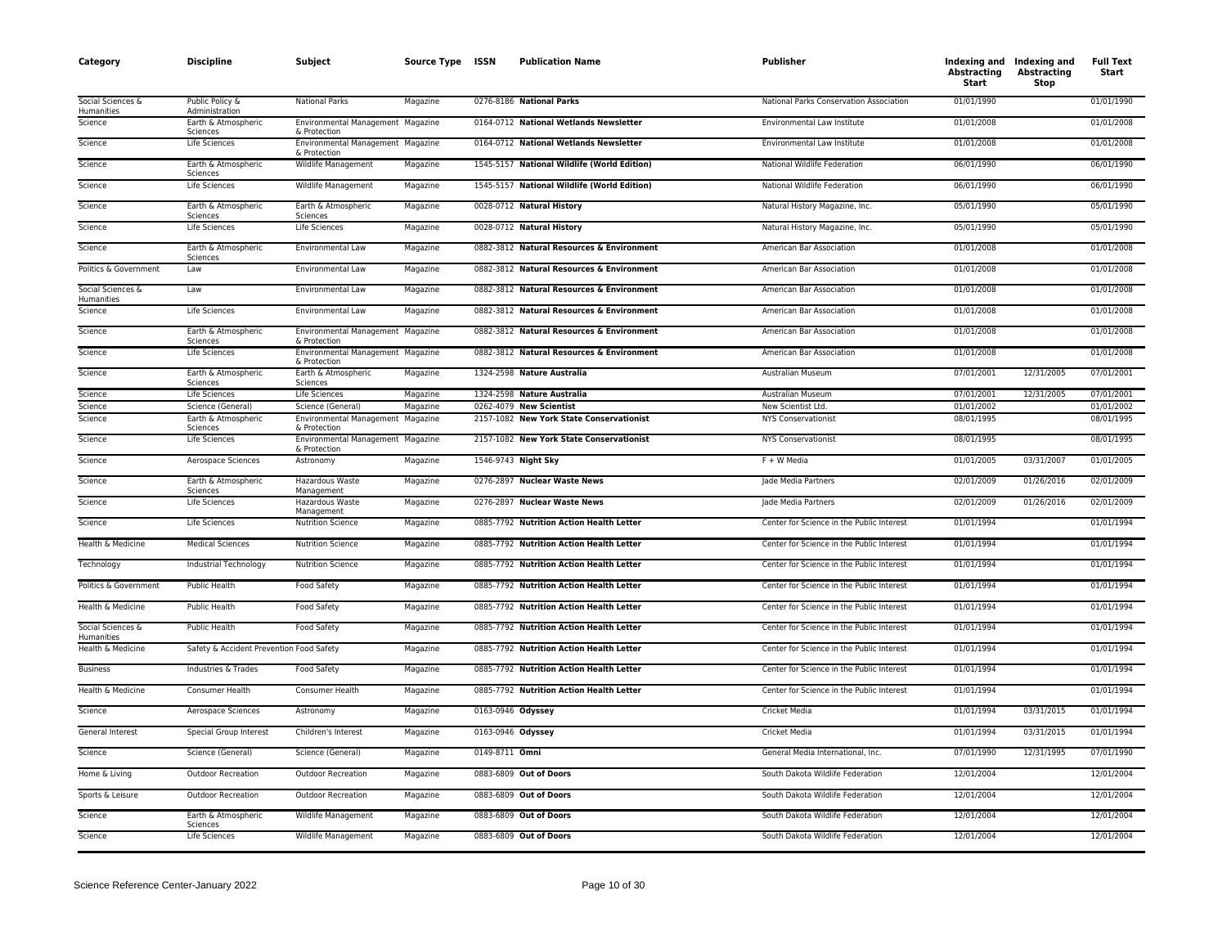| Category                        | <b>Discipline</b>                        | <b>Subject</b>                                    | Source Type ISSN |                   | <b>Publication Name</b>                     | Publisher                                 | <b>Abstracting</b><br>Start | Indexing and Indexing and<br><b>Abstracting</b><br>Stop | <b>Full Text</b><br>Start |
|---------------------------------|------------------------------------------|---------------------------------------------------|------------------|-------------------|---------------------------------------------|-------------------------------------------|-----------------------------|---------------------------------------------------------|---------------------------|
| Social Sciences &<br>Humanities | Public Policy &<br>Administration        | <b>National Parks</b>                             | Magazine         |                   | 0276-8186 National Parks                    | National Parks Conservation Association   | 01/01/1990                  |                                                         | 01/01/1990                |
| Science                         | Earth & Atmospheric<br>Sciences          | Environmental Management Magazine<br>& Protection |                  |                   | 0164-0712 National Wetlands Newsletter      | Environmental Law Institute               | 01/01/2008                  |                                                         | 01/01/2008                |
| Science                         | Life Sciences                            | Environmental Management Magazine<br>& Protection |                  |                   | 0164-0712 National Wetlands Newsletter      | Environmental Law Institute               | 01/01/2008                  |                                                         | 01/01/2008                |
| Science                         | Earth & Atmospheric<br>Sciences          | Wildlife Management                               | Magazine         |                   | 1545-5157 National Wildlife (World Edition) | National Wildlife Federation              | 06/01/1990                  |                                                         | 06/01/1990                |
| Science                         | Life Sciences                            | Wildlife Management                               | Magazine         |                   | 1545-5157 National Wildlife (World Edition) | National Wildlife Federation              | 06/01/1990                  |                                                         | 06/01/1990                |
| Science                         | Earth & Atmospheric<br>Sciences          | Earth & Atmospheric<br>Sciences                   | Magazine         |                   | 0028-0712 Natural History                   | Natural History Magazine, Inc.            | 05/01/1990                  |                                                         | 05/01/1990                |
| Science                         | Life Sciences                            | Life Sciences                                     | Magazine         |                   | 0028-0712 Natural History                   | Natural History Magazine, Inc.            | 05/01/1990                  |                                                         | 05/01/1990                |
| Science                         | Earth & Atmospheric<br>Sciences          | Environmental Law                                 | Magazine         |                   | 0882-3812 Natural Resources & Environment   | American Bar Association                  | 01/01/2008                  |                                                         | 01/01/2008                |
| Politics & Government           | Law                                      | Environmental Law                                 | Magazine         |                   | 0882-3812 Natural Resources & Environment   | American Bar Association                  | 01/01/2008                  |                                                         | 01/01/2008                |
| Social Sciences &<br>Humanities | Law                                      | Environmental Law                                 | Magazine         |                   | 0882-3812 Natural Resources & Environment   | American Bar Association                  | 01/01/2008                  |                                                         | 01/01/2008                |
| Science                         | Life Sciences                            | Environmental Law                                 | Magazine         |                   | 0882-3812 Natural Resources & Environment   | American Bar Association                  | 01/01/2008                  |                                                         | 01/01/2008                |
| Science                         | Earth & Atmospheric<br>Sciences          | Environmental Management Magazine<br>& Protection |                  |                   | 0882-3812 Natural Resources & Environment   | American Bar Association                  | 01/01/2008                  |                                                         | 01/01/2008                |
| Science                         | Life Sciences                            | Environmental Management Magazine<br>& Protection |                  |                   | 0882-3812 Natural Resources & Environment   | American Bar Association                  | 01/01/2008                  |                                                         | 01/01/2008                |
| Science                         | Earth & Atmospheric<br>Sciences          | Earth & Atmospheric<br>Sciences                   | Magazine         |                   | 1324-2598 Nature Australia                  | Australian Museum                         | 07/01/2001                  | 12/31/2005                                              | 07/01/2001                |
| Science                         | Life Sciences                            | <b>Life Sciences</b>                              | Magazine         |                   | 1324-2598 Nature Australia                  | Australian Museum                         | 07/01/2001                  | 12/31/2005                                              | 07/01/2001                |
| Science                         | Science (General)                        | Science (General)                                 | Magazine         |                   | 0262-4079 New Scientist                     | New Scientist Ltd.                        | 01/01/2002                  |                                                         | 01/01/2002                |
| Science                         | Earth & Atmospheric<br>Sciences          | Environmental Management Magazine<br>& Protection |                  |                   | 2157-1082 New York State Conservationist    | <b>NYS Conservationist</b>                | 08/01/1995                  |                                                         | 08/01/1995                |
| Science                         | Life Sciences                            | Environmental Management Magazine<br>& Protection |                  |                   | 2157-1082 New York State Conservationist    | <b>NYS Conservationist</b>                | 08/01/1995                  |                                                         | 08/01/1995                |
| Science                         | Aerospace Sciences                       | Astronomy                                         | Magazine         |                   | 1546-9743 Night Sky                         | F + W Media                               | 01/01/2005                  | 03/31/2007                                              | 01/01/2005                |
| Science                         | Earth & Atmospheric<br>Sciences          | Hazardous Waste<br>Management                     | Magazine         |                   | 0276-2897 Nuclear Waste News                | Jade Media Partners                       | 02/01/2009                  | 01/26/2016                                              | 02/01/2009                |
| Science                         | Life Sciences                            | Hazardous Waste<br>Management                     | Magazine         |                   | 0276-2897 Nuclear Waste News                | Jade Media Partners                       | 02/01/2009                  | 01/26/2016                                              | 02/01/2009                |
| Science                         | Life Sciences                            | <b>Nutrition Science</b>                          | Magazine         |                   | 0885-7792 Nutrition Action Health Letter    | Center for Science in the Public Interest | 01/01/1994                  |                                                         | 01/01/1994                |
| Health & Medicine               | <b>Medical Sciences</b>                  | <b>Nutrition Science</b>                          | Magazine         |                   | 0885-7792 Nutrition Action Health Letter    | Center for Science in the Public Interest | 01/01/1994                  |                                                         | 01/01/1994                |
| Technology                      | Industrial Technology                    | <b>Nutrition Science</b>                          | Magazine         |                   | 0885-7792 Nutrition Action Health Letter    | Center for Science in the Public Interest | 01/01/1994                  |                                                         | 01/01/1994                |
| Politics & Government           | Public Health                            | Food Safety                                       | Magazine         |                   | 0885-7792 Nutrition Action Health Letter    | Center for Science in the Public Interest | 01/01/1994                  |                                                         | 01/01/1994                |
| Health & Medicine               | <b>Public Health</b>                     | <b>Food Safety</b>                                | Magazine         |                   | 0885-7792 Nutrition Action Health Letter    | Center for Science in the Public Interest | 01/01/1994                  |                                                         | 01/01/1994                |
| Social Sciences &<br>Humanities | Public Health                            | Food Safety                                       | Magazine         |                   | 0885-7792 Nutrition Action Health Letter    | Center for Science in the Public Interest | 01/01/1994                  |                                                         | 01/01/1994                |
| Health & Medicine               | Safety & Accident Prevention Food Safety |                                                   | Magazine         |                   | 0885-7792 Nutrition Action Health Letter    | Center for Science in the Public Interest | 01/01/1994                  |                                                         | 01/01/1994                |
| <b>Business</b>                 | Industries & Trades                      | Food Safety                                       | Magazine         |                   | 0885-7792 Nutrition Action Health Letter    | Center for Science in the Public Interest | 01/01/1994                  |                                                         | 01/01/1994                |
| Health & Medicine               | Consumer Health                          | Consumer Health                                   | Magazine         |                   | 0885-7792 Nutrition Action Health Letter    | Center for Science in the Public Interest | 01/01/1994                  |                                                         | 01/01/1994                |
| Science                         | Aerospace Sciences                       | Astronomy                                         | Magazine         | 0163-0946 Odyssey |                                             | Cricket Media                             | 01/01/1994                  | 03/31/2015                                              | 01/01/1994                |
| General Interest                | Special Group Interest                   | Children's Interest                               | Magazine         | 0163-0946 Odyssey |                                             | Cricket Media                             | 01/01/1994                  | 03/31/2015                                              | 01/01/1994                |
| Science                         | Science (General)                        | Science (General)                                 | Magazine         | 0149-8711 Omni    |                                             | General Media International, Inc.         | 07/01/1990                  | 12/31/1995                                              | 07/01/1990                |
| Home & Living                   | <b>Outdoor Recreation</b>                | <b>Outdoor Recreation</b>                         | Magazine         |                   | 0883-6809 Out of Doors                      | South Dakota Wildlife Federation          | 12/01/2004                  |                                                         | 12/01/2004                |
| Sports & Leisure                | <b>Outdoor Recreation</b>                | <b>Outdoor Recreation</b>                         | Magazine         |                   | 0883-6809 Out of Doors                      | South Dakota Wildlife Federation          | 12/01/2004                  |                                                         | 12/01/2004                |
| Science                         | Earth & Atmospheric<br>Sciences          | Wildlife Management                               | Magazine         |                   | 0883-6809 Out of Doors                      | South Dakota Wildlife Federation          | 12/01/2004                  |                                                         | 12/01/2004                |
| Science                         | Life Sciences                            | Wildlife Management                               | Magazine         |                   | 0883-6809 Out of Doors                      | South Dakota Wildlife Federation          | 12/01/2004                  |                                                         | 12/01/2004                |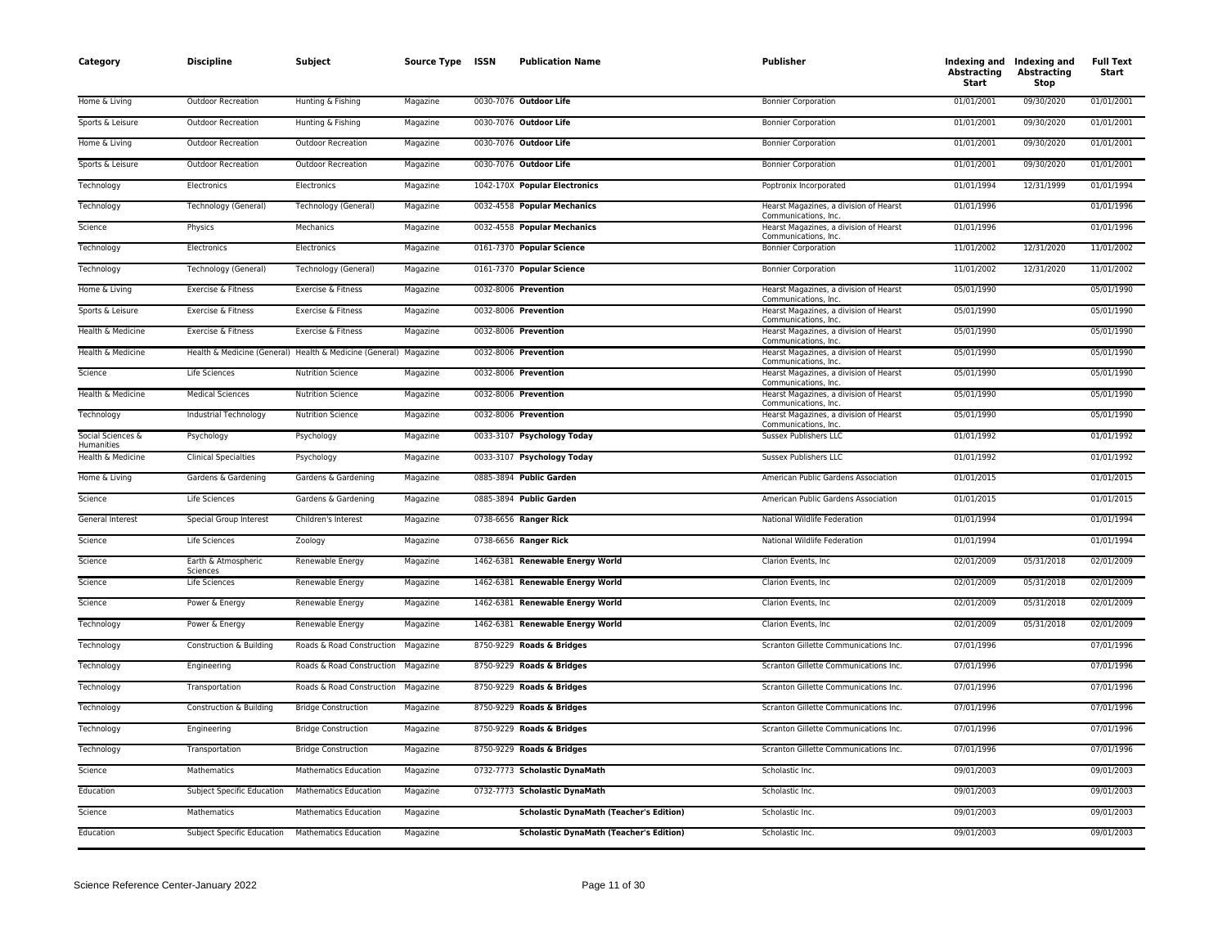| Category                        | <b>Discipline</b>                 | Subject                                                          | Source Type ISSN | <b>Publication Name</b>                        | Publisher                                                      | <b>Abstracting</b><br>Start | Indexing and Indexing and<br>Abstracting<br>Stop | <b>Full Text</b><br>Start |
|---------------------------------|-----------------------------------|------------------------------------------------------------------|------------------|------------------------------------------------|----------------------------------------------------------------|-----------------------------|--------------------------------------------------|---------------------------|
| Home & Living                   | Outdoor Recreation                | Hunting & Fishing                                                | Magazine         | 0030-7076 Outdoor Life                         | <b>Bonnier Corporation</b>                                     | 01/01/2001                  | 09/30/2020                                       | 01/01/2001                |
| Sports & Leisure                | <b>Outdoor Recreation</b>         | Hunting & Fishing                                                | Magazine         | 0030-7076 Outdoor Life                         | <b>Bonnier Corporation</b>                                     | 01/01/2001                  | 09/30/2020                                       | 01/01/2001                |
| Home & Living                   | <b>Outdoor Recreation</b>         | <b>Outdoor Recreation</b>                                        | Magazine         | 0030-7076 Outdoor Life                         | <b>Bonnier Corporation</b>                                     | 01/01/2001                  | 09/30/2020                                       | 01/01/2001                |
| Sports & Leisure                | Outdoor Recreation                | Outdoor Recreation                                               | Magazine         | 0030-7076 Outdoor Life                         | <b>Bonnier Corporation</b>                                     | 01/01/2001                  | 09/30/2020                                       | 01/01/2001                |
| Technology                      | Electronics                       | Electronics                                                      | Magazine         | 1042-170X Popular Electronics                  | Poptronix Incorporated                                         | 01/01/1994                  | 12/31/1999                                       | 01/01/1994                |
| Technology                      | Technology (General)              | Technology (General)                                             | Magazine         | 0032-4558 Popular Mechanics                    | Hearst Magazines, a division of Hearst<br>Communications, Inc. | 01/01/1996                  |                                                  | 01/01/1996                |
| Science                         | Physics                           | Mechanics                                                        | Magazine         | 0032-4558 Popular Mechanics                    | Hearst Magazines, a division of Hearst<br>Communications, Inc. | 01/01/1996                  |                                                  | 01/01/1996                |
| Technology                      | Electronics                       | Electronics                                                      | Magazine         | 0161-7370 Popular Science                      | <b>Bonnier Corporation</b>                                     | 11/01/2002                  | 12/31/2020                                       | 11/01/2002                |
| Technology                      | Technology (General)              | Technology (General)                                             | Magazine         | 0161-7370 Popular Science                      | <b>Bonnier Corporation</b>                                     | 11/01/2002                  | 12/31/2020                                       | 11/01/2002                |
| Home & Living                   | Exercise & Fitness                | Exercise & Fitness                                               | Magazine         | 0032-8006 Prevention                           | Hearst Magazines, a division of Hearst<br>Communications, Inc. | 05/01/1990                  |                                                  | 05/01/1990                |
| Sports & Leisure                | Exercise & Fitness                | Exercise & Fitness                                               | Magazine         | 0032-8006 Prevention                           | Hearst Magazines, a division of Hearst<br>Communications, Inc. | 05/01/1990                  |                                                  | 05/01/1990                |
| Health & Medicine               | Exercise & Fitness                | Exercise & Fitness                                               | Magazine         | 0032-8006 Prevention                           | Hearst Magazines, a division of Hearst<br>Communications, Inc. | 05/01/1990                  |                                                  | 05/01/1990                |
| Health & Medicine               |                                   | Health & Medicine (General) Health & Medicine (General) Magazine |                  | 0032-8006 Prevention                           | Hearst Magazines, a division of Hearst<br>Communications, Inc. | 05/01/1990                  |                                                  | 05/01/1990                |
| Science                         | <b>Life Sciences</b>              | <b>Nutrition Science</b>                                         | Magazine         | 0032-8006 Prevention                           | Hearst Magazines, a division of Hearst<br>Communications, Inc. | 05/01/1990                  |                                                  | 05/01/1990                |
| Health & Medicine               | <b>Medical Sciences</b>           | <b>Nutrition Science</b>                                         | Magazine         | 0032-8006 Prevention                           | Hearst Magazines, a division of Hearst<br>Communications, Inc. | 05/01/1990                  |                                                  | 05/01/1990                |
| Technology                      | Industrial Technology             | <b>Nutrition Science</b>                                         | Magazine         | 0032-8006 Prevention                           | Hearst Magazines, a division of Hearst<br>Communications, Inc. | 05/01/1990                  |                                                  | 05/01/1990                |
| Social Sciences &<br>Humanities | Psychology                        | Psychology                                                       | Magazine         | 0033-3107 Psychology Today                     | Sussex Publishers LLC                                          | 01/01/1992                  |                                                  | 01/01/1992                |
| Health & Medicine               | <b>Clinical Specialties</b>       | Psychology                                                       | Magazine         | 0033-3107 Psychology Today                     | Sussex Publishers LLC                                          | 01/01/1992                  |                                                  | 01/01/1992                |
| Home & Living                   | Gardens & Gardening               | Gardens & Gardening                                              | Magazine         | 0885-3894 Public Garden                        | American Public Gardens Association                            | 01/01/2015                  |                                                  | 01/01/2015                |
| Science                         | Life Sciences                     | Gardens & Gardening                                              | Magazine         | 0885-3894 Public Garden                        | American Public Gardens Association                            | 01/01/2015                  |                                                  | 01/01/2015                |
| General Interest                | Special Group Interest            | Children's Interest                                              | Magazine         | 0738-6656 Ranger Rick                          | National Wildlife Federation                                   | 01/01/1994                  |                                                  | 01/01/1994                |
| Science                         | Life Sciences                     | Zoology                                                          | Magazine         | 0738-6656 Ranger Rick                          | National Wildlife Federation                                   | 01/01/1994                  |                                                  | 01/01/1994                |
| Science                         | Earth & Atmospheric<br>Sciences   | Renewable Energy                                                 | Magazine         | 1462-6381 Renewable Energy World               | Clarion Events, Inc.                                           | 02/01/2009                  | 05/31/2018                                       | 02/01/2009                |
| Science                         | Life Sciences                     | Renewable Energy                                                 | Magazine         | 1462-6381 Renewable Energy World               | Clarion Events, Inc.                                           | 02/01/2009                  | 05/31/2018                                       | 02/01/2009                |
| Science                         | Power & Energy                    | Renewable Energy                                                 | Magazine         | 1462-6381 Renewable Energy World               | Clarion Events, Inc.                                           | 02/01/2009                  | 05/31/2018                                       | 02/01/2009                |
| Technology                      | Power & Energy                    | Renewable Energy                                                 | Magazine         | 1462-6381 Renewable Energy World               | Clarion Events, Inc.                                           | 02/01/2009                  | 05/31/2018                                       | 02/01/2009                |
| Technology                      | Construction & Building           | Roads & Road Construction                                        | Magazine         | 8750-9229 Roads & Bridges                      | Scranton Gillette Communications Inc.                          | 07/01/1996                  |                                                  | 07/01/1996                |
| Technology                      | Engineering                       | Roads & Road Construction                                        | Magazine         | 8750-9229 Roads & Bridges                      | Scranton Gillette Communications Inc.                          | 07/01/1996                  |                                                  | 07/01/1996                |
| Technology                      | Transportation                    | Roads & Road Construction                                        | Magazine         | 8750-9229 Roads & Bridges                      | Scranton Gillette Communications Inc.                          | 07/01/1996                  |                                                  | 07/01/1996                |
| Technology                      | Construction & Building           | <b>Bridge Construction</b>                                       | Magazine         | 8750-9229 Roads & Bridges                      | Scranton Gillette Communications Inc.                          | 07/01/1996                  |                                                  | 07/01/1996                |
| Technology                      | Engineering                       | <b>Bridge Construction</b>                                       | Magazine         | 8750-9229 Roads & Bridges                      | Scranton Gillette Communications Inc.                          | 07/01/1996                  |                                                  | 07/01/1996                |
| Technology                      | Transportation                    | <b>Bridge Construction</b>                                       | Magazine         | 8750-9229 Roads & Bridges                      | Scranton Gillette Communications Inc.                          | 07/01/1996                  |                                                  | 07/01/1996                |
| Science                         | Mathematics                       | Mathematics Education                                            | Magazine         | 0732-7773 Scholastic DynaMath                  | Scholastic Inc.                                                | 09/01/2003                  |                                                  | 09/01/2003                |
| Education                       | <b>Subject Specific Education</b> | <b>Mathematics Education</b>                                     | Magazine         | 0732-7773 Scholastic DynaMath                  | Scholastic Inc.                                                | 09/01/2003                  |                                                  | 09/01/2003                |
| Science                         | Mathematics                       | Mathematics Education                                            | Magazine         | <b>Scholastic DynaMath (Teacher's Edition)</b> | Scholastic Inc.                                                | 09/01/2003                  |                                                  | 09/01/2003                |
| Education                       | Subject Specific Education        | <b>Mathematics Education</b>                                     | Magazine         | <b>Scholastic DynaMath (Teacher's Edition)</b> | Scholastic Inc.                                                | 09/01/2003                  |                                                  | 09/01/2003                |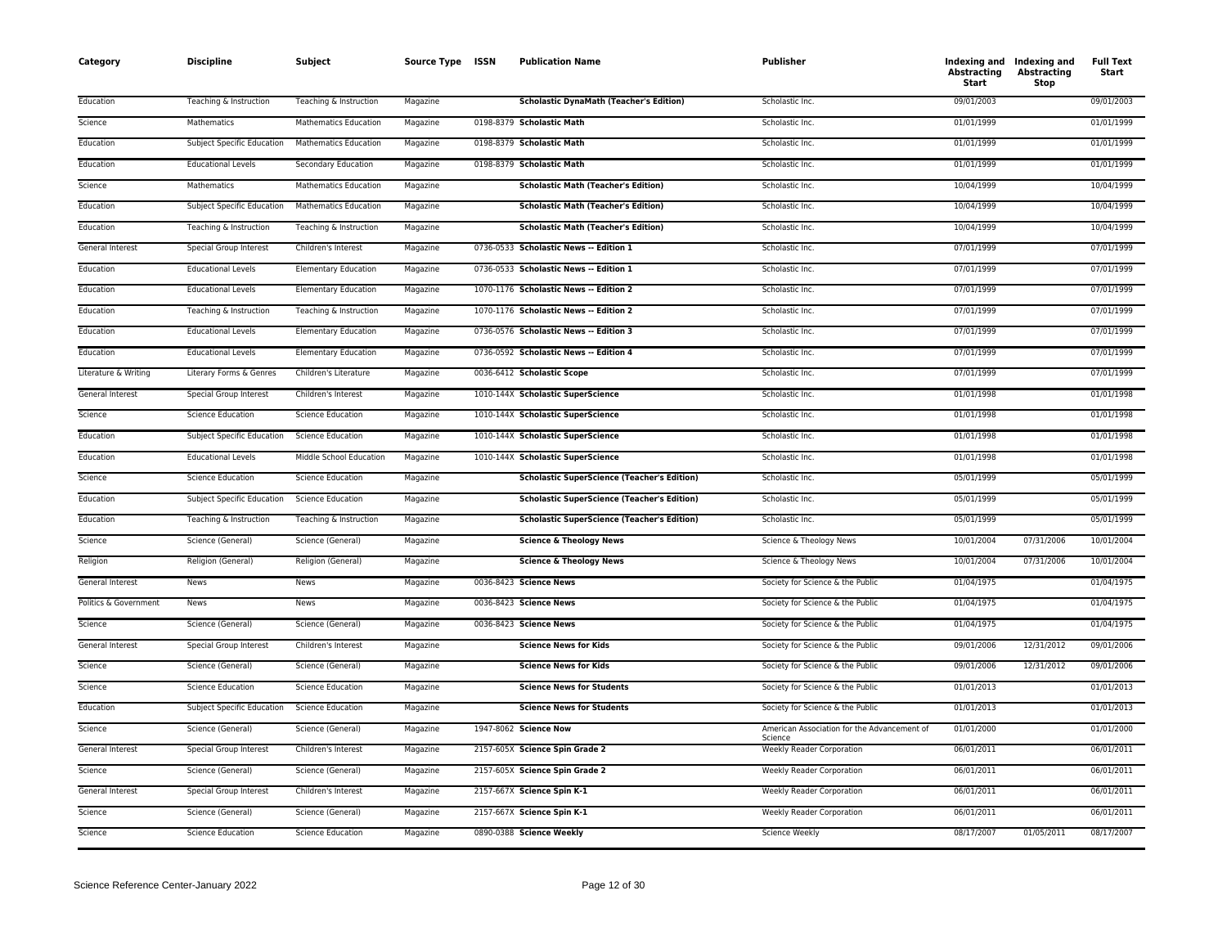| Category              | <b>Discipline</b>                 | Subject                      | Source Type ISSN | <b>Publication Name</b>                            | <b>Publisher</b>                                       | <b>Abstracting</b><br>Start | Indexing and Indexing and<br><b>Abstracting</b><br>Stop | <b>Full Text</b><br>Start |
|-----------------------|-----------------------------------|------------------------------|------------------|----------------------------------------------------|--------------------------------------------------------|-----------------------------|---------------------------------------------------------|---------------------------|
| Education             | Teaching & Instruction            | Teaching & Instruction       | Magazine         | <b>Scholastic DynaMath (Teacher's Edition)</b>     | Scholastic Inc.                                        | 09/01/2003                  |                                                         | 09/01/2003                |
| Science               | Mathematics                       | <b>Mathematics Education</b> | Magazine         | 0198-8379 Scholastic Math                          | Scholastic Inc.                                        | 01/01/1999                  |                                                         | 01/01/1999                |
| Education             | <b>Subject Specific Education</b> | <b>Mathematics Education</b> | Magazine         | 0198-8379 Scholastic Math                          | Scholastic Inc.                                        | 01/01/1999                  |                                                         | 01/01/1999                |
| Education             | <b>Educational Levels</b>         | Secondary Education          | Magazine         | 0198-8379 Scholastic Math                          | Scholastic Inc.                                        | 01/01/1999                  |                                                         | 01/01/1999                |
| Science               | Mathematics                       | <b>Mathematics Education</b> | Magazine         | <b>Scholastic Math (Teacher's Edition)</b>         | Scholastic Inc.                                        | 10/04/1999                  |                                                         | 10/04/1999                |
| Education             | Subject Specific Education        | Mathematics Education        | Magazine         | <b>Scholastic Math (Teacher's Edition)</b>         | Scholastic Inc.                                        | 10/04/1999                  |                                                         | 10/04/1999                |
| Education             | Teaching & Instruction            | Teaching & Instruction       | Magazine         | <b>Scholastic Math (Teacher's Edition)</b>         | Scholastic Inc.                                        | 10/04/1999                  |                                                         | 10/04/1999                |
| General Interest      | <b>Special Group Interest</b>     | Children's Interest          | Magazine         | 0736-0533 Scholastic News -- Edition 1             | Scholastic Inc.                                        | 07/01/1999                  |                                                         | 07/01/1999                |
| Education             | <b>Educational Levels</b>         | <b>Elementary Education</b>  | Magazine         | 0736-0533 Scholastic News -- Edition 1             | Scholastic Inc.                                        | 07/01/1999                  |                                                         | 07/01/1999                |
| Education             | <b>Educational Levels</b>         | <b>Elementary Education</b>  | Magazine         | 1070-1176 Scholastic News -- Edition 2             | Scholastic Inc.                                        | 07/01/1999                  |                                                         | 07/01/1999                |
| Education             | Teaching & Instruction            | Teaching & Instruction       | Magazine         | 1070-1176 Scholastic News -- Edition 2             | Scholastic Inc.                                        | 07/01/1999                  |                                                         | 07/01/1999                |
| Education             | <b>Educational Levels</b>         | <b>Elementary Education</b>  | Magazine         | 0736-0576 Scholastic News -- Edition 3             | Scholastic Inc.                                        | 07/01/1999                  |                                                         | 07/01/1999                |
| Education             | <b>Educational Levels</b>         | <b>Elementary Education</b>  | Magazine         | 0736-0592 Scholastic News -- Edition 4             | Scholastic Inc.                                        | 07/01/1999                  |                                                         | 07/01/1999                |
| Literature & Writing  | Literary Forms & Genres           | Children's Literature        | Magazine         | 0036-6412 Scholastic Scope                         | Scholastic Inc.                                        | 07/01/1999                  |                                                         | 07/01/1999                |
| General Interest      | Special Group Interest            | Children's Interest          | Magazine         | 1010-144X Scholastic SuperScience                  | Scholastic Inc.                                        | 01/01/1998                  |                                                         | 01/01/1998                |
| Science               | <b>Science Education</b>          | <b>Science Education</b>     | Magazine         | 1010-144X Scholastic SuperScience                  | Scholastic Inc.                                        | 01/01/1998                  |                                                         | 01/01/1998                |
| Education             | Subject Specific Education        | <b>Science Education</b>     | Magazine         | 1010-144X Scholastic SuperScience                  | Scholastic Inc.                                        | 01/01/1998                  |                                                         | 01/01/1998                |
| Education             | <b>Educational Levels</b>         | Middle School Education      | Magazine         | 1010-144X Scholastic SuperScience                  | Scholastic Inc.                                        | 01/01/1998                  |                                                         | 01/01/1998                |
| Science               | <b>Science Education</b>          | <b>Science Education</b>     | Magazine         | <b>Scholastic SuperScience (Teacher's Edition)</b> | Scholastic Inc.                                        | 05/01/1999                  |                                                         | 05/01/1999                |
| Education             | Subject Specific Education        | <b>Science Education</b>     | Magazine         | <b>Scholastic SuperScience (Teacher's Edition)</b> | Scholastic Inc.                                        | 05/01/1999                  |                                                         | 05/01/1999                |
| Education             | Teaching & Instruction            | Teaching & Instruction       | Magazine         | <b>Scholastic SuperScience (Teacher's Edition)</b> | Scholastic Inc.                                        | 05/01/1999                  |                                                         | 05/01/1999                |
| Science               | Science (General)                 | Science (General)            | Magazine         | <b>Science &amp; Theology News</b>                 | Science & Theology News                                | 10/01/2004                  | 07/31/2006                                              | 10/01/2004                |
| Religion              | Religion (General)                | Religion (General)           | Magazine         | <b>Science &amp; Theology News</b>                 | Science & Theology News                                | 10/01/2004                  | 07/31/2006                                              | 10/01/2004                |
| General Interest      | News                              | News                         | Magazine         | 0036-8423 Science News                             | Society for Science & the Public                       | 01/04/1975                  |                                                         | 01/04/1975                |
| Politics & Government | News                              | News                         | Magazine         | 0036-8423 Science News                             | Society for Science & the Public                       | 01/04/1975                  |                                                         | 01/04/1975                |
| Science               | Science (General)                 | Science (General)            | Magazine         | 0036-8423 Science News                             | Society for Science & the Public                       | 01/04/1975                  |                                                         | 01/04/1975                |
| General Interest      | Special Group Interest            | Children's Interest          | Magazine         | <b>Science News for Kids</b>                       | Society for Science & the Public                       | 09/01/2006                  | 12/31/2012                                              | 09/01/2006                |
| Science               | Science (General)                 | Science (General)            | Magazine         | <b>Science News for Kids</b>                       | Society for Science & the Public                       | 09/01/2006                  | 12/31/2012                                              | 09/01/2006                |
| Science               | <b>Science Education</b>          | <b>Science Education</b>     | Magazine         | <b>Science News for Students</b>                   | Society for Science & the Public                       | 01/01/2013                  |                                                         | 01/01/2013                |
| Education             | Subject Specific Education        | <b>Science Education</b>     | Magazine         | <b>Science News for Students</b>                   | Society for Science & the Public                       | 01/01/2013                  |                                                         | 01/01/2013                |
| Science               | Science (General)                 | Science (General)            | Magazine         | 1947-8062 Science Now                              | American Association for the Advancement of<br>Science | 01/01/2000                  |                                                         | 01/01/2000                |
| General Interest      | Special Group Interest            | Children's Interest          | Magazine         | 2157-605X Science Spin Grade 2                     | <b>Weekly Reader Corporation</b>                       | 06/01/2011                  |                                                         | 06/01/2011                |
| Science               | Science (General)                 | Science (General)            | Magazine         | 2157-605X Science Spin Grade 2                     | Weekly Reader Corporation                              | 06/01/2011                  |                                                         | 06/01/2011                |
| General Interest      | Special Group Interest            | Children's Interest          | Magazine         | 2157-667X Science Spin K-1                         | Weekly Reader Corporation                              | 06/01/2011                  |                                                         | 06/01/2011                |
| Science               | Science (General)                 | Science (General)            | Magazine         | 2157-667X Science Spin K-1                         | Weekly Reader Corporation                              | 06/01/2011                  |                                                         | 06/01/2011                |
| Science               | <b>Science Education</b>          | <b>Science Education</b>     | Magazine         | 0890-0388 Science Weekly                           | <b>Science Weekly</b>                                  | 08/17/2007                  | 01/05/2011                                              | 08/17/2007                |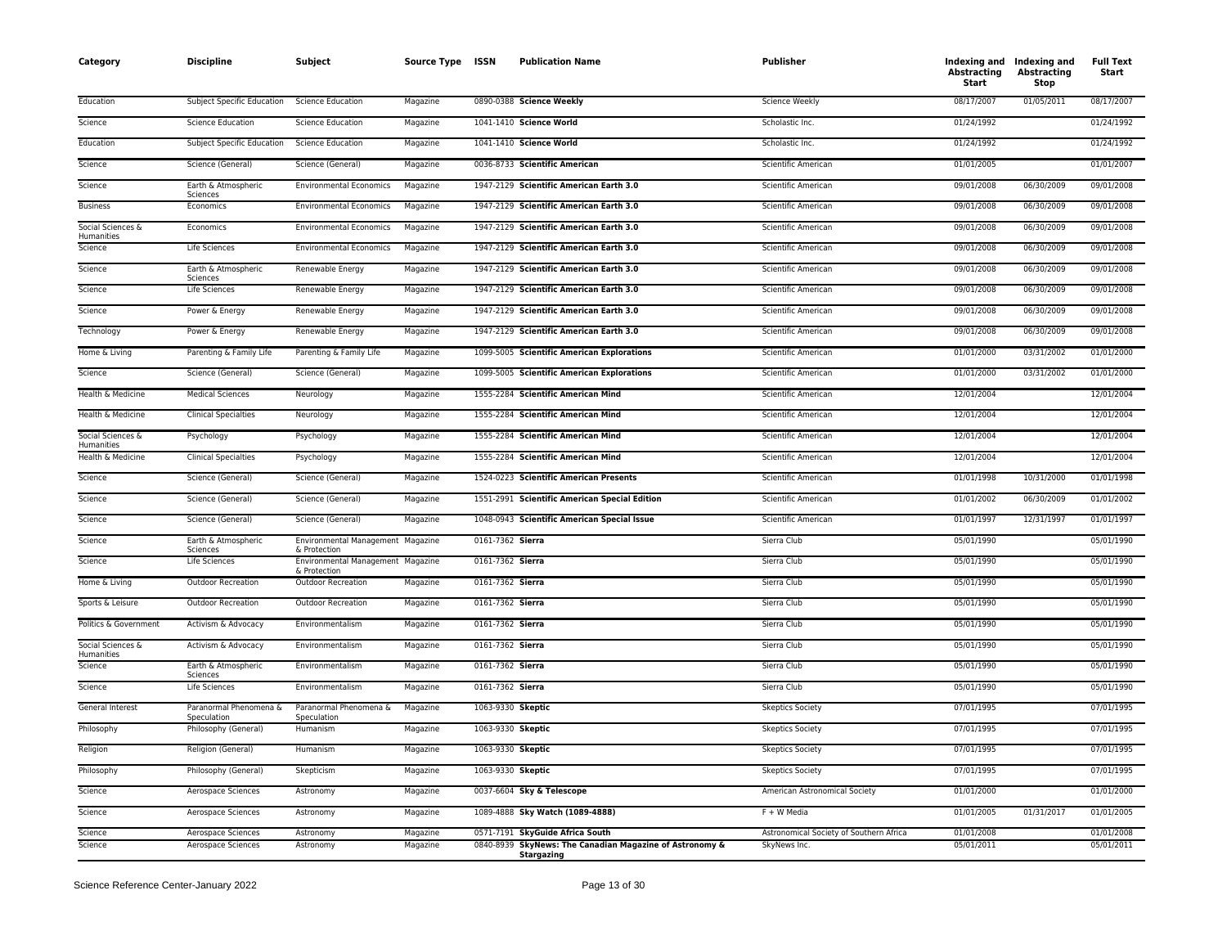| Category                        | <b>Discipline</b>                        | Subject                                           | Source Type ISSN     |                   | <b>Publication Name</b>                                                                    | <b>Publisher</b>                                        | <b>Abstracting</b><br>Start | Indexing and Indexing and<br><b>Abstracting</b><br>Stop | <b>Full Text</b><br>Start |
|---------------------------------|------------------------------------------|---------------------------------------------------|----------------------|-------------------|--------------------------------------------------------------------------------------------|---------------------------------------------------------|-----------------------------|---------------------------------------------------------|---------------------------|
| Education                       | Subject Specific Education               | <b>Science Education</b>                          | Magazine             |                   | 0890-0388 Science Weekly                                                                   | Science Weekly                                          | 08/17/2007                  | 01/05/2011                                              | 08/17/2007                |
| Science                         | <b>Science Education</b>                 | <b>Science Education</b>                          | Magazine             |                   | 1041-1410 Science World                                                                    | Scholastic Inc.                                         | 01/24/1992                  |                                                         | 01/24/1992                |
| Education                       | Subject Specific Education               | <b>Science Education</b>                          | Magazine             |                   | 1041-1410 Science World                                                                    | Scholastic Inc.                                         | 01/24/1992                  |                                                         | 01/24/1992                |
| Science                         | Science (General)                        | Science (General)                                 | Magazine             |                   | 0036-8733 Scientific American                                                              | Scientific American                                     | 01/01/2005                  |                                                         | 01/01/2007                |
| Science                         | Earth & Atmospheric<br>Sciences          | <b>Environmental Economics</b>                    | Magazine             |                   | 1947-2129 Scientific American Earth 3.0                                                    | Scientific American                                     | 09/01/2008                  | 06/30/2009                                              | 09/01/2008                |
| <b>Business</b>                 | Economics                                | <b>Environmental Economics</b>                    | Magazine             |                   | 1947-2129 Scientific American Earth 3.0                                                    | Scientific American                                     | 09/01/2008                  | 06/30/2009                                              | 09/01/2008                |
| Social Sciences &<br>Humanities | Economics                                | <b>Environmental Economics</b>                    | Magazine             |                   | 1947-2129 Scientific American Earth 3.0                                                    | Scientific American                                     | 09/01/2008                  | 06/30/2009                                              | 09/01/2008                |
| Science                         | Life Sciences                            | <b>Environmental Economics</b>                    | Magazine             |                   | 1947-2129 Scientific American Earth 3.0                                                    | Scientific American                                     | 09/01/2008                  | 06/30/2009                                              | 09/01/2008                |
| Science                         | Earth & Atmospheric<br>Sciences          | Renewable Energy                                  | Magazine             |                   | 1947-2129 Scientific American Earth 3.0                                                    | Scientific American                                     | 09/01/2008                  | 06/30/2009                                              | 09/01/2008                |
| Science                         | Life Sciences                            | Renewable Energy                                  | Magazine             |                   | 1947-2129 Scientific American Earth 3.0                                                    | Scientific American                                     | 09/01/2008                  | 06/30/2009                                              | 09/01/2008                |
| Science                         | Power & Energy                           | Renewable Energy                                  | Magazine             |                   | 1947-2129 Scientific American Earth 3.0                                                    | Scientific American                                     | 09/01/2008                  | 06/30/2009                                              | 09/01/2008                |
| Technology                      | Power & Energy                           | Renewable Energy                                  | Magazine             |                   | 1947-2129 Scientific American Earth 3.0                                                    | Scientific American                                     | 09/01/2008                  | 06/30/2009                                              | 09/01/2008                |
| Home & Living                   | Parenting & Family Life                  | Parenting & Family Life                           | Magazine             |                   | 1099-5005 Scientific American Explorations                                                 | Scientific American                                     | 01/01/2000                  | 03/31/2002                                              | 01/01/2000                |
| Science                         | Science (General)                        | Science (General)                                 | Magazine             |                   | 1099-5005 Scientific American Explorations                                                 | Scientific American                                     | 01/01/2000                  | 03/31/2002                                              | 01/01/2000                |
| Health & Medicine               | <b>Medical Sciences</b>                  | Neurology                                         | Magazine             |                   | 1555-2284 Scientific American Mind                                                         | Scientific American                                     | 12/01/2004                  |                                                         | 12/01/2004                |
| Health & Medicine               | <b>Clinical Specialties</b>              | Neurology                                         | Magazine             |                   | 1555-2284 Scientific American Mind                                                         | Scientific American                                     | 12/01/2004                  |                                                         | 12/01/2004                |
| Social Sciences &<br>Humanities | Psychology                               | Psychology                                        | Magazine             |                   | 1555-2284 Scientific American Mind                                                         | Scientific American                                     | 12/01/2004                  |                                                         | 12/01/2004                |
| Health & Medicine               | <b>Clinical Specialties</b>              | Psychology                                        | Magazine             |                   | 1555-2284 Scientific American Mind                                                         | Scientific American                                     | 12/01/2004                  |                                                         | 12/01/2004                |
| Science                         | Science (General)                        | Science (General)                                 | Magazine             |                   | 1524-0223 Scientific American Presents                                                     | Scientific American                                     | 01/01/1998                  | 10/31/2000                                              | 01/01/1998                |
| Science                         | Science (General)                        | Science (General)                                 | Magazine             |                   | 1551-2991 Scientific American Special Edition                                              | Scientific American                                     | 01/01/2002                  | 06/30/2009                                              | 01/01/2002                |
| Science                         | Science (General)                        | Science (General)                                 | Magazine             |                   | 1048-0943 Scientific American Special Issue                                                | Scientific American                                     | 01/01/1997                  | 12/31/1997                                              | 01/01/1997                |
| Science                         | Earth & Atmospheric<br>Sciences          | Environmental Management Magazine<br>& Protection |                      | 0161-7362 Sierra  |                                                                                            | Sierra Club                                             | 05/01/1990                  |                                                         | 05/01/1990                |
| Science                         | Life Sciences                            | Environmental Management Magazine<br>& Protection |                      | 0161-7362 Sierra  |                                                                                            | Sierra Club                                             | 05/01/1990                  |                                                         | 05/01/1990                |
| Home & Living                   | Outdoor Recreation                       | Outdoor Recreation                                | Magazine             | 0161-7362 Sierra  |                                                                                            | Sierra Club                                             | 05/01/1990                  |                                                         | 05/01/1990                |
| Sports & Leisure                | Outdoor Recreation                       | Outdoor Recreation                                | Magazine             | 0161-7362 Sierra  |                                                                                            | Sierra Club                                             | 05/01/1990                  |                                                         | 05/01/1990                |
| Politics & Government           | Activism & Advocacy                      | Environmentalism                                  | Magazine             | 0161-7362 Sierra  |                                                                                            | Sierra Club                                             | 05/01/1990                  |                                                         | 05/01/1990                |
| Social Sciences &<br>Humanities | Activism & Advocacy                      | Environmentalism                                  | Magazine             | 0161-7362 Sierra  |                                                                                            | Sierra Club                                             | 05/01/1990                  |                                                         | 05/01/1990                |
| Science                         | Earth & Atmospheric<br>Sciences          | Environmentalism                                  | Magazine             | 0161-7362 Sierra  |                                                                                            | Sierra Club                                             | 05/01/1990                  |                                                         | 05/01/1990                |
| Science                         | Life Sciences                            | Environmentalism                                  | Magazine             | 0161-7362 Sierra  |                                                                                            | Sierra Club                                             | 05/01/1990                  |                                                         | 05/01/1990                |
| General Interest                | Paranormal Phenomena &<br>Speculation    | Paranormal Phenomena &<br>Speculation             | Magazine             | 1063-9330 Skeptic |                                                                                            | <b>Skeptics Society</b>                                 | 07/01/1995                  |                                                         | 07/01/1995                |
| Philosophy                      | Philosophy (General)                     | Humanism                                          | Magazine             | 1063-9330 Skeptic |                                                                                            | <b>Skeptics Society</b>                                 | 07/01/1995                  |                                                         | 07/01/1995                |
| Religion                        | Religion (General)                       | Humanism                                          | Magazine             | 1063-9330 Skeptic |                                                                                            | <b>Skeptics Society</b>                                 | 07/01/1995                  |                                                         | 07/01/1995                |
| Philosophy                      | Philosophy (General)                     | Skepticism                                        | Magazine             | 1063-9330 Skeptic |                                                                                            | <b>Skeptics Society</b>                                 | 07/01/1995                  |                                                         | 07/01/1995                |
| Science                         | Aerospace Sciences                       | Astronomy                                         | Magazine             |                   | 0037-6604 Sky & Telescope                                                                  | American Astronomical Society                           | 01/01/2000                  |                                                         | 01/01/2000                |
| Science                         | Aerospace Sciences                       | Astronomy                                         | Magazine             |                   | 1089-4888 Sky Watch (1089-4888)                                                            | $F + W$ Media                                           | 01/01/2005                  | 01/31/2017                                              | 01/01/2005                |
| Science<br>Science              | Aerospace Sciences<br>Aerospace Sciences | Astronomy<br>Astronomy                            | Magazine<br>Magazine |                   | 0571-7191 SkyGuide Africa South<br>0840-8939 SkyNews: The Canadian Magazine of Astronomy & | Astronomical Society of Southern Africa<br>SkyNews Inc. | 01/01/2008<br>05/01/2011    |                                                         | 01/01/2008<br>05/01/2011  |
|                                 |                                          |                                                   |                      |                   | Stargazing                                                                                 |                                                         |                             |                                                         |                           |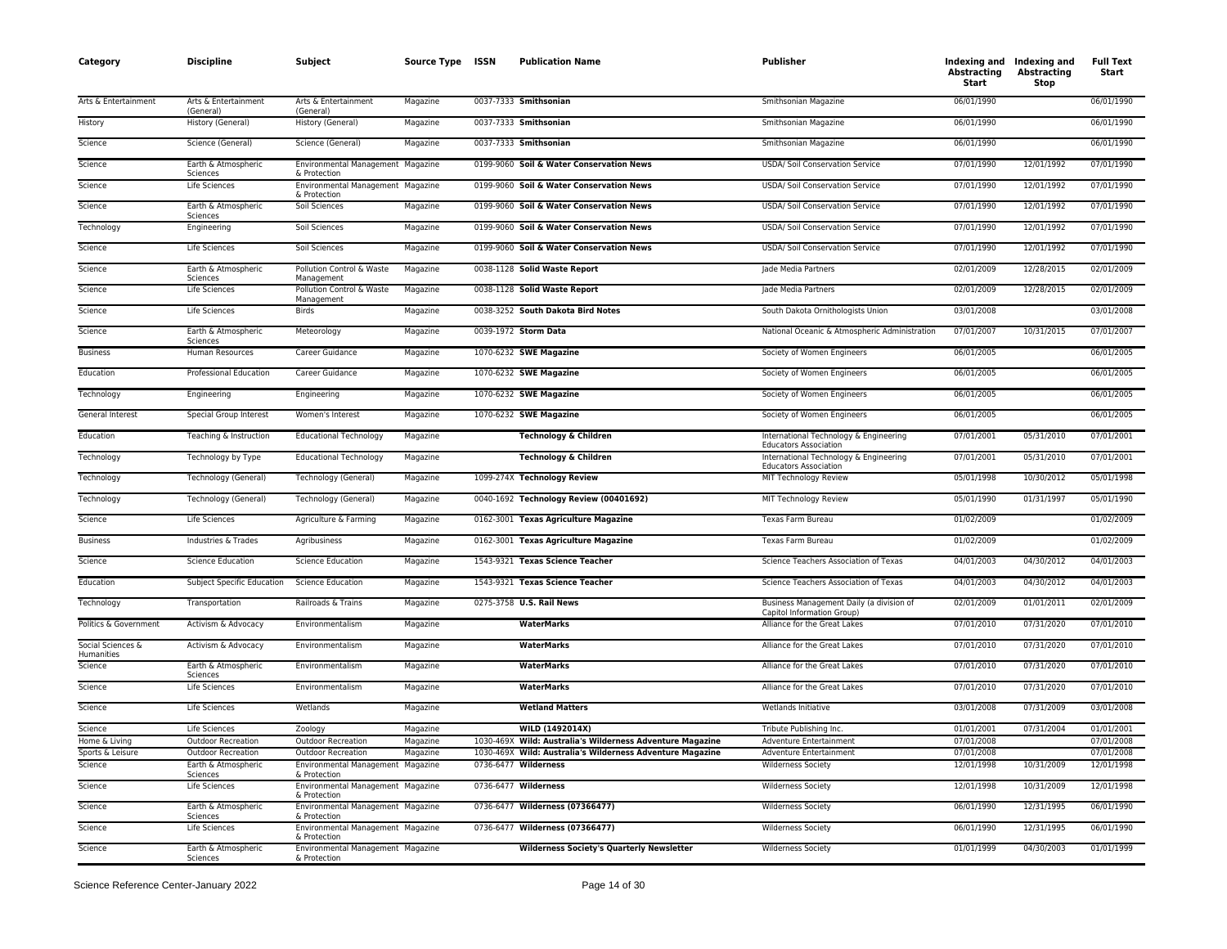| Category                        | <b>Discipline</b>                 | Subject                                           | Source Type ISSN | <b>Publication Name</b>                                   | <b>Publisher</b>                                                       | <b>Abstracting</b><br>Start | Indexing and Indexing and<br><b>Abstracting</b><br>Stop | <b>Full Text</b><br>Start |
|---------------------------------|-----------------------------------|---------------------------------------------------|------------------|-----------------------------------------------------------|------------------------------------------------------------------------|-----------------------------|---------------------------------------------------------|---------------------------|
| Arts & Entertainment            | Arts & Entertainment<br>(General) | Arts & Entertainment<br>(General)                 | Magazine         | 0037-7333 Smithsonian                                     | Smithsonian Magazine                                                   | 06/01/1990                  |                                                         | 06/01/1990                |
| History                         | History (General)                 | History (General)                                 | Magazine         | 0037-7333 Smithsonian                                     | Smithsonian Magazine                                                   | 06/01/1990                  |                                                         | 06/01/1990                |
| Science                         | Science (General)                 | Science (General)                                 | Magazine         | 0037-7333 Smithsonian                                     | Smithsonian Magazine                                                   | 06/01/1990                  |                                                         | 06/01/1990                |
| Science                         | Earth & Atmospheric<br>Sciences   | Environmental Management Magazine<br>& Protection |                  | 0199-9060 Soil & Water Conservation News                  | USDA/ Soil Conservation Service                                        | 07/01/1990                  | 12/01/1992                                              | 07/01/1990                |
| Science                         | Life Sciences                     | Environmental Management Magazine<br>& Protection |                  | 0199-9060 Soil & Water Conservation News                  | USDA/ Soil Conservation Service                                        | 07/01/1990                  | 12/01/1992                                              | 07/01/1990                |
| Science                         | Earth & Atmospheric<br>Sciences   | Soil Sciences                                     | Magazine         | 0199-9060 Soil & Water Conservation News                  | USDA/ Soil Conservation Service                                        | 07/01/1990                  | 12/01/1992                                              | 07/01/1990                |
| Technology                      | Engineering                       | Soil Sciences                                     | Magazine         | 0199-9060 Soil & Water Conservation News                  | USDA/ Soil Conservation Service                                        | 07/01/1990                  | 12/01/1992                                              | 07/01/1990                |
| Science                         | Life Sciences                     | Soil Sciences                                     | Magazine         | 0199-9060 Soil & Water Conservation News                  | USDA/ Soil Conservation Service                                        | 07/01/1990                  | 12/01/1992                                              | 07/01/1990                |
| Science                         | Earth & Atmospheric<br>Sciences   | Pollution Control & Waste<br>Management           | Magazine         | 0038-1128 Solid Waste Report                              | Jade Media Partners                                                    | 02/01/2009                  | 12/28/2015                                              | 02/01/2009                |
| Science                         | Life Sciences                     | Pollution Control & Waste<br>Management           | Magazine         | 0038-1128 Solid Waste Report                              | Jade Media Partners                                                    | 02/01/2009                  | 12/28/2015                                              | 02/01/2009                |
| Science                         | Life Sciences                     | <b>Birds</b>                                      | Magazine         | 0038-3252 South Dakota Bird Notes                         | South Dakota Ornithologists Union                                      | 03/01/2008                  |                                                         | 03/01/2008                |
| Science                         | Earth & Atmospheric<br>Sciences   | Meteorology                                       | Magazine         | 0039-1972 Storm Data                                      | National Oceanic & Atmospheric Administration                          | 07/01/2007                  | 10/31/2015                                              | 07/01/2007                |
| <b>Business</b>                 | Human Resources                   | Career Guidance                                   | Magazine         | 1070-6232 SWE Magazine                                    | Society of Women Engineers                                             | 06/01/2005                  |                                                         | 06/01/2005                |
| Education                       | <b>Professional Education</b>     | Career Guidance                                   | Magazine         | 1070-6232 SWE Magazine                                    | Society of Women Engineers                                             | 06/01/2005                  |                                                         | 06/01/2005                |
| Technology                      | Engineering                       | Engineering                                       | Magazine         | 1070-6232 SWE Magazine                                    | Society of Women Engineers                                             | 06/01/2005                  |                                                         | 06/01/2005                |
| General Interest                | Special Group Interest            | Women's Interest                                  | Magazine         | 1070-6232 SWE Magazine                                    | Society of Women Engineers                                             | 06/01/2005                  |                                                         | 06/01/2005                |
| Education                       | Teaching & Instruction            | <b>Educational Technology</b>                     | Magazine         | <b>Technology &amp; Children</b>                          | International Technology & Engineering<br><b>Educators Association</b> | 07/01/2001                  | 05/31/2010                                              | 07/01/2001                |
| Technology                      | Technology by Type                | <b>Educational Technology</b>                     | Magazine         | Technology & Children                                     | International Technology & Engineering<br><b>Educators Association</b> | 07/01/2001                  | 05/31/2010                                              | 07/01/2001                |
| Technology                      | Technology (General)              | Technology (General)                              | Magazine         | 1099-274X Technology Review                               | MIT Technology Review                                                  | 05/01/1998                  | 10/30/2012                                              | 05/01/1998                |
| Technology                      | Technology (General)              | Technology (General)                              | Magazine         | 0040-1692 Technology Review (00401692)                    | MIT Technology Review                                                  | 05/01/1990                  | 01/31/1997                                              | 05/01/1990                |
| Science                         | Life Sciences                     | Agriculture & Farming                             | Magazine         | 0162-3001 Texas Agriculture Magazine                      | Texas Farm Bureau                                                      | 01/02/2009                  |                                                         | 01/02/2009                |
| <b>Business</b>                 | Industries & Trades               | Agribusiness                                      | Magazine         | 0162-3001 Texas Agriculture Magazine                      | Texas Farm Bureau                                                      | 01/02/2009                  |                                                         | 01/02/2009                |
| Science                         | <b>Science Education</b>          | <b>Science Education</b>                          | Magazine         | 1543-9321 Texas Science Teacher                           | Science Teachers Association of Texas                                  | 04/01/2003                  | 04/30/2012                                              | 04/01/2003                |
| Education                       | <b>Subject Specific Education</b> | <b>Science Education</b>                          | Magazine         | 1543-9321 Texas Science Teacher                           | Science Teachers Association of Texas                                  | 04/01/2003                  | 04/30/2012                                              | 04/01/2003                |
| Technology                      | Transportation                    | Railroads & Trains                                | Magazine         | 0275-3758 U.S. Rail News                                  | Business Management Daily (a division of<br>Capitol Information Group) | 02/01/2009                  | 01/01/2011                                              | 02/01/2009                |
| Politics & Government           | Activism & Advocacy               | Environmentalism                                  | Magazine         | <b>WaterMarks</b>                                         | Alliance for the Great Lakes                                           | 07/01/2010                  | 07/31/2020                                              | 07/01/2010                |
| Social Sciences &<br>Humanities | Activism & Advocacy               | Environmentalism                                  | Magazine         | <b>WaterMarks</b>                                         | Alliance for the Great Lakes                                           | 07/01/2010                  | 07/31/2020                                              | 07/01/2010                |
| Science                         | Earth & Atmospheric<br>Sciences   | Environmentalism                                  | Magazine         | WaterMarks                                                | Alliance for the Great Lakes                                           | 07/01/2010                  | 07/31/2020                                              | 07/01/2010                |
| Science                         | Life Sciences                     | Environmentalism                                  | Magazine         | <b>WaterMarks</b>                                         | Alliance for the Great Lakes                                           | 07/01/2010                  | 07/31/2020                                              | 07/01/2010                |
| Science                         | Life Sciences                     | Wetlands                                          | Magazine         | <b>Wetland Matters</b>                                    | Wetlands Initiative                                                    | 03/01/2008                  | 07/31/2009                                              | 03/01/2008                |
| Science                         | Life Sciences                     | Zoology                                           | Magazine         | WILD (1492014X)                                           | Tribute Publishing Inc.                                                | 01/01/2001                  | 07/31/2004                                              | 01/01/2001                |
| Home & Living                   | Outdoor Recreation                | <b>Outdoor Recreation</b>                         | Magazine         | 1030-469X Wild: Australia's Wilderness Adventure Magazine | Adventure Entertainment                                                | 07/01/2008                  |                                                         | 07/01/2008                |
| Sports & Leisure                | Outdoor Recreation                | <b>Outdoor Recreation</b>                         | Magazine         | 1030-469X Wild: Australia's Wilderness Adventure Magazine | Adventure Entertainment                                                | 07/01/2008                  |                                                         | 07/01/2008                |
| Science                         | Earth & Atmospheric<br>Sciences   | Environmental Management Magazine<br>& Protection |                  | 0736-6477 Wilderness                                      | <b>Wilderness Society</b>                                              | 12/01/1998                  | 10/31/2009                                              | 12/01/1998                |
| Science                         | Life Sciences                     | Environmental Management Magazine<br>& Protection |                  | 0736-6477 Wilderness                                      | <b>Wilderness Society</b>                                              | 12/01/1998                  | 10/31/2009                                              | 12/01/1998                |
| Science                         | Earth & Atmospheric<br>Sciences   | Environmental Management Magazine<br>& Protection |                  | 0736-6477 Wilderness (07366477)                           | <b>Wilderness Society</b>                                              | 06/01/1990                  | 12/31/1995                                              | 06/01/1990                |
| Science                         | Life Sciences                     | Environmental Management Magazine<br>& Protection |                  | 0736-6477 Wilderness (07366477)                           | <b>Wilderness Society</b>                                              | 06/01/1990                  | 12/31/1995                                              | 06/01/1990                |
| Science                         | Earth & Atmospheric<br>Sciences   | Environmental Management Magazine<br>& Protection |                  | <b>Wilderness Society's Quarterly Newsletter</b>          | <b>Wilderness Society</b>                                              | 01/01/1999                  | 04/30/2003                                              | 01/01/1999                |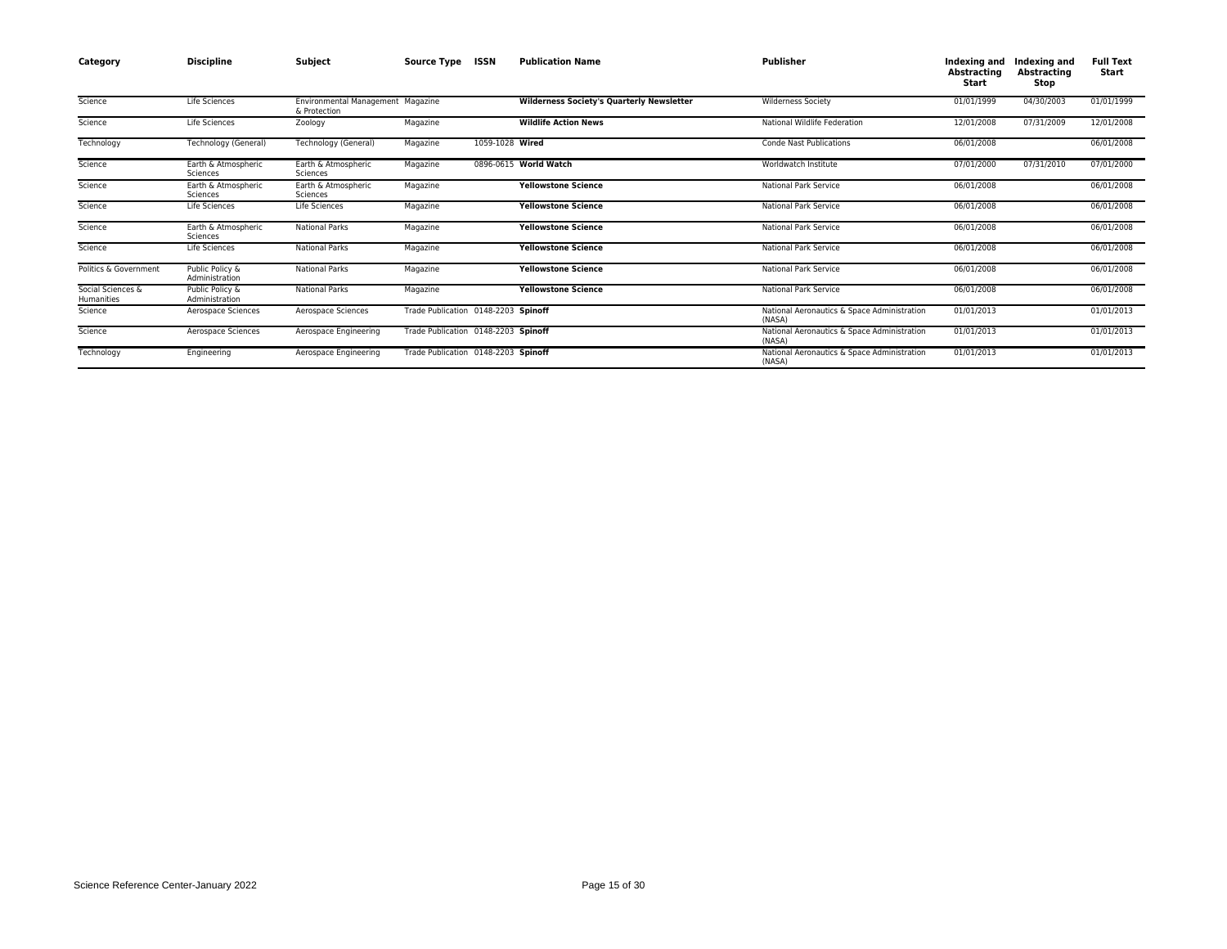| Category                        | <b>Discipline</b>                 | Subject                                           | <b>Source Type</b>                  | ISSN            | <b>Publication Name</b>                          | Publisher                                             | Indexing and<br><b>Abstracting</b><br>Start | Indexing and<br>Abstracting<br>Stop | <b>Full Text</b><br>Start |
|---------------------------------|-----------------------------------|---------------------------------------------------|-------------------------------------|-----------------|--------------------------------------------------|-------------------------------------------------------|---------------------------------------------|-------------------------------------|---------------------------|
| Science                         | Life Sciences                     | Environmental Management Magazine<br>& Protection |                                     |                 | <b>Wilderness Society's Quarterly Newsletter</b> | <b>Wilderness Society</b>                             | 01/01/1999                                  | 04/30/2003                          | 01/01/1999                |
| Science                         | Life Sciences                     | Zoology                                           | Magazine                            |                 | <b>Wildlife Action News</b>                      | National Wildlife Federation                          | 12/01/2008                                  | 07/31/2009                          | 12/01/2008                |
| Technology                      | Technology (General)              | Technology (General)                              | Magazine                            | 1059-1028 Wired |                                                  | <b>Conde Nast Publications</b>                        | 06/01/2008                                  |                                     | 06/01/2008                |
| Science                         | Earth & Atmospheric<br>Sciences   | Earth & Atmospheric<br>Sciences                   | Magazine                            |                 | 0896-0615 World Watch                            | Worldwatch Institute                                  | 07/01/2000                                  | 07/31/2010                          | 07/01/2000                |
| Science                         | Earth & Atmospheric<br>Sciences   | Earth & Atmospheric<br>Sciences                   | Magazine                            |                 | <b>Yellowstone Science</b>                       | <b>National Park Service</b>                          | 06/01/2008                                  |                                     | 06/01/2008                |
| Science                         | Life Sciences                     | Life Sciences                                     | Magazine                            |                 | <b>Yellowstone Science</b>                       | National Park Service                                 | 06/01/2008                                  |                                     | 06/01/2008                |
| Science                         | Earth & Atmospheric<br>Sciences   | <b>National Parks</b>                             | Magazine                            |                 | <b>Yellowstone Science</b>                       | <b>National Park Service</b>                          | 06/01/2008                                  |                                     | 06/01/2008                |
| Science                         | Life Sciences                     | <b>National Parks</b>                             | Magazine                            |                 | <b>Yellowstone Science</b>                       | <b>National Park Service</b>                          | 06/01/2008                                  |                                     | 06/01/2008                |
| Politics & Government           | Public Policy &<br>Administration | <b>National Parks</b>                             | Magazine                            |                 | <b>Yellowstone Science</b>                       | National Park Service                                 | 06/01/2008                                  |                                     | 06/01/2008                |
| Social Sciences &<br>Humanities | Public Policy &<br>Administration | <b>National Parks</b>                             | Magazine                            |                 | <b>Yellowstone Science</b>                       | <b>National Park Service</b>                          | 06/01/2008                                  |                                     | 06/01/2008                |
| Science                         | Aerospace Sciences                | Aerospace Sciences                                | Trade Publication 0148-2203 Spinoff |                 |                                                  | National Aeronautics & Space Administration<br>(NASA) | 01/01/2013                                  |                                     | 01/01/2013                |
| Science                         | Aerospace Sciences                | Aerospace Engineering                             | Trade Publication 0148-2203 Spinoff |                 |                                                  | National Aeronautics & Space Administration<br>(NASA) | 01/01/2013                                  |                                     | 01/01/2013                |
| Technology                      | Engineering                       | Aerospace Engineering                             | Trade Publication 0148-2203 Spinoff |                 |                                                  | National Aeronautics & Space Administration<br>(NASA) | 01/01/2013                                  |                                     | 01/01/2013                |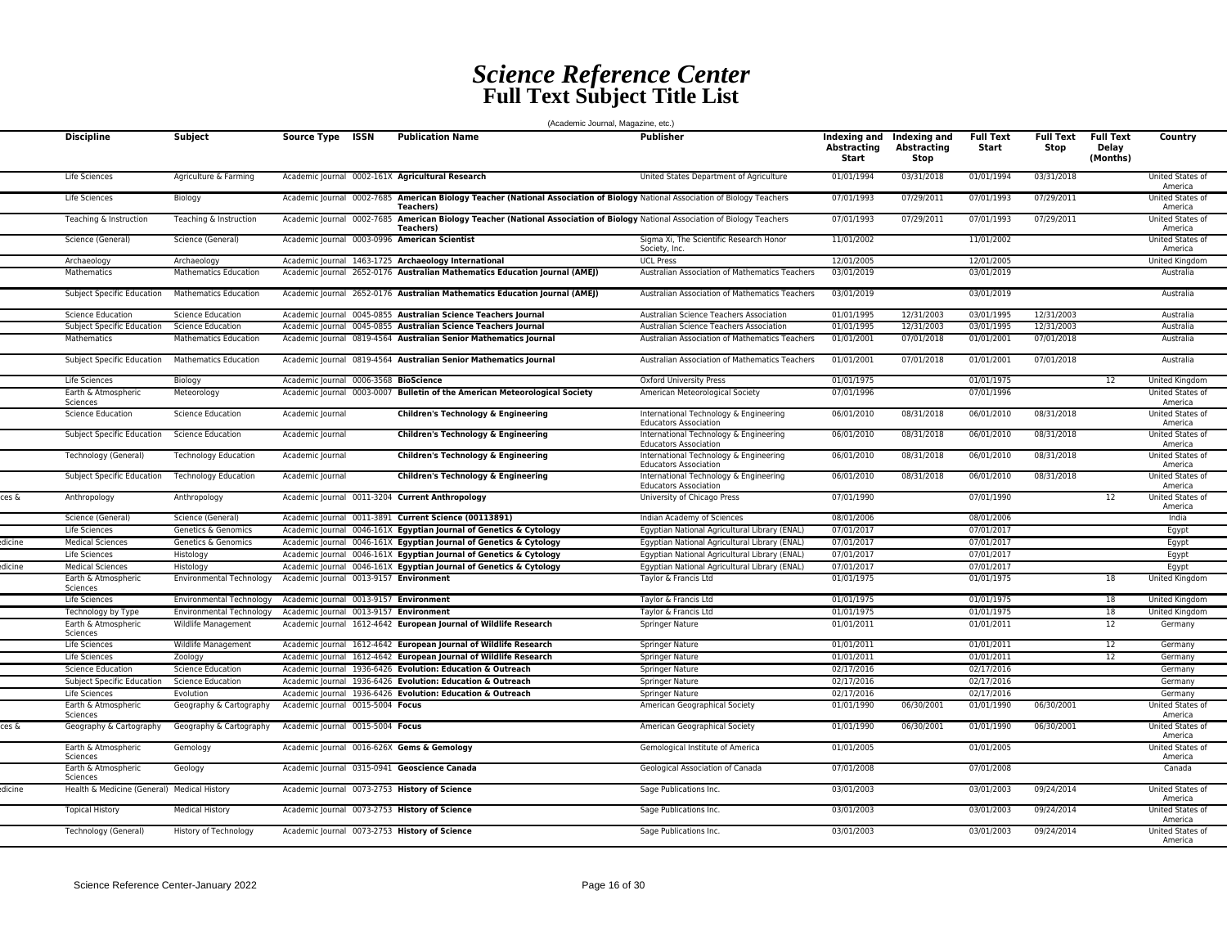## *Science Reference Center* **Full Text Subject Title List**

|        |                                             |                                   |                                                                     | (Academic Journal, Magazine, etc.)                                                                                                                 |                                                                                                       |                                      |                                            |                           |                          |                                       |                                                 |
|--------|---------------------------------------------|-----------------------------------|---------------------------------------------------------------------|----------------------------------------------------------------------------------------------------------------------------------------------------|-------------------------------------------------------------------------------------------------------|--------------------------------------|--------------------------------------------|---------------------------|--------------------------|---------------------------------------|-------------------------------------------------|
|        | <b>Discipline</b>                           | <b>Subject</b>                    | <b>ISSN</b><br><b>Source Type</b>                                   | <b>Publication Name</b>                                                                                                                            | <b>Publisher</b>                                                                                      | Indexing and<br>Abstracting<br>Start | Indexing and<br><b>Abstracting</b><br>Stop | <b>Full Text</b><br>Start | <b>Full Text</b><br>Stop | <b>Full Text</b><br>Delay<br>(Months) | Country                                         |
|        | Life Sciences                               | Agriculture & Farming             | Academic Journal 0002-161X Agricultural Research                    |                                                                                                                                                    | United States Department of Agriculture                                                               | 01/01/1994                           | 03/31/2018                                 | 01/01/1994                | 03/31/2018               |                                       | United States of<br>America                     |
|        | Life Sciences                               | Biology                           |                                                                     | Academic Journal 0002-7685 American Biology Teacher (National Association of Biology National Association of Biology Teachers<br><b>Teachers</b> ) |                                                                                                       | 07/01/1993                           | 07/29/2011                                 | 07/01/1993                | 07/29/2011               |                                       | United States of<br>America                     |
|        | Teaching & Instruction                      | Teaching & Instruction            |                                                                     | Academic Journal 0002-7685 American Biology Teacher (National Association of Biology National Association of Biology Teachers<br><b>Teachers</b> ) |                                                                                                       | 07/01/1993                           | 07/29/2011                                 | 07/01/1993                | 07/29/2011               |                                       | United States of<br>America                     |
|        | Science (General)                           | Science (General)                 | Academic Journal 0003-0996 American Scientist                       |                                                                                                                                                    | Sigma Xi, The Scientific Research Honor<br>Society, Inc.                                              | 11/01/2002                           |                                            | 11/01/2002                |                          |                                       | United States of<br>America                     |
|        | Archaeology                                 | Archaeology                       |                                                                     | Academic Journal 1463-1725 Archaeology International                                                                                               | <b>UCL Press</b>                                                                                      | 12/01/2005                           |                                            | 12/01/2005                |                          |                                       | United Kingdom                                  |
|        | <b>Mathematics</b>                          | <b>Mathematics Education</b>      |                                                                     | Academic Journal 2652-0176 Australian Mathematics Education Journal (AMEJ)                                                                         | <b>Australian Association of Mathematics Teachers</b>                                                 | 03/01/2019                           |                                            | 03/01/2019                |                          |                                       | Australia                                       |
|        | Subject Specific Education                  | <b>Mathematics Education</b>      |                                                                     | Academic Journal 2652-0176 Australian Mathematics Education Journal (AMEJ)                                                                         | Australian Association of Mathematics Teachers                                                        | 03/01/2019                           |                                            | 03/01/2019                |                          |                                       | Australia                                       |
|        | <b>Science Education</b>                    | <b>Science Education</b>          |                                                                     | Academic Journal 0045-0855 Australian Science Teachers Journal                                                                                     | Australian Science Teachers Association                                                               | 01/01/1995                           | 12/31/2003                                 | 03/01/1995                | 12/31/2003               |                                       | Australia                                       |
|        | Subject Specific Education                  | Science Education                 |                                                                     | Academic Journal 0045-0855 Australian Science Teachers Journal                                                                                     | Australian Science Teachers Association                                                               | 01/01/1995                           | 12/31/2003                                 | 03/01/1995                | 12/31/2003               |                                       | Australia                                       |
|        | Mathematics                                 | <b>Mathematics Education</b>      |                                                                     | Academic Journal 0819-4564 Australian Senior Mathematics Journal                                                                                   | Australian Association of Mathematics Teachers                                                        | 01/01/2001                           | 07/01/2018                                 | 01/01/2001                | 07/01/2018               |                                       | Australia                                       |
|        | Subject Specific Education                  | <b>Mathematics Education</b>      |                                                                     | Academic Journal 0819-4564 Australian Senior Mathematics Journal                                                                                   | Australian Association of Mathematics Teachers                                                        | 01/01/2001                           | 07/01/2018                                 | 01/01/2001                | 07/01/2018               |                                       | Australia                                       |
|        | Life Sciences                               | Biology                           | Academic Journal 0006-3568 BioScience                               |                                                                                                                                                    | <b>Oxford University Press</b>                                                                        | 01/01/1975                           |                                            | 01/01/1975                |                          | 12                                    | <b>United Kingdom</b>                           |
|        | Earth & Atmospheric<br>Sciences             | Meteorology                       |                                                                     | Academic Journal 0003-0007 Bulletin of the American Meteorological Society                                                                         | American Meteorological Society                                                                       | 07/01/1996                           |                                            | 07/01/1996                |                          |                                       | United States of<br>America                     |
|        | <b>Science Education</b>                    | <b>Science Education</b>          | Academic Journal                                                    | Children's Technology & Engineering                                                                                                                | International Technology & Engineering<br><b>Educators Association</b>                                | 06/01/2010                           | 08/31/2018                                 | 06/01/2010                | 08/31/2018               |                                       | United States of<br>America                     |
|        | Subject Specific Education                  | <b>Science Education</b>          | Academic Journal                                                    | Children's Technology & Engineering                                                                                                                | International Technology & Engineering<br><b>Educators Association</b>                                | 06/01/2010                           | 08/31/2018                                 | 06/01/2010                | 08/31/2018               |                                       | United States of<br>America                     |
|        | Technology (General)                        | <b>Technology Education</b>       | Academic Journal                                                    | Children's Technology & Engineering                                                                                                                | International Technology & Engineering<br><b>Educators Association</b>                                | 06/01/2010                           | 08/31/2018                                 | 06/01/2010                | 08/31/2018               |                                       | United States of<br>America                     |
| ces &  | Subject Specific Education                  | <b>Technology Education</b>       | Academic Journal<br>Academic Journal 0011-3204 Current Anthropology | Children's Technology & Engineering                                                                                                                | International Technology & Engineering<br><b>Educators Association</b><br>University of Chicago Press | 06/01/2010<br>07/01/1990             | 08/31/2018                                 | 06/01/2010<br>07/01/1990  | 08/31/2018               | 12                                    | United States of<br>America<br>United States of |
|        | Anthropology<br>Science (General)           | Anthropology<br>Science (General) |                                                                     | Academic lournal 0011-3891 Current Science (00113891)                                                                                              | Indian Academy of Sciences                                                                            | 08/01/2006                           |                                            | 08/01/2006                |                          |                                       | America<br>India                                |
|        | Life Sciences                               | <b>Genetics &amp; Genomics</b>    |                                                                     | Academic Journal 0046-161X Egyptian Journal of Genetics & Cytology                                                                                 | Eqyptian National Agricultural Library (ENAL)                                                         | 07/01/2017                           |                                            | 07/01/2017                |                          |                                       |                                                 |
| licine | <b>Medical Sciences</b>                     | Genetics & Genomics               |                                                                     | Academic Journal 0046-161X Egyptian Journal of Genetics & Cytology                                                                                 | Egyptian National Agricultural Library (ENAL)                                                         | 07/01/2017                           |                                            | 07/01/2017                |                          |                                       | Egypt<br>Egypt                                  |
|        | Life Sciences                               | Histology                         |                                                                     | Academic Journal 0046-161X Egyptian Journal of Genetics & Cytology                                                                                 | Egyptian National Agricultural Library (ENAL)                                                         | 07/01/2017                           |                                            | 07/01/2017                |                          |                                       | Egypt                                           |
| dicine | <b>Medical Sciences</b>                     | Histology                         |                                                                     | Academic Journal 0046-161X Egyptian Journal of Genetics & Cytology                                                                                 | Egyptian National Agricultural Library (ENAL)                                                         | 07/01/2017                           |                                            | 07/01/2017                |                          |                                       | Egypt                                           |
|        | Earth & Atmospheric<br>Sciences             | <b>Environmental Technology</b>   | Academic Journal 0013-9157 Environment                              |                                                                                                                                                    | Taylor & Francis Ltd                                                                                  | 01/01/1975                           |                                            | 01/01/1975                |                          | 18                                    | United Kingdom                                  |
|        | Life Sciences                               | <b>Environmental Technology</b>   | Academic Journal 0013-9157 Environment                              |                                                                                                                                                    | Taylor & Francis Ltd                                                                                  | 01/01/1975                           |                                            | 01/01/1975                |                          | 18                                    | United Kingdom                                  |
|        | Technology by Type                          | <b>Environmental Technology</b>   | Academic lournal 0013-9157 Environment                              |                                                                                                                                                    | Taylor & Francis Ltd                                                                                  | 01/01/1975                           |                                            | 01/01/1975                |                          | 18                                    | United Kingdom                                  |
|        | Earth & Atmospheric<br>Sciences             | Wildlife Management               |                                                                     | Academic Journal 1612-4642 European Journal of Wildlife Research                                                                                   | Springer Nature                                                                                       | 01/01/2011                           |                                            | 01/01/2011                |                          | 12                                    | Germany                                         |
|        | Life Sciences                               | Wildlife Management               |                                                                     | Academic Journal 1612-4642 European Journal of Wildlife Research                                                                                   | Springer Nature                                                                                       | 01/01/2011                           |                                            | 01/01/2011                |                          | 12                                    | Germany                                         |
|        | Life Sciences                               | Zoology                           |                                                                     | Academic Journal 1612-4642 European Journal of Wildlife Research                                                                                   | Springer Nature                                                                                       | 01/01/2011                           |                                            | 01/01/2011                |                          | 12                                    | Germany                                         |
|        | <b>Science Education</b>                    | <b>Science Education</b>          | Academic Journal                                                    | 1936-6426 Evolution: Education & Outreach                                                                                                          | Springer Nature                                                                                       | 02/17/2016                           |                                            | 02/17/2016                |                          |                                       | Germany                                         |
|        | Subject Specific Education                  | <b>Science Education</b>          |                                                                     | Academic Journal 1936-6426 Evolution: Education & Outreach                                                                                         | <b>Springer Nature</b>                                                                                | 02/17/2016                           |                                            | 02/17/2016                |                          |                                       | Germany                                         |
|        | Life Sciences                               | Evolution                         |                                                                     | Academic Journal 1936-6426 Evolution: Education & Outreach                                                                                         | Springer Nature                                                                                       | 02/17/2016                           |                                            | 02/17/2016                |                          |                                       | Germany                                         |
|        | Earth & Atmospheric<br>Sciences             | Geography & Cartography           | Academic Journal 0015-5004 Focus                                    |                                                                                                                                                    | American Geographical Society                                                                         | 01/01/1990                           | 06/30/2001                                 | 01/01/1990                | 06/30/2001               |                                       | United States of<br>America                     |
| ces &  | Geography & Cartography                     | Geography & Cartography           | Academic Journal 0015-5004 Focus                                    |                                                                                                                                                    | American Geographical Society                                                                         | 01/01/1990                           | 06/30/2001                                 | 01/01/1990                | 06/30/2001               |                                       | United States of<br>America                     |
|        | Earth & Atmospheric<br>Sciences             | Gemology                          | Academic Journal 0016-626X Gems & Gemology                          |                                                                                                                                                    | Gemological Institute of America                                                                      | 01/01/2005                           |                                            | 01/01/2005                |                          |                                       | United States of<br>America                     |
|        | Earth & Atmospheric<br>Sciences             | Geology                           | Academic Journal 0315-0941 Geoscience Canada                        |                                                                                                                                                    | Geological Association of Canada                                                                      | 07/01/2008                           |                                            | 07/01/2008                |                          |                                       | Canada                                          |
| dicine | Health & Medicine (General) Medical History |                                   | Academic Journal 0073-2753 History of Science                       |                                                                                                                                                    | Sage Publications Inc.                                                                                | 03/01/2003                           |                                            | 03/01/2003                | 09/24/2014               |                                       | United States of<br>America                     |
|        | <b>Topical History</b>                      | <b>Medical History</b>            | Academic Journal 0073-2753 History of Science                       |                                                                                                                                                    | Sage Publications Inc.                                                                                | 03/01/2003                           |                                            | 03/01/2003                | 09/24/2014               |                                       | United States of<br>America                     |
|        | Technology (General)                        | <b>History of Technology</b>      | Academic Journal 0073-2753 History of Science                       |                                                                                                                                                    | Sage Publications Inc.                                                                                | 03/01/2003                           |                                            | 03/01/2003                | 09/24/2014               |                                       | United States of<br>America                     |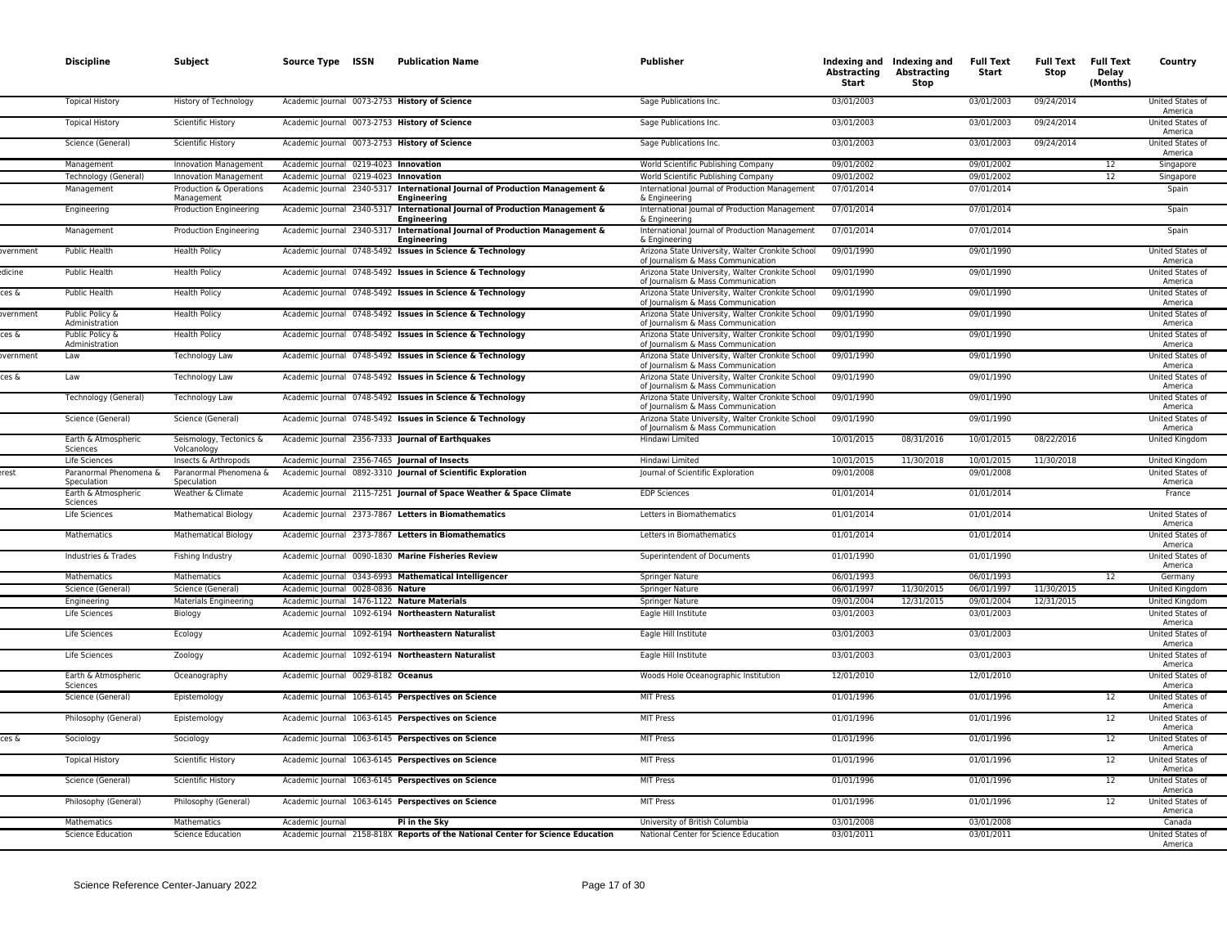|                 | <b>Discipline</b>                                      | Subject                                                       | Source Type ISSN                                  | <b>Publication Name</b>                                                                                                | Publisher                                                                                                                                  | Abstracting<br>Start     | Indexing and Indexing and<br><b>Abstracting</b><br>Stop | <b>Full Text</b><br>Start | <b>Full Text</b><br>Stop | <b>Full Text</b><br><b>Delay</b><br>(Months) | Country                                         |
|-----------------|--------------------------------------------------------|---------------------------------------------------------------|---------------------------------------------------|------------------------------------------------------------------------------------------------------------------------|--------------------------------------------------------------------------------------------------------------------------------------------|--------------------------|---------------------------------------------------------|---------------------------|--------------------------|----------------------------------------------|-------------------------------------------------|
|                 | <b>Topical History</b>                                 | History of Technology                                         | Academic Journal 0073-2753 History of Science     |                                                                                                                        | Sage Publications Inc.                                                                                                                     | 03/01/2003               |                                                         | 03/01/2003                | 09/24/2014               |                                              | United States of<br>America                     |
|                 | <b>Topical History</b>                                 | Scientific History                                            | Academic Journal 0073-2753 History of Science     |                                                                                                                        | Sage Publications Inc.                                                                                                                     | 03/01/2003               |                                                         | 03/01/2003                | 09/24/2014               |                                              | United States of<br>America                     |
|                 | Science (General)                                      | Scientific History                                            | Academic Journal 0073-2753 History of Science     |                                                                                                                        | Sage Publications Inc.                                                                                                                     | 03/01/2003               |                                                         | 03/01/2003                | 09/24/2014               |                                              | United States of<br>America                     |
|                 | Management                                             | <b>Innovation Management</b>                                  | Academic Journal 0219-4023 Innovation             |                                                                                                                        | World Scientific Publishing Company                                                                                                        | 09/01/2002               |                                                         | 09/01/2002                |                          | 12                                           | Singapore                                       |
|                 | Technology (General)                                   | <b>Innovation Management</b>                                  | Academic Journal 0219-4023 Innovation             |                                                                                                                        | World Scientific Publishing Company                                                                                                        | 09/01/2002               |                                                         | 09/01/2002                |                          | 12                                           | Singapore                                       |
|                 | Management                                             | Production & Operations<br>Management                         |                                                   | Academic Journal 2340-5317 International Journal of Production Management &<br><b>Engineering</b>                      | International Journal of Production Management<br>& Engineering                                                                            | 07/01/2014               |                                                         | 07/01/2014                |                          |                                              | Spain                                           |
|                 | Engineering                                            | Production Engineering                                        |                                                   | Academic Journal 2340-5317 International Journal of Production Management &<br>Engineering                             | International Journal of Production Management<br>& Engineering                                                                            | 07/01/2014               |                                                         | 07/01/2014                |                          |                                              | Spain                                           |
|                 | Management                                             | Production Engineering                                        |                                                   | Academic Journal 2340-5317 International Journal of Production Management &<br>Engineering                             | International Journal of Production Management<br>& Engineering                                                                            | 07/01/2014               |                                                         | 07/01/2014                |                          |                                              | Spain                                           |
| overnment       | Public Health                                          | <b>Health Policy</b>                                          |                                                   | Academic Journal 0748-5492 Issues in Science & Technology                                                              | Arizona State University, Walter Cronkite School<br>of Journalism & Mass Communication                                                     | 09/01/1990               |                                                         | 09/01/1990                |                          |                                              | United States of<br>America                     |
| dicine<br>ces & | <b>Public Health</b><br>Public Health                  | <b>Health Policy</b>                                          |                                                   | Academic Journal 0748-5492 Issues in Science & Technology<br>Academic Journal 0748-5492 Issues in Science & Technology | Arizona State University, Walter Cronkite School<br>of Journalism & Mass Communication                                                     | 09/01/1990<br>09/01/1990 |                                                         | 09/01/1990<br>09/01/1990  |                          |                                              | United States of<br>America<br>United States of |
| overnment       |                                                        | <b>Health Policy</b><br><b>Health Policy</b>                  |                                                   |                                                                                                                        | Arizona State University, Walter Cronkite School<br>of Journalism & Mass Communication                                                     |                          |                                                         |                           |                          |                                              | America<br>United States of                     |
| ces &           | Public Policy &<br>Administration<br>Public Policy &   | <b>Health Policy</b>                                          |                                                   | Academic Journal 0748-5492 Issues in Science & Technology<br>Academic Journal 0748-5492 Issues in Science & Technology | Arizona State University, Walter Cronkite School<br>of Journalism & Mass Communication<br>Arizona State University, Walter Cronkite School | 09/01/1990<br>09/01/1990 |                                                         | 09/01/1990<br>09/01/1990  |                          |                                              | America<br>United States of                     |
|                 | Administration                                         |                                                               |                                                   |                                                                                                                        | of Journalism & Mass Communication                                                                                                         |                          |                                                         |                           |                          |                                              | America                                         |
| overnment       | Law                                                    | Technology Law                                                |                                                   | Academic Journal 0748-5492 Issues in Science & Technology                                                              | Arizona State University, Walter Cronkite School<br>of Journalism & Mass Communication                                                     | 09/01/1990               |                                                         | 09/01/1990                |                          |                                              | United States of<br>America                     |
| ces &           | Law                                                    | Technology Law                                                |                                                   | Academic Journal 0748-5492 Issues in Science & Technology                                                              | Arizona State University, Walter Cronkite School<br>of Journalism & Mass Communication                                                     | 09/01/1990               |                                                         | 09/01/1990                |                          |                                              | United States of<br>America                     |
|                 | Technology (General)                                   | Technology Law                                                |                                                   | Academic Journal 0748-5492 Issues in Science & Technology                                                              | Arizona State University, Walter Cronkite School<br>of Journalism & Mass Communication                                                     | 09/01/1990               |                                                         | 09/01/1990                |                          |                                              | United States of<br>America                     |
|                 | Science (General)                                      | Science (General)                                             |                                                   | Academic Journal 0748-5492 Issues in Science & Technology                                                              | Arizona State University, Walter Cronkite School<br>of Journalism & Mass Communication                                                     | 09/01/1990               |                                                         | 09/01/1990                |                          |                                              | United States of<br>America                     |
|                 | Earth & Atmospheric<br>Sciences                        | Seismology, Tectonics &<br>Volcanology                        | Academic Journal 2356-7333 Journal of Earthquakes |                                                                                                                        | Hindawi Limited                                                                                                                            | 10/01/2015               | 08/31/2016                                              | 10/01/2015                | 08/22/2016               |                                              | United Kingdom                                  |
| erest           | Life Sciences<br>Paranormal Phenomena &<br>Speculation | Insects & Arthropods<br>Paranormal Phenomena &<br>Speculation | Academic Journal 2356-7465 Journal of Insects     | Academic Journal 0892-3310 Journal of Scientific Exploration                                                           | Hindawi Limited<br>Journal of Scientific Exploration                                                                                       | 10/01/2015<br>09/01/2008 | 11/30/2018                                              | 10/01/2015<br>09/01/2008  | 11/30/2018               |                                              | United Kingdom<br>United States of<br>America   |
|                 | Earth & Atmospheric<br>Sciences                        | Weather & Climate                                             |                                                   | Academic Journal 2115-7251 Journal of Space Weather & Space Climate                                                    | <b>EDP Sciences</b>                                                                                                                        | 01/01/2014               |                                                         | 01/01/2014                |                          |                                              | France                                          |
|                 | Life Sciences                                          | <b>Mathematical Biology</b>                                   |                                                   | Academic Journal 2373-7867 Letters in Biomathematics                                                                   | Letters in Biomathematics                                                                                                                  | 01/01/2014               |                                                         | 01/01/2014                |                          |                                              | United States of<br>America                     |
|                 | Mathematics                                            | <b>Mathematical Biology</b>                                   |                                                   | Academic Journal 2373-7867 Letters in Biomathematics                                                                   | Letters in Biomathematics                                                                                                                  | 01/01/2014               |                                                         | 01/01/2014                |                          |                                              | United States of<br>America                     |
|                 | Industries & Trades                                    | Fishing Industry                                              |                                                   | Academic Journal 0090-1830 Marine Fisheries Review                                                                     | <b>Superintendent of Documents</b>                                                                                                         | 01/01/1990               |                                                         | 01/01/1990                |                          |                                              | United States of<br>America                     |
|                 | Mathematics                                            | Mathematics                                                   |                                                   | Academic Journal 0343-6993 Mathematical Intelligencer                                                                  | <b>Springer Nature</b>                                                                                                                     | 06/01/1993               |                                                         | 06/01/1993                |                          | 12                                           | Germany                                         |
|                 | Science (General)                                      | Science (General)                                             | Academic Journal 0028-0836 Nature                 |                                                                                                                        | Springer Nature                                                                                                                            | 06/01/1997               | 11/30/2015                                              | 06/01/1997                | 11/30/2015               |                                              | United Kingdom                                  |
|                 | Engineering                                            | <b>Materials Engineering</b>                                  | Academic Journal 1476-1122 Nature Materials       |                                                                                                                        | Springer Nature                                                                                                                            | 09/01/2004               | 12/31/2015                                              | 09/01/2004                | 12/31/2015               |                                              | United Kingdom                                  |
|                 | Life Sciences                                          | Biology                                                       |                                                   | Academic Journal 1092-6194 Northeastern Naturalist                                                                     | Eagle Hill Institute                                                                                                                       | 03/01/2003               |                                                         | 03/01/2003                |                          |                                              | United States of<br>America                     |
|                 | Life Sciences                                          | Ecology                                                       |                                                   | Academic Journal 1092-6194 Northeastern Naturalist                                                                     | Eagle Hill Institute                                                                                                                       | 03/01/2003               |                                                         | 03/01/2003                |                          |                                              | United States of<br>America                     |
|                 | Life Sciences                                          | Zoology                                                       |                                                   | Academic Journal 1092-6194 Northeastern Naturalist                                                                     | Eagle Hill Institute                                                                                                                       | 03/01/2003               |                                                         | 03/01/2003                |                          |                                              | United States of<br>America                     |
|                 | Earth & Atmospheric<br>Sciences                        | Oceanography                                                  | Academic Journal 0029-8182 Oceanus                |                                                                                                                        | Woods Hole Oceanographic Institution<br><b>MIT Press</b>                                                                                   | 12/01/2010<br>01/01/1996 |                                                         | 12/01/2010<br>01/01/1996  |                          |                                              | United States of<br>America<br>United States of |
|                 | Science (General)                                      | Epistemology                                                  |                                                   | Academic Journal 1063-6145 Perspectives on Science<br>Academic Journal 1063-6145 Perspectives on Science               | <b>MIT Press</b>                                                                                                                           | 01/01/1996               |                                                         | 01/01/1996                |                          | 12<br>12                                     | America<br>United States of                     |
| ces &           | Philosophy (General)                                   | Epistemology                                                  |                                                   | Academic Journal 1063-6145 Perspectives on Science                                                                     |                                                                                                                                            | 01/01/1996               |                                                         | 01/01/1996                |                          |                                              | America                                         |
|                 | Sociology<br><b>Topical History</b>                    | Sociology<br>Scientific History                               |                                                   | Academic Journal 1063-6145 Perspectives on Science                                                                     | <b>MIT Press</b><br><b>MIT Press</b>                                                                                                       | 01/01/1996               |                                                         | 01/01/1996                |                          | 12<br>12                                     | United States of<br>America<br>United States of |
|                 | Science (General)                                      | Scientific History                                            |                                                   | Academic Journal 1063-6145 Perspectives on Science                                                                     | <b>MIT Press</b>                                                                                                                           | 01/01/1996               |                                                         | 01/01/1996                |                          | 12                                           | America<br>United States of                     |
|                 | Philosophy (General)                                   | Philosophy (General)                                          |                                                   | Academic Journal 1063-6145 Perspectives on Science                                                                     | <b>MIT Press</b>                                                                                                                           | 01/01/1996               |                                                         | 01/01/1996                |                          | 12                                           | America<br>United States of                     |
|                 |                                                        |                                                               |                                                   |                                                                                                                        |                                                                                                                                            |                          |                                                         |                           |                          |                                              | America                                         |
|                 | Mathematics<br><b>Science Education</b>                | Mathematics<br><b>Science Education</b>                       | Academic Journal                                  | Pi in the Sky<br>Academic Journal 2158-818X Reports of the National Center for Science Education                       | University of British Columbia<br>National Center for Science Education                                                                    | 03/01/2008<br>03/01/2011 |                                                         | 03/01/2008<br>03/01/2011  |                          |                                              | Canada<br>United States of                      |
|                 |                                                        |                                                               |                                                   |                                                                                                                        |                                                                                                                                            |                          |                                                         |                           |                          |                                              | America                                         |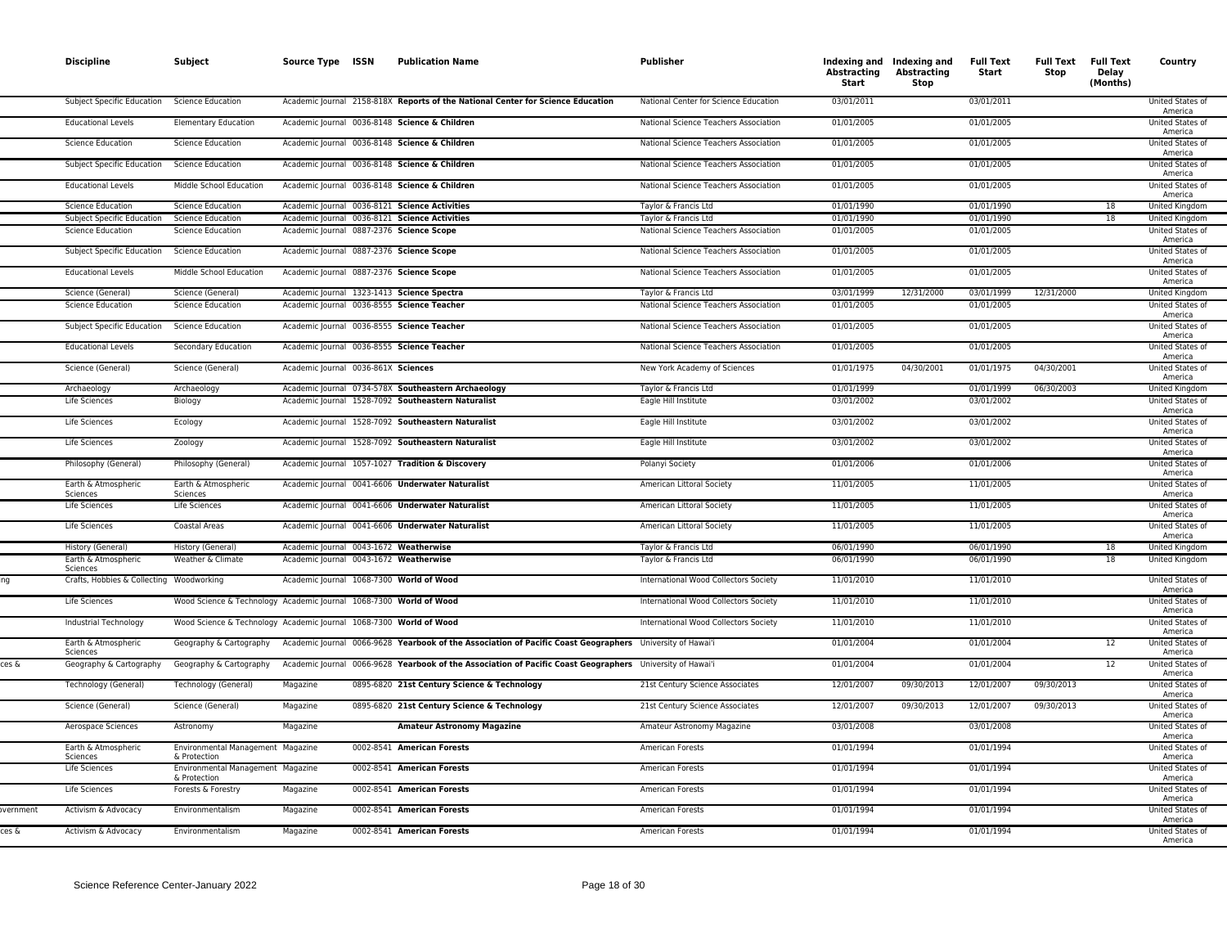|          | <b>Discipline</b>                        | Subject                                                            | Source Type ISSN                       | <b>Publication Name</b>                                                                                   | <b>Publisher</b>                      | Abstracting<br>Start | Indexing and Indexing and<br>Abstracting<br>Stop | <b>Full Text</b><br>Start | <b>Full Text Full Text</b><br>Stop | Delay<br>(Months) | Country                            |
|----------|------------------------------------------|--------------------------------------------------------------------|----------------------------------------|-----------------------------------------------------------------------------------------------------------|---------------------------------------|----------------------|--------------------------------------------------|---------------------------|------------------------------------|-------------------|------------------------------------|
|          | <b>Subject Specific Education</b>        | <b>Science Education</b>                                           |                                        | Academic Journal 2158-818X Reports of the National Center for Science Education                           | National Center for Science Education | 03/01/2011           |                                                  | 03/01/2011                |                                    |                   | United States of<br>America        |
|          | <b>Educational Levels</b>                | <b>Elementary Education</b>                                        |                                        | Academic Journal 0036-8148 Science & Children                                                             | National Science Teachers Association | 01/01/2005           |                                                  | 01/01/2005                |                                    |                   | United States of<br>America        |
|          | <b>Science Education</b>                 | <b>Science Education</b>                                           |                                        | Academic Journal 0036-8148 Science & Children                                                             | National Science Teachers Association | 01/01/2005           |                                                  | 01/01/2005                |                                    |                   | United States of<br>America        |
|          | Subject Specific Education               | <b>Science Education</b>                                           |                                        | Academic Journal 0036-8148 Science & Children                                                             | National Science Teachers Association | 01/01/2005           |                                                  | 01/01/2005                |                                    |                   | United States of<br>America        |
|          | <b>Educational Levels</b>                | Middle School Education                                            |                                        | Academic Journal 0036-8148 Science & Children                                                             | National Science Teachers Association | 01/01/2005           |                                                  | 01/01/2005                |                                    |                   | United States of<br>America        |
|          | <b>Science Education</b>                 | Science Education                                                  |                                        | Academic Journal 0036-8121 Science Activities                                                             | Taylor & Francis Ltd                  | 01/01/1990           |                                                  | 01/01/1990                |                                    | 18                | United Kingdom                     |
|          | Subject Specific Education               | <b>Science Education</b>                                           |                                        | Academic Journal 0036-8121 Science Activities                                                             | Taylor & Francis Ltd                  | 01/01/1990           |                                                  | 01/01/1990                |                                    | 18                | United Kingdom                     |
|          | <b>Science Education</b>                 | <b>Science Education</b>                                           |                                        | Academic Journal 0887-2376 Science Scope                                                                  | National Science Teachers Association | 01/01/2005           |                                                  | 01/01/2005                |                                    |                   | United States of<br>America        |
|          | Subject Specific Education               | <b>Science Education</b>                                           |                                        | Academic Journal 0887-2376 Science Scope                                                                  | National Science Teachers Association | 01/01/2005           |                                                  | 01/01/2005                |                                    |                   | United States of<br>America        |
|          | <b>Educational Levels</b>                | Middle School Education                                            |                                        | Academic Journal 0887-2376 Science Scope                                                                  | National Science Teachers Association | 01/01/2005           |                                                  | 01/01/2005                |                                    |                   | United States of<br>America        |
|          | Science (General)                        | Science (General)                                                  |                                        | Academic Journal 1323-1413 Science Spectra                                                                | Taylor & Francis Ltd                  | 03/01/1999           | 12/31/2000                                       | 03/01/1999                | 12/31/2000                         |                   | <b>United Kingdom</b>              |
|          | <b>Science Education</b>                 | <b>Science Education</b>                                           |                                        | Academic Journal 0036-8555 Science Teacher                                                                | National Science Teachers Association | 01/01/2005           |                                                  | 01/01/2005                |                                    |                   | United States of<br>America        |
|          | Subject Specific Education               | <b>Science Education</b>                                           |                                        | Academic Journal 0036-8555 Science Teacher                                                                | National Science Teachers Association | 01/01/2005           |                                                  | 01/01/2005                |                                    |                   | United States of<br>America        |
|          | <b>Educational Levels</b>                | Secondary Education                                                |                                        | Academic Journal 0036-8555 Science Teacher                                                                | National Science Teachers Association | 01/01/2005           |                                                  | 01/01/2005                |                                    |                   | United States of<br>America        |
|          | Science (General)                        | Science (General)                                                  | Academic Journal 0036-861X Sciences    |                                                                                                           | New York Academy of Sciences          | 01/01/1975           | 04/30/2001                                       | 01/01/1975                | 04/30/2001                         |                   | United States of<br>America        |
|          | Archaeology                              | Archaeology                                                        |                                        | Academic Journal 0734-578X Southeastern Archaeology                                                       | Taylor & Francis Ltd                  | 01/01/1999           |                                                  | 01/01/1999                | 06/30/2003                         |                   | United Kingdom                     |
|          | Life Sciences                            | Biology                                                            |                                        | Academic Journal 1528-7092 Southeastern Naturalist                                                        | Eagle Hill Institute                  | 03/01/2002           |                                                  | 03/01/2002                |                                    |                   | <b>United States of</b><br>America |
|          | Life Sciences                            | Ecology                                                            |                                        | Academic Journal 1528-7092 Southeastern Naturalist                                                        | Eagle Hill Institute                  | 03/01/2002           |                                                  | 03/01/2002                |                                    |                   | United States of<br>America        |
|          | Life Sciences                            | Zoology                                                            |                                        | Academic Journal 1528-7092 Southeastern Naturalist                                                        | Eagle Hill Institute                  | 03/01/2002           |                                                  | 03/01/2002                |                                    |                   | United States of<br>America        |
|          | Philosophy (General)                     | Philosophy (General)                                               |                                        | Academic Journal 1057-1027 Tradition & Discovery                                                          | Polanyi Society                       | 01/01/2006           |                                                  | 01/01/2006                |                                    |                   | United States of<br>America        |
|          | Earth & Atmospheric<br>Sciences          | Earth & Atmospheric<br>Sciences                                    |                                        | Academic Journal 0041-6606 Underwater Naturalist                                                          | American Littoral Society             | 11/01/2005           |                                                  | 11/01/2005                |                                    |                   | United States of<br>America        |
|          | Life Sciences                            | Life Sciences                                                      |                                        | Academic Journal 0041-6606 Underwater Naturalist                                                          | American Littoral Society             | 11/01/2005           |                                                  | 11/01/2005                |                                    |                   | United States of<br>America        |
|          | Life Sciences                            | Coastal Areas                                                      |                                        | Academic Journal 0041-6606 Underwater Naturalist                                                          | American Littoral Society             | 11/01/2005           |                                                  | 11/01/2005                |                                    |                   | United States of<br>America        |
|          | History (General)                        | History (General)                                                  | Academic Journal 0043-1672 Weatherwise |                                                                                                           | Taylor & Francis Ltd                  | 06/01/1990           |                                                  | 06/01/1990                |                                    | 18                | United Kingdom                     |
|          | Earth & Atmospheric<br>Sciences          | Weather & Climate                                                  | Academic Journal 0043-1672 Weatherwise |                                                                                                           | Taylor & Francis Ltd                  | 06/01/1990           |                                                  | 06/01/1990                |                                    | 18                | United Kingdom                     |
|          | Crafts, Hobbies & Collecting Woodworking |                                                                    |                                        | Academic Journal 1068-7300 World of Wood                                                                  | International Wood Collectors Society | 11/01/2010           |                                                  | 11/01/2010                |                                    |                   | United States of<br>America        |
|          | Life Sciences                            | Wood Science & Technology Academic Journal 1068-7300 World of Wood |                                        |                                                                                                           | International Wood Collectors Society | 11/01/2010           |                                                  | 11/01/2010                |                                    |                   | United States of<br>America        |
|          | Industrial Technology                    | Wood Science & Technology Academic Journal 1068-7300 World of Wood |                                        |                                                                                                           | International Wood Collectors Society | 11/01/2010           |                                                  | 11/01/2010                |                                    |                   | United States of<br>America        |
|          | Earth & Atmospheric<br>Sciences          | Geography & Cartography                                            |                                        | Academic Journal 0066-9628 Yearbook of the Association of Pacific Coast Geographers University of Hawai'i |                                       | 01/01/2004           |                                                  | 01/01/2004                |                                    | 12                | United States of<br>America        |
| es &:    | Geography & Cartography                  | Geography & Cartography                                            |                                        | Academic Journal 0066-9628 Yearbook of the Association of Pacific Coast Geographers University of Hawai'i |                                       | 01/01/2004           |                                                  | 01/01/2004                |                                    | 12                | United States of<br>America        |
|          | Technology (General)                     | Technology (General)                                               | Magazine                               | 0895-6820 21st Century Science & Technology                                                               | 21st Century Science Associates       | 12/01/2007           | 09/30/2013                                       | 12/01/2007                | 09/30/2013                         |                   | United States of<br>America        |
|          | Science (General)                        | Science (General)                                                  | Magazine                               | 0895-6820 21st Century Science & Technology                                                               | 21st Century Science Associates       | 12/01/2007           | 09/30/2013                                       | 12/01/2007                | 09/30/2013                         |                   | United States of<br>America        |
|          | Aerospace Sciences                       | Astronomy                                                          | Magazine                               | <b>Amateur Astronomy Magazine</b>                                                                         | Amateur Astronomy Magazine            | 03/01/2008           |                                                  | 03/01/2008                |                                    |                   | <b>United States of</b><br>America |
|          | Earth & Atmospheric<br>Sciences          | Environmental Management Magazine<br>& Protection                  |                                        | 0002-8541 American Forests                                                                                | American Forests                      | 01/01/1994           |                                                  | 01/01/1994                |                                    |                   | <b>United States of</b><br>America |
|          | Life Sciences                            | Environmental Management Magazine<br>& Protection                  |                                        | 0002-8541 American Forests                                                                                | American Forests                      | 01/01/1994           |                                                  | 01/01/1994                |                                    |                   | United States of<br>America        |
|          | Life Sciences                            | Forests & Forestry                                                 | Magazine                               | 0002-8541 American Forests                                                                                | American Forests                      | 01/01/1994           |                                                  | 01/01/1994                |                                    |                   | United States of<br>America        |
| vernment | Activism & Advocacy                      | Environmentalism                                                   | Magazine                               | 0002-8541 American Forests                                                                                | American Forests                      | 01/01/1994           |                                                  | 01/01/1994                |                                    |                   | United States of<br>America        |
| ces &    | Activism & Advocacy                      | Environmentalism                                                   | Magazine                               | 0002-8541 American Forests                                                                                | American Forests                      | 01/01/1994           |                                                  | 01/01/1994                |                                    |                   | United States of<br>America        |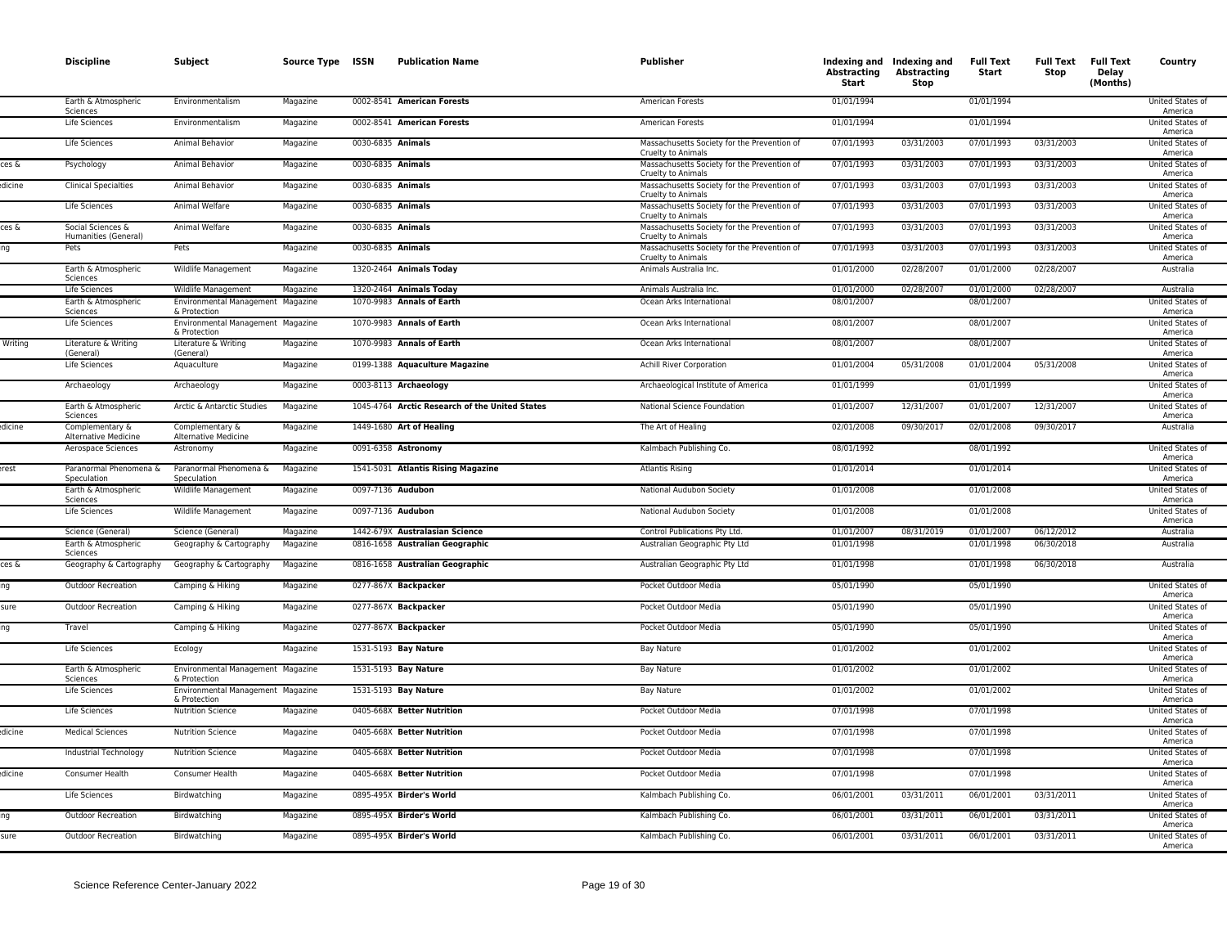|         | <b>Discipline</b>                         | Subject                                           | Source Type ISSN | <b>Publication Name</b>                        | <b>Publisher</b>                                                  | Abstracting<br>Start | Indexing and Indexing and<br><b>Abstracting</b><br><b>Stop</b> | <b>Full Text</b><br>Start | <b>Full Text</b><br>Stop | <b>Full Text</b><br>Delay<br>(Months) | Country                            |
|---------|-------------------------------------------|---------------------------------------------------|------------------|------------------------------------------------|-------------------------------------------------------------------|----------------------|----------------------------------------------------------------|---------------------------|--------------------------|---------------------------------------|------------------------------------|
|         | Earth & Atmospheric<br>Sciences           | Environmentalism                                  | Magazine         | 0002-8541 American Forests                     | American Forests                                                  | 01/01/1994           |                                                                | 01/01/1994                |                          |                                       | United States of<br>America        |
|         | Life Sciences                             | Environmentalism                                  | Magazine         | 0002-8541 American Forests                     | American Forests                                                  | 01/01/1994           |                                                                | 01/01/1994                |                          |                                       | <b>United States of</b><br>America |
|         | Life Sciences                             | Animal Behavior                                   | Magazine         | 0030-6835 Animals                              | Massachusetts Society for the Prevention of<br>Cruelty to Animals | 07/01/1993           | 03/31/2003                                                     | 07/01/1993                | 03/31/2003               |                                       | United States of<br>America        |
| ces δ   | Psychology                                | Animal Behavior                                   | Magazine         | 0030-6835 Animals                              | Massachusetts Society for the Prevention of<br>Cruelty to Animals | 07/01/1993           | 03/31/2003                                                     | 07/01/1993                | 03/31/2003               |                                       | United States of<br>America        |
| dicine  | <b>Clinical Specialties</b>               | Animal Behavior                                   | Magazine         | 0030-6835 Animals                              | Massachusetts Society for the Prevention of<br>Cruelty to Animals | 07/01/1993           | 03/31/2003                                                     | 07/01/1993                | 03/31/2003               |                                       | <b>United States of</b><br>America |
|         | Life Sciences                             | Animal Welfare                                    | Magazine         | 0030-6835 Animals                              | Massachusetts Society for the Prevention of<br>Cruelty to Animals | 07/01/1993           | 03/31/2003                                                     | 07/01/1993                | 03/31/2003               |                                       | <b>United States of</b><br>America |
| ces δ   | Social Sciences &<br>Humanities (General) | Animal Welfare                                    | Magazine         | 0030-6835 Animals                              | Massachusetts Society for the Prevention of<br>Cruelty to Animals | 07/01/1993           | 03/31/2003                                                     | 07/01/1993                | 03/31/2003               |                                       | United States of<br>America        |
|         | Pets                                      | Pets                                              | Magazine         | 0030-6835 Animals                              | Massachusetts Society for the Prevention of<br>Cruelty to Animals | 07/01/1993           | 03/31/2003                                                     | 07/01/1993                | 03/31/2003               |                                       | United States of<br>America        |
|         | Earth & Atmospheric<br>Sciences           | Wildlife Management                               | Magazine         | 1320-2464 Animals Today                        | Animals Australia Inc.                                            | 01/01/2000           | 02/28/2007                                                     | 01/01/2000                | 02/28/2007               |                                       | Australia                          |
|         | Life Sciences                             | Wildlife Management                               | Magazine         | 1320-2464 Animals Today                        | Animals Australia Inc.                                            | 01/01/2000           | 02/28/2007                                                     | 01/01/2000                | 02/28/2007               |                                       | Australia                          |
|         | Earth & Atmospheric<br>Sciences           | Environmental Management Magazine<br>& Protection |                  | 1070-9983 Annals of Earth                      | Ocean Arks International                                          | 08/01/2007           |                                                                | 08/01/2007                |                          |                                       | United States of<br>America        |
|         | <b>Life Sciences</b>                      | Environmental Management Magazine<br>& Protection |                  | 1070-9983 Annals of Earth                      | Ocean Arks International                                          | 08/01/2007           |                                                                | 08/01/2007                |                          |                                       | <b>United States of</b><br>America |
| Writing | Literature & Writing<br>(General)         | Literature & Writing<br>(General)                 | Magazine         | 1070-9983 Annals of Earth                      | Ocean Arks International                                          | 08/01/2007           |                                                                | 08/01/2007                |                          |                                       | United States of<br>America        |
|         | Life Sciences                             | Aquaculture                                       | Magazine         | 0199-1388 Aquaculture Magazine                 | <b>Achill River Corporation</b>                                   | 01/01/2004           | 05/31/2008                                                     | 01/01/2004                | 05/31/2008               |                                       | United States of<br>America        |
|         | Archaeology                               | Archaeology                                       | Magazine         | 0003-8113 Archaeology                          | Archaeological Institute of America                               | 01/01/1999           |                                                                | 01/01/1999                |                          |                                       | United States of<br>America        |
|         | Earth & Atmospheric<br>Sciences           | Arctic & Antarctic Studies                        | Magazine         | 1045-4764 Arctic Research of the United States | National Science Foundation                                       | 01/01/2007           | 12/31/2007                                                     | 01/01/2007                | 12/31/2007               |                                       | United States of<br>America        |
| dicine  | Complementary &<br>Alternative Medicine   | Complementary &<br>Alternative Medicine           | Magazine         | 1449-1680 Art of Healing                       | The Art of Healing                                                | 02/01/2008           | 09/30/2017                                                     | 02/01/2008                | 09/30/2017               |                                       | Australia                          |
|         | Aerospace Sciences                        | Astronomy                                         | Magazine         | 0091-6358 Astronomy                            | Kalmbach Publishing Co.                                           | 08/01/1992           |                                                                | 08/01/1992                |                          |                                       | United States of<br>America        |
| erest   | Paranormal Phenomena &<br>Speculation     | Paranormal Phenomena &<br>Speculation             | Magazine         | 1541-5031 Atlantis Rising Magazine             | <b>Atlantis Rising</b>                                            | 01/01/2014           |                                                                | 01/01/2014                |                          |                                       | United States of<br>America        |
|         | Earth & Atmospheric<br>Sciences           | Wildlife Management                               | Magazine         | 0097-7136 Audubon                              | National Audubon Society                                          | 01/01/2008           |                                                                | 01/01/2008                |                          |                                       | United States of<br>America        |
|         | Life Sciences                             | Wildlife Management                               | Magazine         | 0097-7136 Audubon                              | National Audubon Society                                          | 01/01/2008           |                                                                | 01/01/2008                |                          |                                       | United States of<br>America        |
|         | Science (General)                         | Science (General)                                 | Magazine         | 1442-679X Australasian Science                 | Control Publications Pty Ltd.                                     | 01/01/2007           | 08/31/2019                                                     | 01/01/2007                | 06/12/2012               |                                       | Australia                          |
|         | Earth & Atmospheric<br>Sciences           | Geography & Cartography                           | Magazine         | 0816-1658 Australian Geographic                | Australian Geographic Pty Ltd                                     | 01/01/1998           |                                                                | 01/01/1998                | 06/30/2018               |                                       | Australia                          |
| ces δ   | Geography & Cartography                   | Geography & Cartography                           | Magazine         | 0816-1658 Australian Geographic                | Australian Geographic Pty Ltd                                     | 01/01/1998           |                                                                | 01/01/1998                | 06/30/2018               |                                       | Australia                          |
|         | Outdoor Recreation                        | Camping & Hiking                                  | Magazine         | 0277-867X Backpacker                           | Pocket Outdoor Media                                              | 05/01/1990           |                                                                | 05/01/1990                |                          |                                       | United States of<br>America        |
| SLIPA   | Outdoor Recreation                        | Camping & Hiking                                  | Magazine         | 0277-867X Backpacker                           | Pocket Outdoor Media                                              | 05/01/1990           |                                                                | 05/01/1990                |                          |                                       | United States of<br>America        |
|         | Travel                                    | Camping & Hiking                                  | Magazine         | 0277-867X Backpacker                           | Pocket Outdoor Media                                              | 05/01/1990           |                                                                | 05/01/1990                |                          |                                       | <b>United States of</b><br>America |
|         | Life Sciences                             | Ecology                                           | Magazine         | 1531-5193 Bay Nature                           | Bay Nature                                                        | 01/01/2002           |                                                                | 01/01/2002                |                          |                                       | United States of<br>America        |
|         | Earth & Atmospheric<br>Sciences           | Environmental Management Magazine<br>& Protection |                  | 1531-5193 Bay Nature                           | Bay Nature                                                        | 01/01/2002           |                                                                | 01/01/2002                |                          |                                       | United States of<br>America        |
|         | Life Sciences                             | Environmental Management Magazine<br>& Protection |                  | 1531-5193 Bay Nature                           | Bay Nature                                                        | 01/01/2002           |                                                                | 01/01/2002                |                          |                                       | United States of<br>America        |
|         | Life Sciences                             | <b>Nutrition Science</b>                          | Magazine         | 0405-668X Better Nutrition                     | Pocket Outdoor Media                                              | 07/01/1998           |                                                                | 07/01/1998                |                          |                                       | United States of<br>America        |
| dicine  | <b>Medical Sciences</b>                   | <b>Nutrition Science</b>                          | Magazine         | 0405-668X Better Nutrition                     | Pocket Outdoor Media                                              | 07/01/1998           |                                                                | 07/01/1998                |                          |                                       | United States of<br>America        |
|         | Industrial Technology                     | <b>Nutrition Science</b>                          | Magazine         | 0405-668X Better Nutrition                     | Pocket Outdoor Media                                              | 07/01/1998           |                                                                | 07/01/1998                |                          |                                       | <b>United States of</b><br>America |
| dicine  | Consumer Health                           | Consumer Health                                   | Magazine         | 0405-668X Better Nutrition                     | Pocket Outdoor Media                                              | 07/01/1998           |                                                                | 07/01/1998                |                          |                                       | United States of<br>America        |
|         | <b>Life Sciences</b>                      | Birdwatching                                      | Magazine         | 0895-495X Birder's World                       | Kalmbach Publishing Co.                                           | 06/01/2001           | 03/31/2011                                                     | 06/01/2001                | 03/31/2011               |                                       | <b>United States of</b><br>America |
|         | Outdoor Recreation                        | Birdwatching                                      | Magazine         | 0895-495X Birder's World                       | Kalmbach Publishing Co.                                           | 06/01/2001           | 03/31/2011                                                     | 06/01/2001                | 03/31/2011               |                                       | United States of<br>America        |
| sure    | <b>Outdoor Recreation</b>                 | Birdwatching                                      | Magazine         | 0895-495X Birder's World                       | Kalmbach Publishing Co.                                           | 06/01/2001           | 03/31/2011                                                     | 06/01/2001                | 03/31/2011               |                                       | United States of<br>America        |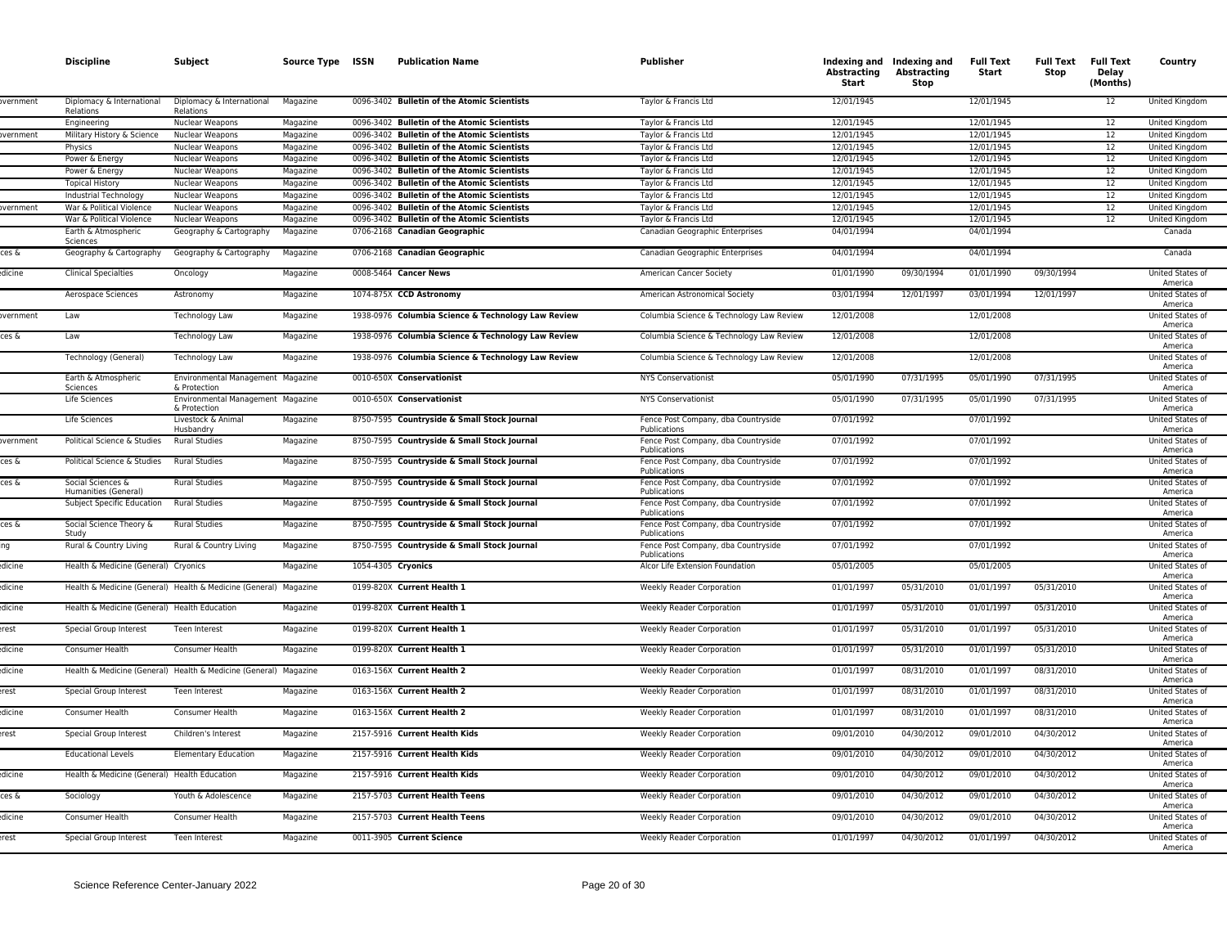|                   | <b>Discipline</b>                                | Subject                                                          | Source Type ISSN     | <b>Publication Name</b>                                  | Publisher                                                     | Abstracting<br>Start     | Indexing and Indexing and<br>Abstracting<br>Stop | <b>Full Text</b><br>Start | <b>Full Text</b><br>Stop | <b>Full Text</b><br>Delay<br>(Months) | Country                                                |
|-------------------|--------------------------------------------------|------------------------------------------------------------------|----------------------|----------------------------------------------------------|---------------------------------------------------------------|--------------------------|--------------------------------------------------|---------------------------|--------------------------|---------------------------------------|--------------------------------------------------------|
| overnment         | Diplomacy & International<br>Relations           | Diplomacy & International<br>Relations                           | Magazine             | 0096-3402 Bulletin of the Atomic Scientists              | Taylor & Francis Ltd                                          | 12/01/1945               |                                                  | 12/01/1945                |                          | 12                                    | United Kingdom                                         |
|                   | Engineering                                      | Nuclear Weapons                                                  | Magazine             | 0096-3402 Bulletin of the Atomic Scientists              | Taylor & Francis Ltd                                          | 12/01/1945               |                                                  | 12/01/1945                |                          | 12                                    | United Kingdom                                         |
| vernment          | Military History & Science                       | Nuclear Weapons                                                  | Magazine             | 0096-3402 Bulletin of the Atomic Scientists              | Taylor & Francis Ltd                                          | 12/01/1945               |                                                  | 12/01/1945                |                          | 12                                    | United Kingdom                                         |
|                   | Physics                                          | Nuclear Weapons                                                  | Magazine             | 0096-3402 Bulletin of the Atomic Scientists              | Taylor & Francis Ltd                                          | 12/01/1945               |                                                  | 12/01/1945                |                          | 12                                    | <b>United Kingdom</b>                                  |
|                   | Power & Energy                                   | Nuclear Weapons                                                  | Magazine             | 0096-3402 Bulletin of the Atomic Scientists              | Taylor & Francis Ltd                                          | 12/01/1945               |                                                  | 12/01/1945                |                          | 12                                    | United Kingdom                                         |
|                   | Power & Energy                                   | Nuclear Weapons                                                  | Magazine             | 0096-3402 Bulletin of the Atomic Scientists              | Taylor & Francis Ltd                                          | 12/01/1945               |                                                  | 12/01/1945                |                          | 12                                    | United Kingdom                                         |
|                   | <b>Topical History</b>                           | Nuclear Weapons                                                  | Magazine             | 0096-3402 Bulletin of the Atomic Scientists              | Taylor & Francis Ltd                                          | 12/01/1945               |                                                  | 12/01/1945                |                          | 12                                    | <b>United Kingdom</b>                                  |
|                   | Industrial Technology                            | Nuclear Weapons                                                  | Magazine             | 0096-3402 Bulletin of the Atomic Scientists              | Taylor & Francis Ltd                                          | 12/01/1945               |                                                  | 12/01/1945                |                          | 12                                    | United Kingdom                                         |
| <i>r</i> ernment  | War & Political Violence                         | Nuclear Weapons                                                  | Magazine             | 0096-3402 Bulletin of the Atomic Scientists              | Taylor & Francis Ltd                                          | 12/01/1945               |                                                  | 12/01/1945                |                          | 12                                    | United Kingdom                                         |
|                   | War & Political Violence                         | Nuclear Weapons                                                  | Magazine             | 0096-3402 Bulletin of the Atomic Scientists              | Taylor & Francis Ltd                                          | 12/01/1945               |                                                  | 12/01/1945                |                          | 12                                    | United Kingdom                                         |
|                   | Earth & Atmospheric<br>Sciences                  | Geography & Cartography                                          | Magazine             | 0706-2168 Canadian Geographic                            | Canadian Geographic Enterprises                               | 04/01/1994               |                                                  | 04/01/1994                |                          |                                       | Canada                                                 |
| ces &             | Geography & Cartography                          | Geography & Cartography                                          | Magazine             | 0706-2168 Canadian Geographic                            | Canadian Geographic Enterprises                               | 04/01/1994               |                                                  | 04/01/1994                |                          |                                       | Canada                                                 |
| dicine            | <b>Clinical Specialties</b>                      | Oncology                                                         | Magazine             | 0008-5464 Cancer News                                    | American Cancer Society                                       | 01/01/1990               | 09/30/1994                                       | 01/01/1990                | 09/30/1994               |                                       | United States of<br>America                            |
|                   | Aerospace Sciences                               | Astronomy                                                        | Magazine             | 1074-875X CCD Astronomy                                  | American Astronomical Society                                 | 03/01/1994               | 12/01/1997                                       | 03/01/1994                | 12/01/1997               |                                       | United States of<br>America                            |
| <b>overnment</b>  | Law                                              | Technology Law                                                   | Magazine             | 1938-0976 Columbia Science & Technology Law Review       | Columbia Science & Technology Law Review                      | 12/01/2008               |                                                  | 12/01/2008                |                          |                                       | <b>United States of</b><br>America                     |
| ces &             | Law                                              | <b>Technology Law</b>                                            | Magazine             | 1938-0976 Columbia Science & Technology Law Review       | Columbia Science & Technology Law Review                      | 12/01/2008               |                                                  | 12/01/2008                |                          |                                       | <b>United States of</b><br>America                     |
|                   | Technology (General)                             | Technology Law                                                   | Magazine             | 1938-0976 Columbia Science & Technology Law Review       | Columbia Science & Technology Law Review                      | 12/01/2008               |                                                  | 12/01/2008                |                          |                                       | United States of<br>America                            |
|                   | Earth & Atmospheric<br>Sciences                  | Environmental Management Magazine<br>& Protection                |                      | 0010-650X Conservationist                                | <b>NYS Conservationist</b>                                    | 05/01/1990               | 07/31/1995                                       | 05/01/1990                | 07/31/1995               |                                       | United States of<br>America                            |
|                   | <b>Life Sciences</b>                             | Environmental Management Magazine<br>& Protection                |                      | 0010-650X Conservationist                                | <b>NYS Conservationist</b>                                    | 05/01/1990               | 07/31/1995                                       | 05/01/1990                | 07/31/1995               |                                       | United States of<br>America                            |
|                   | Life Sciences                                    | Livestock & Animal<br>Husbandry                                  | Magazine             | 8750-7595 Countryside & Small Stock Journal              | Fence Post Company, dba Countryside<br>Publications           | 07/01/1992               |                                                  | 07/01/1992                |                          |                                       | United States of<br>America                            |
| wernmen           | Political Science & Studies                      | <b>Rural Studies</b>                                             | Magazine             | 8750-7595 Countryside & Small Stock Journal              | Fence Post Company, dba Countryside<br>Publications           | 07/01/1992               |                                                  | 07/01/1992                |                          |                                       | United States of<br>America                            |
| ces &             | Political Science & Studies                      | <b>Rural Studies</b>                                             | Magazine             | 8750-7595 Countryside & Small Stock Journal              | Fence Post Company, dba Countryside<br>Publications           | 07/01/1992               |                                                  | 07/01/1992                |                          |                                       | <b>United States of</b><br>America                     |
| ces &             | Social Sciences &<br>Humanities (General)        | <b>Rural Studies</b>                                             | Magazine             | 8750-7595 Countryside & Small Stock Journal              | Fence Post Company, dba Countryside<br>Publications           | 07/01/1992               |                                                  | 07/01/1992                |                          |                                       | United States of<br>America                            |
|                   | Subject Specific Education                       | <b>Rural Studies</b>                                             | Magazine             | 8750-7595 Countryside & Small Stock Journal              | Fence Post Company, dba Countryside<br>Publications           | 07/01/1992               |                                                  | 07/01/1992                |                          |                                       | United States of<br>America                            |
| ces &             | Social Science Theory &<br>Study                 | <b>Rural Studies</b>                                             | Magazine             | 8750-7595 Countryside & Small Stock Journal              | Fence Post Company, dba Countryside<br>Publications           | 07/01/1992               |                                                  | 07/01/1992                |                          |                                       | <b>United States of</b><br>America                     |
|                   | Rural & Country Living                           | Rural & Country Living                                           | Magazine             | 8750-7595 Countryside & Small Stock Journal              | Fence Post Company, dba Countryside<br>Publications           | 07/01/1992               |                                                  | 07/01/1992                |                          |                                       | United States of<br>America                            |
| dicine            | Health & Medicine (General) Cryonics             |                                                                  | Magazine             | 1054-4305 Cryonics                                       | Alcor Life Extension Foundation                               | 05/01/2005               | 05/31/2010                                       | 05/01/2005                | 05/31/2010               |                                       | United States of<br>America                            |
| dicine!<br>dicine |                                                  | Health & Medicine (General) Health & Medicine (General) Magazine |                      | 0199-820X Current Health 1<br>0199-820X Current Health 1 | <b>Weekly Reader Corporation</b>                              | 01/01/1997<br>01/01/1997 | 05/31/2010                                       | 01/01/1997<br>01/01/1997  | 05/31/2010               |                                       | United States of<br>America                            |
| erest             | Health & Medicine (General) Health Education     | <b>Teen Interest</b>                                             | Magazine             | 0199-820X Current Health 1                               | <b>Weekly Reader Corporation</b>                              | 01/01/1997               | 05/31/2010                                       | 01/01/1997                | 05/31/2010               |                                       | United States of<br>America                            |
| dicine            | Special Group Interest<br><b>Consumer Health</b> | Consumer Health                                                  | Magazine<br>Magazine | 0199-820X Current Health 1                               | Weekly Reader Corporation<br><b>Weekly Reader Corporation</b> | 01/01/1997               | 05/31/2010                                       | 01/01/1997                | 05/31/2010               |                                       | United States of<br>America<br><b>United States of</b> |
| dicine            |                                                  | Health & Medicine (General) Health & Medicine (General) Magazine |                      | 0163-156X Current Health 2                               | <b>Weekly Reader Corporation</b>                              | 01/01/1997               | 08/31/2010                                       | 01/01/1997                | 08/31/2010               |                                       | America<br>United States of                            |
| erest             | Special Group Interest                           | Teen Interest                                                    | Magazine             | 0163-156X Current Health 2                               | <b>Weekly Reader Corporation</b>                              | 01/01/1997               | 08/31/2010                                       | 01/01/1997                | 08/31/2010               |                                       | America<br>United States of                            |
| dicine            | Consumer Health                                  | Consumer Health                                                  | Magazine             | 0163-156X Current Health 2                               | <b>Weekly Reader Corporation</b>                              | 01/01/1997               | 08/31/2010                                       | 01/01/1997                | 08/31/2010               |                                       | America<br>United States of                            |
| erest             | Special Group Interest                           | Children's Interest                                              | Magazine             | 2157-5916 Current Health Kids                            | <b>Weekly Reader Corporation</b>                              | 09/01/2010               | 04/30/2012                                       | 09/01/2010                | 04/30/2012               |                                       | America<br>United States of                            |
|                   | <b>Educational Levels</b>                        | <b>Elementary Education</b>                                      | Magazine             | 2157-5916 Current Health Kids                            | Weekly Reader Corporation                                     | 09/01/2010               | 04/30/2012                                       | 09/01/2010                | 04/30/2012               |                                       | America<br>United States of                            |
| dicine            | Health & Medicine (General) Health Education     |                                                                  | Magazine             | 2157-5916 Current Health Kids                            | <b>Weekly Reader Corporation</b>                              | 09/01/2010               | 04/30/2012                                       | 09/01/2010                | 04/30/2012               |                                       | America<br>United States of                            |
| ces &             | Sociology                                        | Youth & Adolescence                                              | Magazine             | 2157-5703 Current Health Teens                           | <b>Weekly Reader Corporation</b>                              | 09/01/2010               | 04/30/2012                                       | 09/01/2010                | 04/30/2012               |                                       | America<br>United States of                            |
| dicine            | Consumer Health                                  | Consumer Health                                                  | Magazine             | 2157-5703 Current Health Teens                           | <b>Weekly Reader Corporation</b>                              | 09/01/2010               | 04/30/2012                                       | 09/01/2010                | 04/30/2012               |                                       | America<br>United States of                            |
| erest             | Special Group Interest                           | Teen Interest                                                    | Magazine             | 0011-3905 Current Science                                | <b>Weekly Reader Corporation</b>                              | 01/01/1997               | 04/30/2012                                       | 01/01/1997                | 04/30/2012               |                                       | America<br>United States of                            |
|                   |                                                  |                                                                  |                      |                                                          |                                                               |                          |                                                  |                           |                          |                                       | America                                                |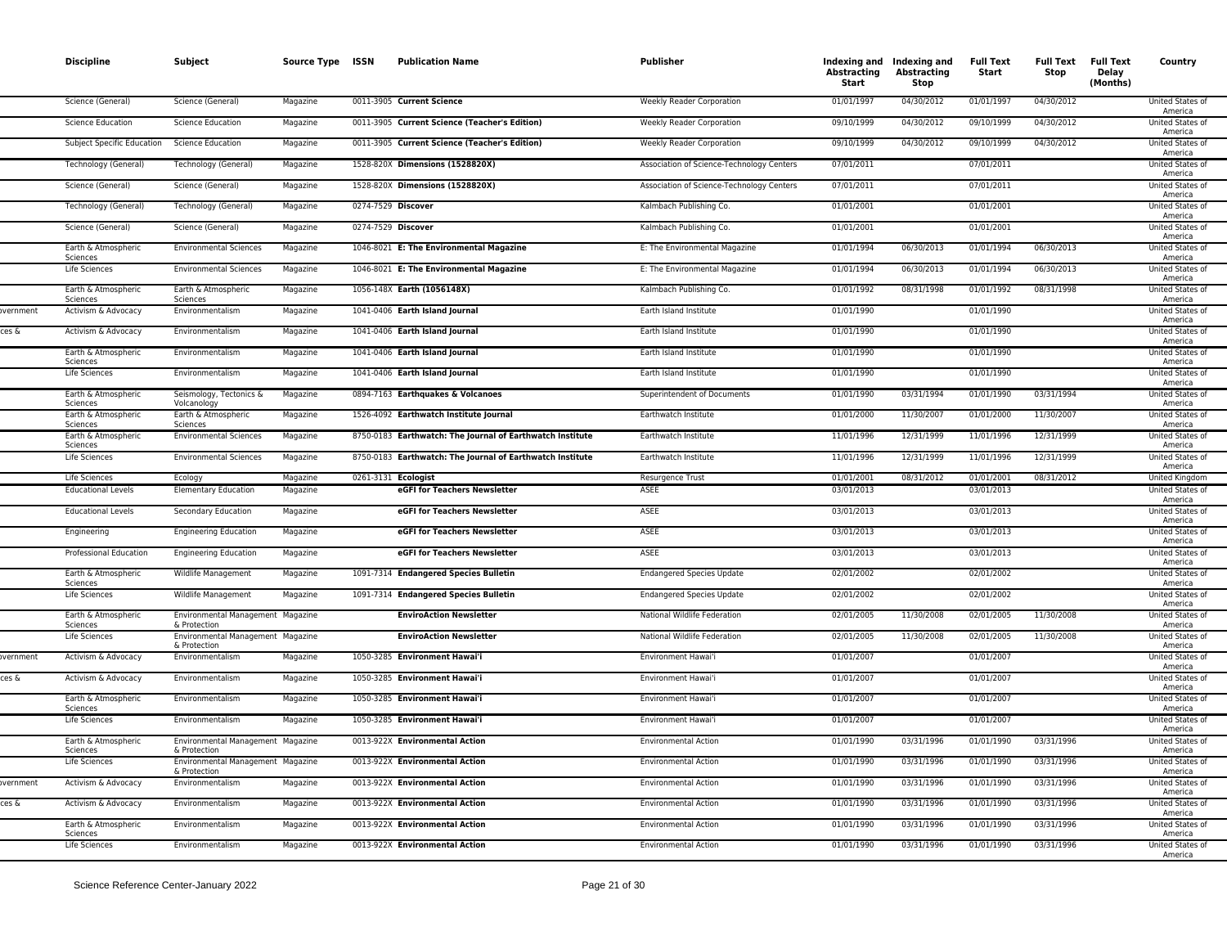|          | <b>Discipline</b>                 | Subject                                           | Source Type ISSN | <b>Publication Name</b>                                   | <b>Publisher</b>                          | Abstracting<br>Start | Indexing and Indexing and<br><b>Abstracting</b><br>Stop | <b>Full Text</b><br>Start | <b>Full Text</b><br>Stop | <b>Full Text</b><br>Delay<br>(Months) | Country                            |
|----------|-----------------------------------|---------------------------------------------------|------------------|-----------------------------------------------------------|-------------------------------------------|----------------------|---------------------------------------------------------|---------------------------|--------------------------|---------------------------------------|------------------------------------|
|          | Science (General)                 | Science (General)                                 | Magazine         | 0011-3905 Current Science                                 | <b>Weekly Reader Corporation</b>          | 01/01/1997           | 04/30/2012                                              | 01/01/1997                | 04/30/2012               |                                       | United States of<br>America        |
|          | <b>Science Education</b>          | <b>Science Education</b>                          | Magazine         | 0011-3905 Current Science (Teacher's Edition)             | <b>Weekly Reader Corporation</b>          | 09/10/1999           | 04/30/2012                                              | 09/10/1999                | 04/30/2012               |                                       | <b>United States of</b><br>America |
|          | <b>Subject Specific Education</b> | <b>Science Education</b>                          | Magazine         | 0011-3905 Current Science (Teacher's Edition)             | <b>Weekly Reader Corporation</b>          | 09/10/1999           | 04/30/2012                                              | 09/10/1999                | 04/30/2012               |                                       | <b>United States of</b><br>America |
|          | Technology (General)              | Technology (General)                              | Magazine         | 1528-820X Dimensions (1528820X)                           | Association of Science-Technology Centers | 07/01/2011           |                                                         | 07/01/2011                |                          |                                       | <b>United States of</b><br>America |
|          | Science (General)                 | Science (General)                                 | Magazine         | 1528-820X Dimensions (1528820X)                           | Association of Science-Technology Centers | 07/01/2011           |                                                         | 07/01/2011                |                          |                                       | United States of<br>America        |
|          | Technology (General)              | Technology (General)                              | Magazine         | 0274-7529 Discover                                        | Kalmbach Publishing Co.                   | 01/01/2001           |                                                         | 01/01/2001                |                          |                                       | United States of<br>America        |
|          | Science (General)                 | Science (General)                                 | Magazine         | 0274-7529 Discover                                        | Kalmbach Publishing Co.                   | 01/01/2001           |                                                         | 01/01/2001                |                          |                                       | <b>United States of</b><br>America |
|          | Earth & Atmospheric<br>Sciences   | <b>Environmental Sciences</b>                     | Magazine         | 1046-8021 E: The Environmental Magazine                   | E: The Environmental Magazine             | 01/01/1994           | 06/30/2013                                              | 01/01/1994                | 06/30/2013               |                                       | <b>United States of</b><br>America |
|          | Life Sciences                     | <b>Environmental Sciences</b>                     | Magazine         | 1046-8021 E: The Environmental Magazine                   | E: The Environmental Magazine             | 01/01/1994           | 06/30/2013                                              | 01/01/1994                | 06/30/2013               |                                       | United States of<br>America        |
|          | Earth & Atmospheric<br>Sciences   | Earth & Atmospheric<br>Sciences                   | Magazine         | 1056-148X Earth (1056148X)                                | Kalmbach Publishing Co.                   | 01/01/1992           | 08/31/1998                                              | 01/01/1992                | 08/31/1998               |                                       | United States of<br>America        |
| wernment | Activism & Advocacy               | Environmentalism                                  | Magazine         | 1041-0406 Earth Island Journal                            | Earth Island Institute                    | 01/01/1990           |                                                         | 01/01/1990                |                          |                                       | United States of<br>America        |
| ces &    | Activism & Advocacy               | Environmentalism                                  | Magazine         | 1041-0406 Earth Island Journal                            | Earth Island Institute                    | 01/01/1990           |                                                         | 01/01/1990                |                          |                                       | United States of<br>America        |
|          | Earth & Atmospheric<br>Sciences   | Environmentalism                                  | Magazine         | 1041-0406 Earth Island Journal                            | Earth Island Institute                    | 01/01/1990           |                                                         | 01/01/1990                |                          |                                       | United States of<br>America        |
|          | Life Sciences                     | Environmentalism                                  | Magazine         | 1041-0406 Earth Island Journal                            | Earth Island Institute                    | 01/01/1990           |                                                         | 01/01/1990                |                          |                                       | United States of<br>America        |
|          | Earth & Atmospheric<br>Sciences   | Seismology, Tectonics &<br>Volcanology            | Magazine         | 0894-7163 Earthquakes & Volcanoes                         | Superintendent of Documents               | 01/01/1990           | 03/31/1994                                              | 01/01/1990                | 03/31/1994               |                                       | <b>United States of</b><br>America |
|          | Earth & Atmospheric<br>Sciences   | Earth & Atmospheric<br>Sciences                   | Magazine         | 1526-4092 Earthwatch Institute Journal                    | Earthwatch Institute                      | 01/01/2000           | 11/30/2007                                              | 01/01/2000                | 11/30/2007               |                                       | <b>United States of</b><br>America |
|          | Earth & Atmospheric<br>Sciences   | <b>Environmental Sciences</b>                     | Magazine         | 8750-0183 Earthwatch: The Journal of Earthwatch Institute | Earthwatch Institute                      | 11/01/1996           | 12/31/1999                                              | 11/01/1996                | 12/31/1999               |                                       | United States of<br>America        |
|          | Life Sciences                     | <b>Environmental Sciences</b>                     | Magazine         | 8750-0183 Earthwatch: The Journal of Earthwatch Institute | Earthwatch Institute                      | 11/01/1996           | 12/31/1999                                              | 11/01/1996                | 12/31/1999               |                                       | United States of<br>America        |
|          | Life Sciences                     | Ecology                                           | Magazine         | 0261-3131 Ecologist                                       | Resurgence Trust                          | 01/01/2001           | 08/31/2012                                              | 01/01/2001                | 08/31/2012               |                                       | <b>United Kingdom</b>              |
|          | <b>Educational Levels</b>         | <b>Elementary Education</b>                       | Magazine         | eGFI for Teachers Newsletter                              | <b>ASEE</b>                               | 03/01/2013           |                                                         | 03/01/2013                |                          |                                       | United States of<br>America        |
|          | <b>Educational Levels</b>         | Secondary Education                               | Magazine         | eGFI for Teachers Newsletter                              | ASEE                                      | 03/01/2013           |                                                         | 03/01/2013                |                          |                                       | United States of<br>America        |
|          | Engineering                       | <b>Engineering Education</b>                      | Magazine         | eGFI for Teachers Newsletter                              | <b>ASEE</b>                               | 03/01/2013           |                                                         | 03/01/2013                |                          |                                       | United States of<br>America        |
|          | Professional Education            | <b>Engineering Education</b>                      | Magazine         | eGFI for Teachers Newsletter                              | ASEE                                      | 03/01/2013           |                                                         | 03/01/2013                |                          |                                       | United States of<br>America        |
|          | Earth & Atmospheric<br>Sciences   | Wildlife Management                               | Magazine         | 1091-7314 Endangered Species Bulletin                     | <b>Endangered Species Update</b>          | 02/01/2002           |                                                         | 02/01/2002                |                          |                                       | United States of<br>America        |
|          | Life Sciences                     | Wildlife Management                               | Magazine         | 1091-7314 Endangered Species Bulletin                     | <b>Endangered Species Update</b>          | 02/01/2002           |                                                         | 02/01/2002                |                          |                                       | United States of<br>America        |
|          | Earth & Atmospheric<br>Sciences   | Environmental Management Magazine<br>& Protection |                  | <b>EnviroAction Newsletter</b>                            | National Wildlife Federation              | 02/01/2005           | 11/30/2008                                              | 02/01/2005                | 11/30/2008               |                                       | United States of<br>America        |
|          | Life Sciences                     | Environmental Management Magazine<br>& Protection |                  | <b>EnviroAction Newsletter</b>                            | National Wildlife Federation              | 02/01/2005           | 11/30/2008                                              | 02/01/2005                | 11/30/2008               |                                       | United States of<br>America        |
| vernment | Activism & Advocacy               | Environmentalism                                  | Magazine         | 1050-3285 Environment Hawai'i                             | Environment Hawai'i                       | 01/01/2007           |                                                         | 01/01/2007                |                          |                                       | United States of<br>America        |
| ces &    | Activism & Advocacy               | Environmentalism                                  | Magazine         | 1050-3285 Environment Hawai'i                             | Environment Hawai'i                       | 01/01/2007           |                                                         | 01/01/2007                |                          |                                       | United States of<br>America        |
|          | Earth & Atmospheric<br>Sciences   | Environmentalism                                  | Magazine         | 1050-3285 Environment Hawai'i                             | Environment Hawai'i                       | 01/01/2007           |                                                         | 01/01/2007                |                          |                                       | United States of<br>America        |
|          | Life Sciences                     | Environmentalism                                  | Magazine         | 1050-3285 Environment Hawai'i                             | Environment Hawai'i                       | 01/01/2007           |                                                         | 01/01/2007                |                          |                                       | United States of<br>America        |
|          | Earth & Atmospheric<br>Sciences   | Environmental Management Magazine<br>& Protection |                  | 0013-922X Environmental Action                            | <b>Environmental Action</b>               | 01/01/1990           | 03/31/1996                                              | 01/01/1990                | 03/31/1996               |                                       | United States of<br>America        |
|          | Life Sciences                     | Environmental Management Magazine<br>& Protection |                  | 0013-922X Environmental Action                            | <b>Environmental Action</b>               | 01/01/1990           | 03/31/1996                                              | 01/01/1990                | 03/31/1996               |                                       | United States of<br>America        |
| wernment | Activism & Advocacy               | Environmentalism                                  | Magazine         | 0013-922X Environmental Action                            | <b>Environmental Action</b>               | 01/01/1990           | 03/31/1996                                              | 01/01/1990                | 03/31/1996               |                                       | United States of<br>America        |
| ces &    | Activism & Advocacy               | Environmentalism                                  | Magazine         | 0013-922X Environmental Action                            | <b>Environmental Action</b>               | 01/01/1990           | 03/31/1996                                              | 01/01/1990                | 03/31/1996               |                                       | <b>United States of</b><br>America |
|          | Earth & Atmospheric<br>Sciences   | Environmentalism                                  | Magazine         | 0013-922X Environmental Action                            | <b>Environmental Action</b>               | 01/01/1990           | 03/31/1996                                              | 01/01/1990                | 03/31/1996               |                                       | <b>United States of</b><br>America |
|          | Life Sciences                     | Environmentalism                                  | Magazine         | 0013-922X Environmental Action                            | <b>Environmental Action</b>               | 01/01/1990           | 03/31/1996                                              | 01/01/1990                | 03/31/1996               |                                       | <b>United States of</b><br>America |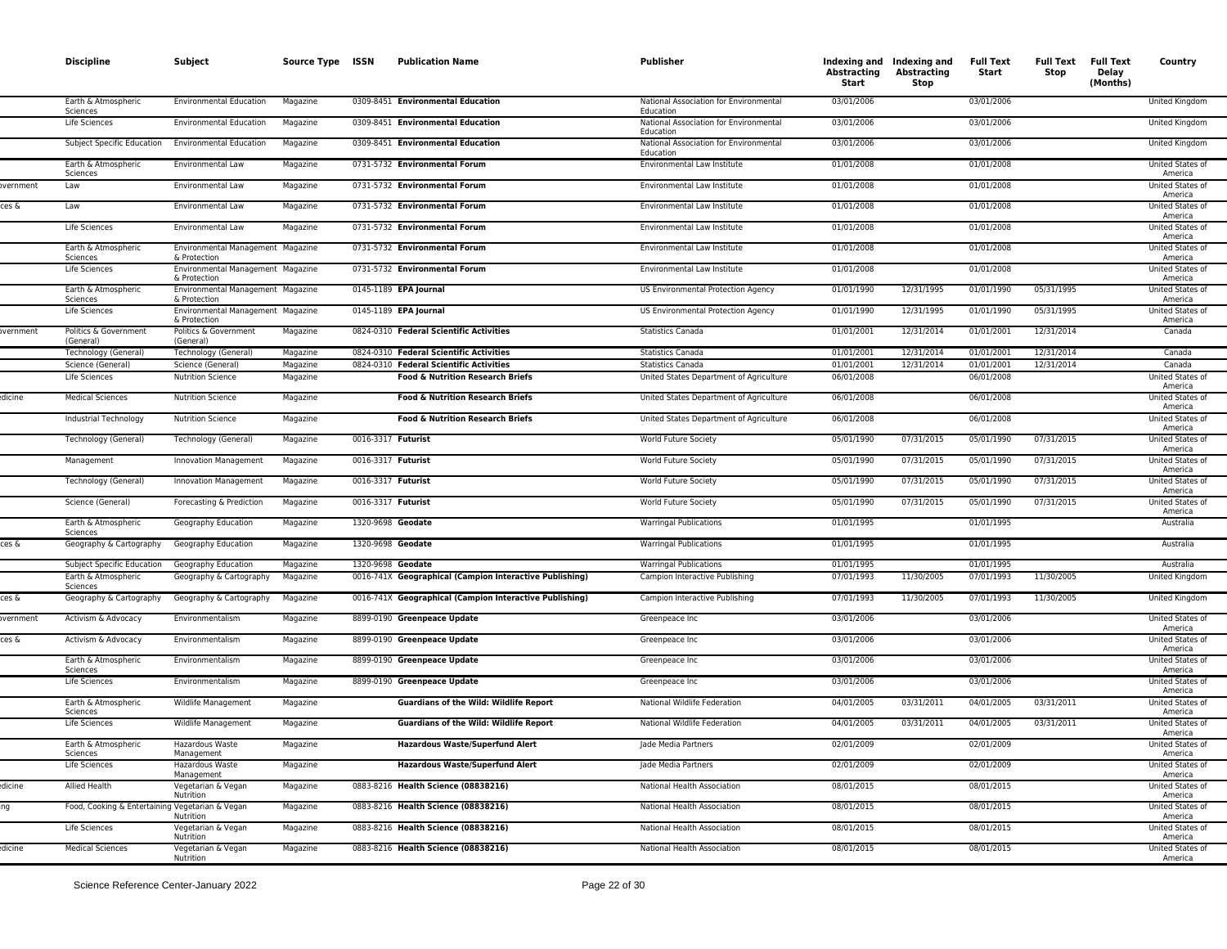|                    | <b>Discipline</b>                                                | Subject                                                           | Source Type ISSN     | <b>Publication Name</b>                                                                    | Publisher                                                                          | Abstracting<br>Start     | Indexing and Indexing and<br><b>Abstracting</b><br>Stop | <b>Full Text</b><br>Start | Stop                     | Full Text Full Text<br>Delay<br>(Months) | Country                                                |
|--------------------|------------------------------------------------------------------|-------------------------------------------------------------------|----------------------|--------------------------------------------------------------------------------------------|------------------------------------------------------------------------------------|--------------------------|---------------------------------------------------------|---------------------------|--------------------------|------------------------------------------|--------------------------------------------------------|
|                    | Earth & Atmospheric<br>Sciences                                  | <b>Environmental Education</b>                                    | Magazine             | 0309-8451 Environmental Education                                                          | National Association for Environmental<br>Education                                | 03/01/2006               |                                                         | 03/01/2006                |                          |                                          | United Kingdom                                         |
|                    | Life Sciences                                                    | <b>Environmental Education</b>                                    | Magazine             | 0309-8451 Environmental Education                                                          | National Association for Environmental<br>Education                                | 03/01/2006               |                                                         | 03/01/2006                |                          |                                          | United Kingdom                                         |
|                    | Subject Specific Education                                       | <b>Environmental Education</b>                                    | Magazine             | 0309-8451 Environmental Education                                                          | National Association for Environmental<br>Education                                | 03/01/2006               |                                                         | 03/01/2006                |                          |                                          | United Kingdom                                         |
|                    | Earth & Atmospheric<br>Sciences                                  | Environmental Law                                                 | Magazine             | 0731-5732 Environmental Forum                                                              | Environmental Law Institute                                                        | 01/01/2008               |                                                         | 01/01/2008                |                          |                                          | United States of<br>America                            |
| overnment<br>ces & | Law<br>Law                                                       | Environmental Law<br>Environmental Law                            | Magazine<br>Magazine | 0731-5732 Environmental Forum<br>0731-5732 Environmental Forum                             | Environmental Law Institute<br>Environmental Law Institute                         | 01/01/2008<br>01/01/2008 |                                                         | 01/01/2008<br>01/01/2008  |                          |                                          | United States of<br>America<br>United States of        |
|                    | Life Sciences                                                    | Environmental Law                                                 | Magazine             | 0731-5732 Environmental Forum                                                              | Environmental Law Institute                                                        | 01/01/2008               |                                                         | 01/01/2008                |                          |                                          | America<br>United States of                            |
|                    | Earth & Atmospheric                                              | Environmental Management Magazine                                 |                      | 0731-5732 Environmental Forum                                                              | Environmental Law Institute                                                        | 01/01/2008               |                                                         | 01/01/2008                |                          |                                          | America<br>United States of                            |
|                    | Sciences<br>Life Sciences                                        | & Protection<br>Environmental Management Magazine                 |                      | 0731-5732 Environmental Forum                                                              | Environmental Law Institute                                                        | 01/01/2008               |                                                         | 01/01/2008                |                          |                                          | America<br>United States of                            |
|                    | Earth & Atmospheric<br>Sciences                                  | & Protection<br>Environmental Management Magazine<br>& Protection |                      | 0145-1189 EPA Journal                                                                      | US Environmental Protection Agency                                                 | 01/01/1990               | 12/31/1995                                              | 01/01/1990                | 05/31/1995               |                                          | America<br>United States of<br>America                 |
|                    | Life Sciences                                                    | Environmental Management Magazine<br>& Protection                 |                      | 0145-1189 EPA Journal                                                                      | US Environmental Protection Agency                                                 | 01/01/1990               | 12/31/1995                                              | 01/01/1990                | 05/31/1995               |                                          | United States of<br>America                            |
| vernment           | Politics & Government<br>(General)                               | Politics & Government<br>(General)                                | Magazine             | 0824-0310 Federal Scientific Activities                                                    | <b>Statistics Canada</b>                                                           | 01/01/2001               | 12/31/2014                                              | 01/01/2001                | 12/31/2014               |                                          | Canada                                                 |
|                    | Technology (General)                                             | Technology (General)                                              | Magazine             | 0824-0310 Federal Scientific Activities                                                    | <b>Statistics Canada</b>                                                           | 01/01/2001               | 12/31/2014                                              | 01/01/2001                | 12/31/2014               |                                          | Canada                                                 |
|                    | Science (General)                                                | Science (General)                                                 | Magazine             | 0824-0310 Federal Scientific Activities                                                    | <b>Statistics Canada</b>                                                           | 01/01/2001               | 12/31/2014                                              | 01/01/2001                | 12/31/2014               |                                          | Canada                                                 |
| dicine!            | Life Sciences<br><b>Medical Sciences</b>                         | <b>Nutrition Science</b><br><b>Nutrition Science</b>              | Magazine<br>Magazine | <b>Food &amp; Nutrition Research Briefs</b><br><b>Food &amp; Nutrition Research Briefs</b> | United States Department of Agriculture<br>United States Department of Agriculture | 06/01/2008<br>06/01/2008 |                                                         | 06/01/2008<br>06/01/2008  |                          |                                          | United States of<br>America<br><b>United States of</b> |
|                    | Industrial Technology                                            | <b>Nutrition Science</b>                                          | Magazine             | <b>Food &amp; Nutrition Research Briefs</b>                                                | United States Department of Agriculture                                            | 06/01/2008               |                                                         | 06/01/2008                |                          |                                          | America<br>United States of                            |
|                    | Technology (General)                                             | Technology (General)                                              | Magazine             | 0016-3317 Futurist                                                                         | World Future Society                                                               | 05/01/1990               | 07/31/2015                                              | 05/01/1990                | 07/31/2015               |                                          | America<br><b>United States of</b>                     |
|                    | Management                                                       | Innovation Management                                             | Magazine             | 0016-3317 <b>Futurist</b>                                                                  | World Future Society                                                               | 05/01/1990               | 07/31/2015                                              | 05/01/1990                | 07/31/2015               |                                          | America<br>United States of<br>America                 |
|                    | Technology (General)                                             | <b>Innovation Management</b>                                      | Magazine             | 0016-3317 Futurist                                                                         | World Future Society                                                               | 05/01/1990               | 07/31/2015                                              | 05/01/1990                | 07/31/2015               |                                          | United States of<br>America                            |
|                    | Science (General)                                                | Forecasting & Prediction                                          | Magazine             | 0016-3317 <b>Futurist</b>                                                                  | World Future Society                                                               | 05/01/1990               | 07/31/2015                                              | 05/01/1990                | 07/31/2015               |                                          | United States of<br>America                            |
|                    | Earth & Atmospheric<br>Sciences                                  | Geography Education                                               | Magazine             | 1320-9698 Geodate                                                                          | <b>Warringal Publications</b>                                                      | 01/01/1995               |                                                         | 01/01/1995                |                          |                                          | Australia                                              |
| ces &              | Geography & Cartography                                          | Geography Education                                               | Magazine             | 1320-9698 Geodate                                                                          | <b>Warringal Publications</b>                                                      | 01/01/1995               |                                                         | 01/01/1995                |                          |                                          | Australia                                              |
|                    | Subject Specific Education                                       | Geography Education                                               | Magazine             | 1320-9698 Geodate                                                                          | <b>Warringal Publications</b>                                                      | 01/01/1995               |                                                         | 01/01/1995                |                          |                                          | Australia                                              |
|                    | Earth & Atmospheric<br>Sciences                                  | Geography & Cartography                                           | Magazine             | 0016-741X Geographical (Campion Interactive Publishing)                                    | Campion Interactive Publishing                                                     | 07/01/1993<br>07/01/1993 | 11/30/2005<br>11/30/2005                                | 07/01/1993<br>07/01/1993  | 11/30/2005<br>11/30/2005 |                                          | United Kingdom                                         |
| ces &<br>overnment | Geography & Cartography<br>Activism & Advocacy                   | Geography & Cartography<br>Environmentalism                       | Magazine<br>Magazine | 0016-741X Geographical (Campion Interactive Publishing)<br>8899-0190 Greenpeace Update     | Campion Interactive Publishing<br>Greenpeace Inc                                   | 03/01/2006               |                                                         | 03/01/2006                |                          |                                          | United Kingdom<br>United States of                     |
| ces &              | Activism & Advocacy                                              | Environmentalism                                                  | Magazine             | 8899-0190 Greenpeace Update                                                                | Greenpeace Inc                                                                     | 03/01/2006               |                                                         | 03/01/2006                |                          |                                          | America<br>United States of                            |
|                    | Earth & Atmospheric                                              | Environmentalism                                                  | Magazine             | 8899-0190 Greenpeace Update                                                                | Greenpeace Inc                                                                     | 03/01/2006               |                                                         | 03/01/2006                |                          |                                          | America<br>United States of                            |
|                    | Sciences<br>Life Sciences                                        | Environmentalism                                                  | Magazine             | 8899-0190 Greenpeace Update                                                                | Greenpeace Inc                                                                     | 03/01/2006               |                                                         | 03/01/2006                |                          |                                          | America<br>United States of<br>America                 |
|                    | Earth & Atmospheric<br>Sciences                                  | Wildlife Management                                               | Magazine             | <b>Guardians of the Wild: Wildlife Report</b>                                              | National Wildlife Federation                                                       | 04/01/2005               | 03/31/2011                                              | 04/01/2005                | 03/31/2011               |                                          | United States of<br>America                            |
|                    | Life Sciences                                                    | Wildlife Management                                               | Magazine             | <b>Guardians of the Wild: Wildlife Report</b>                                              | National Wildlife Federation                                                       | 04/01/2005               | 03/31/2011                                              | 04/01/2005                | 03/31/2011               |                                          | United States of<br>America                            |
|                    | Earth & Atmospheric<br>Sciences                                  | Hazardous Waste<br>Management                                     | Magazine             | <b>Hazardous Waste/Superfund Alert</b>                                                     | Jade Media Partners                                                                | 02/01/2009               |                                                         | 02/01/2009                |                          |                                          | United States of<br>America                            |
|                    | Life Sciences                                                    | Hazardous Waste<br>Management                                     | Magazine             | <b>Hazardous Waste/Superfund Alert</b>                                                     | Jade Media Partners                                                                | 02/01/2009               |                                                         | 02/01/2009                |                          |                                          | United States of<br>America                            |
| dicine<br>ing      | Allied Health<br>Food, Cooking & Entertaining Vegetarian & Vegan | Vegetarian & Vegan<br>Nutrition                                   | Magazine<br>Magazine | 0883-8216 Health Science (08838216)<br>0883-8216 Health Science (08838216)                 | National Health Association<br>National Health Association                         | 08/01/2015<br>08/01/2015 |                                                         | 08/01/2015<br>08/01/2015  |                          |                                          | United States of<br>America<br>United States of        |
|                    | Life Sciences                                                    | Nutrition<br>Vegetarian & Vegan                                   | Magazine             | 0883-8216 Health Science (08838216)                                                        | National Health Association                                                        | 08/01/2015               |                                                         | 08/01/2015                |                          |                                          | America<br>United States of                            |
| dicine             | <b>Medical Sciences</b>                                          | Nutrition<br>Vegetarian & Vegan                                   | Magazine             | 0883-8216 Health Science (08838216)                                                        | National Health Association                                                        | 08/01/2015               |                                                         | 08/01/2015                |                          |                                          | America<br>United States of                            |
|                    |                                                                  | Nutrition                                                         |                      |                                                                                            |                                                                                    |                          |                                                         |                           |                          |                                          | America                                                |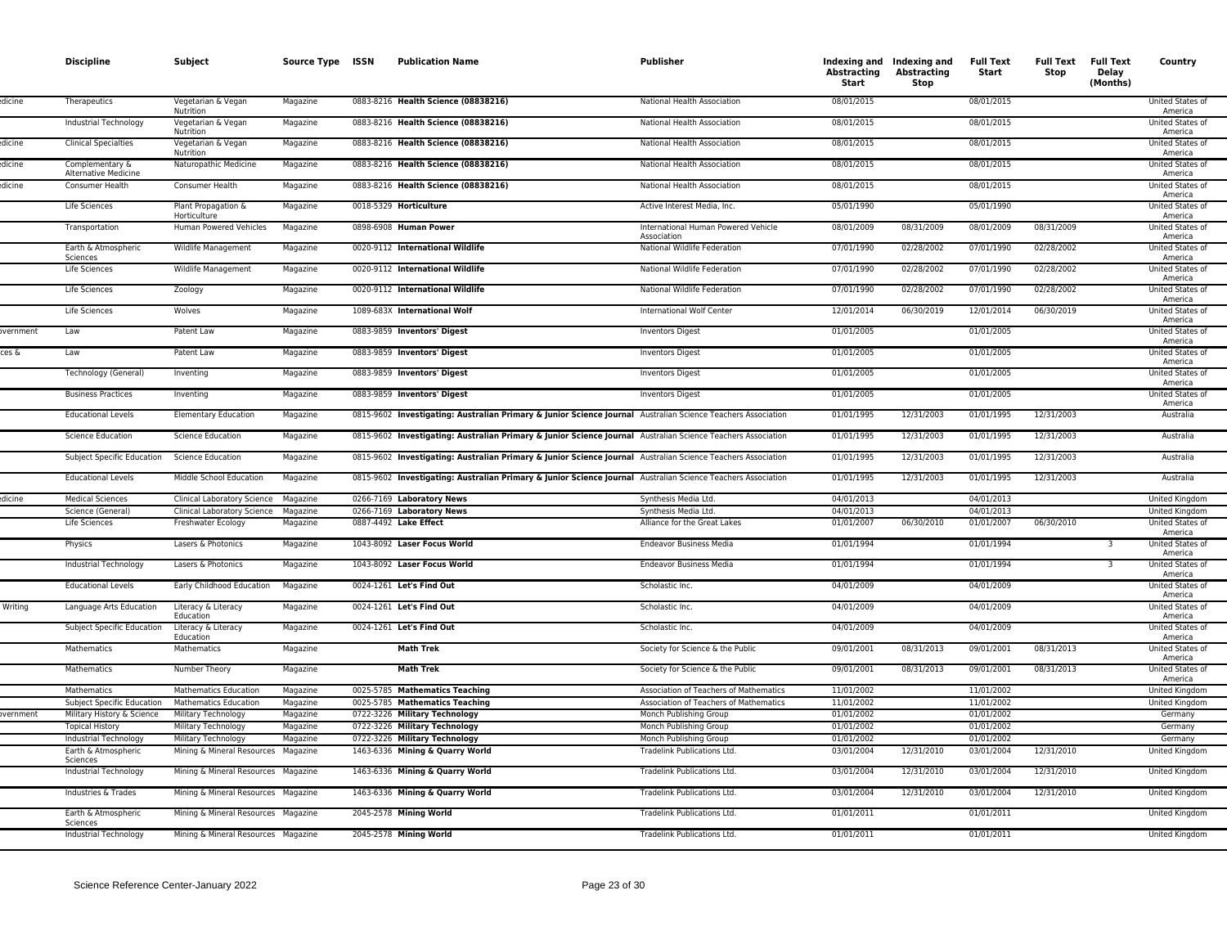|          | <b>Discipline</b>                                       | Subject                             | Source Type ISSN     | <b>Publication Name</b>                                                                                      | Publisher                                          | Abstracting<br>Start     | Indexing and Indexing and<br><b>Abstracting</b><br>Stop | <b>Full Text</b><br>Start | <b>Full Text</b><br>Stop | <b>Full Text</b><br>Delay<br>(Months) | Country                                                |
|----------|---------------------------------------------------------|-------------------------------------|----------------------|--------------------------------------------------------------------------------------------------------------|----------------------------------------------------|--------------------------|---------------------------------------------------------|---------------------------|--------------------------|---------------------------------------|--------------------------------------------------------|
| dicine!  | Therapeutics                                            | Vegetarian & Vegan<br>Nutrition     | Magazine             | 0883-8216 Health Science (08838216)                                                                          | National Health Association                        | 08/01/2015               |                                                         | 08/01/2015                |                          |                                       | United States of<br>America                            |
|          | Industrial Technology                                   | Vegetarian & Vegan<br>Nutrition     | Magazine             | 0883-8216 Health Science (08838216)                                                                          | National Health Association                        | 08/01/2015               |                                                         | 08/01/2015                |                          |                                       | United States of<br>America                            |
| dicine   | <b>Clinical Specialties</b>                             | Vegetarian & Vegan<br>Nutrition     | Magazine             | 0883-8216 Health Science (08838216)                                                                          | National Health Association                        | 08/01/2015               |                                                         | 08/01/2015                |                          |                                       | United States of<br>America                            |
| dicine   | Complementary &<br>Alternative Medicine                 | Naturopathic Medicine               | Magazine             | 0883-8216 Health Science (08838216)                                                                          | National Health Association                        | 08/01/2015               |                                                         | 08/01/2015                |                          |                                       | United States of<br>America                            |
| dicine   | Consumer Health                                         | Consumer Health                     | Magazine             | 0883-8216 Health Science (08838216)                                                                          | National Health Association                        | 08/01/2015               |                                                         | 08/01/2015                |                          |                                       | United States of<br>America                            |
|          | Life Sciences                                           | Plant Propagation &<br>Horticulture | Magazine             | 0018-5329 Horticulture                                                                                       | Active Interest Media, Inc.                        | 05/01/1990               |                                                         | 05/01/1990                |                          |                                       | United States of<br>America                            |
|          | Transportation                                          | Human Powered Vehicles              | Magazine             | 0898-6908 Human Power                                                                                        | International Human Powered Vehicle<br>Association | 08/01/2009               | 08/31/2009                                              | 08/01/2009                | 08/31/2009               |                                       | United States of<br>America                            |
|          | Earth & Atmospheric<br>Sciences                         | Wildlife Management                 | Magazine             | 0020-9112 International Wildlife                                                                             | National Wildlife Federation                       | 07/01/1990               | 02/28/2002                                              | 07/01/1990                | 02/28/2002               |                                       | United States of<br>America                            |
|          | Life Sciences                                           | Wildlife Management                 | Magazine             | 0020-9112 International Wildlife                                                                             | National Wildlife Federation                       | 07/01/1990               | 02/28/2002                                              | 07/01/1990                | 02/28/2002               |                                       | United States of<br>America                            |
|          | Life Sciences                                           | Zoology                             | Magazine             | 0020-9112 International Wildlife                                                                             | National Wildlife Federation                       | 07/01/1990               | 02/28/2002                                              | 07/01/1990                | 02/28/2002               |                                       | United States of<br>America                            |
|          | Life Sciences                                           | Wolves                              | Magazine             | 1089-683X International Wolf                                                                                 | International Wolf Center                          | 12/01/2014               | 06/30/2019                                              | 12/01/2014                | 06/30/2019               |                                       | United States of<br>America                            |
| wernment | Law                                                     | Patent Law                          | Magazine             | 0883-9859 Inventors' Digest                                                                                  | <b>Inventors Digest</b>                            | 01/01/2005               |                                                         | 01/01/2005                |                          |                                       | United States of<br>America                            |
| ces &    | Law                                                     | Patent Law                          | Magazine             | 0883-9859 Inventors' Digest                                                                                  | <b>Inventors Digest</b>                            | 01/01/2005<br>01/01/2005 |                                                         | 01/01/2005<br>01/01/2005  |                          |                                       | United States of<br>America<br><b>United States of</b> |
|          | Technology (General)<br><b>Business Practices</b>       | Inventing<br>Inventing              | Magazine<br>Magazine | 0883-9859 Inventors' Digest<br>0883-9859 Inventors' Digest                                                   | <b>Inventors Digest</b><br><b>Inventors Digest</b> | 01/01/2005               |                                                         | 01/01/2005                |                          |                                       | America<br><b>United States of</b>                     |
|          | <b>Educational Levels</b>                               | <b>Elementary Education</b>         |                      | 0815-9602 Investigating: Australian Primary & Junior Science Journal Australian Science Teachers Association |                                                    | 01/01/1995               | 12/31/2003                                              | 01/01/1995                | 12/31/2003               |                                       | America<br>Australia                                   |
|          | <b>Science Education</b>                                | <b>Science Education</b>            | Magazine<br>Magazine | 0815-9602 Investigating: Australian Primary & Junior Science Journal Australian Science Teachers Association |                                                    | 01/01/1995               | 12/31/2003                                              | 01/01/1995                | 12/31/2003               |                                       | Australia                                              |
|          |                                                         | <b>Science Education</b>            |                      | 0815-9602 Investigating: Australian Primary & Junior Science Journal Australian Science Teachers Association |                                                    | 01/01/1995               |                                                         | 01/01/1995                | 12/31/2003               |                                       | Australia                                              |
|          | Subject Specific Education<br><b>Educational Levels</b> | Middle School Education             | Magazine<br>Magazine | 0815-9602 Investigating: Australian Primary & Junior Science Journal Australian Science Teachers Association |                                                    | 01/01/1995               | 12/31/2003<br>12/31/2003                                | 01/01/1995                | 12/31/2003               |                                       | Australia                                              |
| licine   | <b>Medical Sciences</b>                                 | Clinical Laboratory Science         | Magazine             | 0266-7169 Laboratory News                                                                                    | Synthesis Media Ltd.                               | 04/01/2013               |                                                         | 04/01/2013                |                          |                                       | United Kingdom                                         |
|          | Science (General)                                       | Clinical Laboratory Science         | Magazine             | 0266-7169 Laboratory News                                                                                    | Synthesis Media Ltd.                               | 04/01/2013               |                                                         | 04/01/2013                |                          |                                       | United Kingdom                                         |
|          | Life Sciences                                           | Freshwater Ecology                  | Magazine             | 0887-4492 Lake Effect                                                                                        | Alliance for the Great Lakes                       | 01/01/2007               | 06/30/2010                                              | 01/01/2007                | 06/30/2010               |                                       | United States of                                       |
|          | Physics                                                 | Lasers & Photonics                  | Magazine             | 1043-8092 Laser Focus World                                                                                  | <b>Endeavor Business Media</b>                     | 01/01/1994               |                                                         | 01/01/1994                |                          | 3                                     | America<br>United States of<br>America                 |
|          | Industrial Technology                                   | Lasers & Photonics                  | Magazine             | 1043-8092 Laser Focus World                                                                                  | Endeavor Business Media                            | 01/01/1994               |                                                         | 01/01/1994                |                          | 3                                     | United States of<br>America                            |
|          | <b>Educational Levels</b>                               | Early Childhood Education           | Magazine             | 0024-1261 Let's Find Out                                                                                     | Scholastic Inc.                                    | 04/01/2009               |                                                         | 04/01/2009                |                          |                                       | <b>United States of</b><br>America                     |
| Writing  | Language Arts Education                                 | Literacy & Literacy<br>Education    | Magazine             | 0024-1261 Let's Find Out                                                                                     | Scholastic Inc.                                    | 04/01/2009               |                                                         | 04/01/2009                |                          |                                       | United States of<br>America                            |
|          | Subject Specific Education                              | Literacy & Literacy<br>Education    | Magazine             | 0024-1261 Let's Find Out                                                                                     | Scholastic Inc.                                    | 04/01/2009               |                                                         | 04/01/2009                |                          |                                       | United States of<br>America                            |
|          | Mathematics                                             | Mathematics                         | Magazine             | <b>Math Trek</b>                                                                                             | Society for Science & the Public                   | 09/01/2001               | 08/31/2013                                              | 09/01/2001                | 08/31/2013               |                                       | <b>United States of</b><br>America                     |
|          | Mathematics                                             | Number Theory                       | Magazine             | <b>Math Trek</b>                                                                                             | Society for Science & the Public                   | 09/01/2001               | 08/31/2013                                              | 09/01/2001                | 08/31/2013               |                                       | United States of<br>America                            |
|          | Mathematics                                             | <b>Mathematics Education</b>        | Magazine             | 0025-5785 Mathematics Teaching                                                                               | Association of Teachers of Mathematics             | 11/01/2002               |                                                         | 11/01/2002                |                          |                                       | United Kingdom                                         |
|          | Subject Specific Education                              | <b>Mathematics Education</b>        | Magazine             | 0025-5785 Mathematics Teaching                                                                               | <b>Association of Teachers of Mathematics</b>      | 11/01/2002               |                                                         | 11/01/2002                |                          |                                       | United Kingdom                                         |
| ernment  | Military History & Science                              | Military Technology                 | Magazine             | 0722-3226 Military Technology                                                                                | Monch Publishing Group                             | 01/01/2002               |                                                         | 01/01/2002                |                          |                                       | Germany                                                |
|          | <b>Topical History</b>                                  | Military Technology                 | Magazine             | 0722-3226 Military Technology                                                                                | Monch Publishing Group                             | 01/01/2002               |                                                         | 01/01/2002                |                          |                                       | Germany                                                |
|          | Industrial Technology                                   | Military Technology                 | Magazine             | 0722-3226 Military Technology                                                                                | Monch Publishing Group                             | 01/01/2002               |                                                         | 01/01/2002                |                          |                                       | Germany                                                |
|          | Earth & Atmospheric<br>Sciences                         | Mining & Mineral Resources          | Magazine             | 1463-6336 Mining & Quarry World                                                                              | Tradelink Publications Ltd.                        | 03/01/2004               | 12/31/2010                                              | 03/01/2004                | 12/31/2010               |                                       | United Kingdom                                         |
|          | Industrial Technology                                   | Mining & Mineral Resources          | Magazine             | 1463-6336 Mining & Quarry World                                                                              | Tradelink Publications Ltd.                        | 03/01/2004               | 12/31/2010                                              | 03/01/2004                | 12/31/2010               |                                       | United Kingdom                                         |
|          | Industries & Trades                                     | Mining & Mineral Resources Magazine |                      | 1463-6336 Mining & Quarry World                                                                              | Tradelink Publications Ltd.                        | 03/01/2004               | 12/31/2010                                              | 03/01/2004                | 12/31/2010               |                                       | United Kingdom                                         |
|          | Earth & Atmospheric<br>Sciences                         | Mining & Mineral Resources Magazine |                      | 2045-2578 Mining World                                                                                       | Tradelink Publications Ltd.                        | 01/01/2011               |                                                         | 01/01/2011                |                          |                                       | United Kingdom                                         |
|          | Industrial Technology                                   | Mining & Mineral Resources Magazine |                      | 2045-2578 Mining World                                                                                       | Tradelink Publications Ltd.                        | 01/01/2011               |                                                         | 01/01/2011                |                          |                                       | United Kingdom                                         |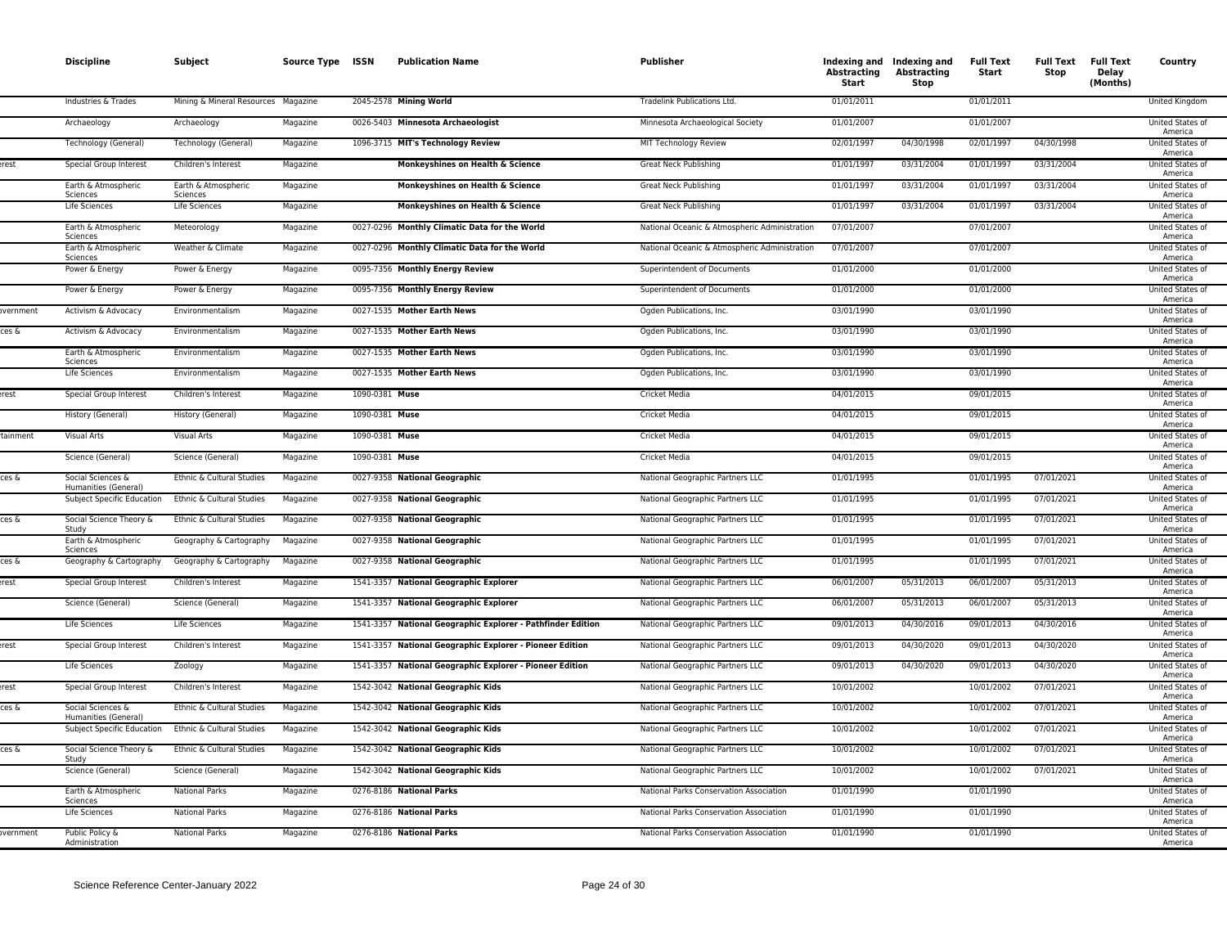|                 | <b>Discipline</b>                         | Subject                             | Source Type ISSN |                | <b>Publication Name</b>                                     | <b>Publisher</b>                              | Abstracting<br>Start | Indexing and Indexing and<br><b>Abstracting</b><br>Stop | <b>Full Text</b><br>Start | <b>Full Text</b><br>Stop | <b>Full Text</b><br>Delay<br>(Months) | Country                            |
|-----------------|-------------------------------------------|-------------------------------------|------------------|----------------|-------------------------------------------------------------|-----------------------------------------------|----------------------|---------------------------------------------------------|---------------------------|--------------------------|---------------------------------------|------------------------------------|
|                 | Industries & Trades                       | Mining & Mineral Resources Magazine |                  |                | 2045-2578 Mining World                                      | Tradelink Publications Ltd.                   | 01/01/2011           |                                                         | 01/01/2011                |                          |                                       | United Kingdom                     |
|                 | Archaeology                               | Archaeology                         | Magazine         |                | 0026-5403 Minnesota Archaeologist                           | Minnesota Archaeological Society              | 01/01/2007           |                                                         | 01/01/2007                |                          |                                       | United States of<br>America        |
|                 | Technology (General)                      | Technology (General)                | Magazine         |                | 1096-3715 MIT's Technology Review                           | MIT Technology Review                         | 02/01/1997           | 04/30/1998                                              | 02/01/1997                | 04/30/1998               |                                       | United States of<br>America        |
| erest           | Special Group Interest                    | Children's Interest                 | Magazine         |                | Monkeyshines on Health & Science                            | Great Neck Publishing                         | 01/01/1997           | 03/31/2004                                              | 01/01/1997                | 03/31/2004               |                                       | United States of<br>America        |
|                 | Earth & Atmospheric<br>Sciences           | Earth & Atmospheric<br>Sciences     | Magazine         |                | Monkeyshines on Health & Science                            | Great Neck Publishing                         | 01/01/1997           | 03/31/2004                                              | 01/01/1997                | 03/31/2004               |                                       | United States of<br>America        |
|                 | Life Sciences                             | Life Sciences                       | Magazine         |                | Monkeyshines on Health & Science                            | <b>Great Neck Publishing</b>                  | 01/01/1997           | 03/31/2004                                              | 01/01/1997                | 03/31/2004               |                                       | United States of<br>America        |
|                 | Earth & Atmospheric<br>Sciences           | Meteorology                         | Magazine         |                | 0027-0296 Monthly Climatic Data for the World               | National Oceanic & Atmospheric Administration | 07/01/2007           |                                                         | 07/01/2007                |                          |                                       | United States of<br>America        |
|                 | Earth & Atmospheric<br>Sciences           | Weather & Climate                   | Magazine         |                | 0027-0296 Monthly Climatic Data for the World               | National Oceanic & Atmospheric Administration | 07/01/2007           |                                                         | 07/01/2007                |                          |                                       | United States of<br>America        |
|                 | Power & Energy                            | Power & Energy                      | Magazine         |                | 0095-7356 Monthly Energy Review                             | Superintendent of Documents                   | 01/01/2000           |                                                         | 01/01/2000                |                          |                                       | United States of<br>America        |
|                 | Power & Energy                            | Power & Energy                      | Magazine         |                | 0095-7356 Monthly Energy Review                             | Superintendent of Documents                   | 01/01/2000           |                                                         | 01/01/2000                |                          |                                       | United States of<br>America        |
| overnment       | Activism & Advocacy                       | Environmentalism                    | Magazine         |                | 0027-1535 Mother Earth News                                 | Ogden Publications, Inc.                      | 03/01/1990           |                                                         | 03/01/1990                |                          |                                       | United States of<br>America        |
| ces &           | Activism & Advocacy                       | Environmentalism                    | Magazine         |                | 0027-1535 Mother Earth News                                 | Ogden Publications, Inc.                      | 03/01/1990           |                                                         | 03/01/1990                |                          |                                       | United States of<br>America        |
|                 | Earth & Atmospheric<br><b>Sciences</b>    | Environmentalism                    | Magazine         |                | 0027-1535 Mother Earth News                                 | Ogden Publications, Inc.                      | 03/01/1990           |                                                         | 03/01/1990                |                          |                                       | United States of<br>America        |
|                 | <b>Life Sciences</b>                      | Environmentalism                    | Magazine         |                | 0027-1535 Mother Earth News                                 | Ogden Publications, Inc.                      | 03/01/1990           |                                                         | 03/01/1990                |                          |                                       | United States of<br>America        |
| erest           | Special Group Interest                    | Children's Interest                 | Magazine         | 1090-0381 Muse |                                                             | <b>Cricket Media</b>                          | 04/01/2015           |                                                         | 09/01/2015                |                          |                                       | <b>United States of</b><br>America |
|                 | History (General)                         | History (General)                   | Magazine         | 1090-0381 Muse |                                                             | <b>Cricket Media</b>                          | 04/01/2015           |                                                         | 09/01/2015                |                          |                                       | <b>United States of</b><br>America |
| tainment        | <b>Visual Arts</b>                        | Visual Arts                         | Magazine         | 1090-0381 Muse |                                                             | Cricket Media                                 | 04/01/2015           |                                                         | 09/01/2015                |                          |                                       | United States of<br>America        |
|                 | Science (General)                         | Science (General)                   | Magazine         | 1090-0381 Muse |                                                             | Cricket Media                                 | 04/01/2015           |                                                         | 09/01/2015                |                          |                                       | United States of<br>America        |
| ces &           | Social Sciences &<br>Humanities (General) | Ethnic & Cultural Studies           | Magazine         |                | 0027-9358 National Geographic                               | National Geographic Partners LLC              | 01/01/1995           |                                                         | 01/01/1995                | 07/01/2021               |                                       | United States of<br>America        |
|                 | Subject Specific Education                | Ethnic & Cultural Studies           | Magazine         |                | 0027-9358 National Geographic                               | National Geographic Partners LLC              | 01/01/1995           |                                                         | 01/01/1995                | 07/01/2021               |                                       | United States of<br>America        |
| ces &           | Social Science Theory &<br>Study          | Ethnic & Cultural Studies           | Magazine         |                | 0027-9358 National Geographic                               | National Geographic Partners LLC              | 01/01/1995           |                                                         | 01/01/1995                | 07/01/2021               |                                       | United States of<br>America        |
|                 | Earth & Atmospheric<br>Sciences           | Geography & Cartography             | Magazine         |                | 0027-9358 National Geographic                               | National Geographic Partners LLC              | 01/01/1995           |                                                         | 01/01/1995                | 07/01/2021               |                                       | United States of<br>America        |
| tes &           | Geography & Cartography                   | Geography & Cartography             | Magazine         |                | 0027-9358 National Geographic                               | National Geographic Partners LLC              | 01/01/1995           |                                                         | 01/01/1995                | 07/01/2021               |                                       | United States of<br>America        |
| rest            | Special Group Interest                    | Children's Interest                 | Magazine         |                | 1541-3357 National Geographic Explorer                      | National Geographic Partners LLC              | 06/01/2007           | 05/31/2013                                              | 06/01/2007                | 05/31/2013               |                                       | United States of<br>America        |
|                 | Science (General)                         | Science (General)                   | Magazine         |                | 1541-3357 National Geographic Explorer                      | National Geographic Partners LLC              | 06/01/2007           | 05/31/2013                                              | 06/01/2007                | 05/31/2013               |                                       | United States of<br>America        |
|                 | Life Sciences                             | Life Sciences                       | Magazine         |                | 1541-3357 National Geographic Explorer - Pathfinder Edition | National Geographic Partners LLC              | 09/01/2013           | 04/30/2016                                              | 09/01/2013                | 04/30/2016               |                                       | United States of<br>America        |
| erest           | Special Group Interest                    | Children's Interest                 | Magazine         |                | 1541-3357 National Geographic Explorer - Pioneer Edition    | National Geographic Partners LLC              | 09/01/2013           | 04/30/2020                                              | 09/01/2013                | 04/30/2020               |                                       | United States of<br>America        |
|                 | Life Sciences                             | Zoology                             | Magazine         |                | 1541-3357 National Geographic Explorer - Pioneer Edition    | National Geographic Partners LLC              | 09/01/2013           | 04/30/2020                                              | 09/01/2013                | 04/30/2020               |                                       | United States of<br>America        |
| rest            | Special Group Interest                    | Children's Interest                 | Magazine         |                | 1542-3042 National Geographic Kids                          | National Geographic Partners LLC              | 10/01/2002           |                                                         | 10/01/2002                | 07/01/2021               |                                       | United States of<br>America        |
| ces &           | Social Sciences &<br>Humanities (General) | Ethnic & Cultural Studies           | Magazine         |                | 1542-3042 National Geographic Kids                          | National Geographic Partners LLC              | 10/01/2002           |                                                         | 10/01/2002                | 07/01/2021               |                                       | United States of<br>America        |
|                 | Subject Specific Education                | Ethnic & Cultural Studies           | Magazine         |                | 1542-3042 National Geographic Kids                          | National Geographic Partners LLC              | 10/01/2002           |                                                         | 10/01/2002                | 07/01/2021               |                                       | United States of<br>America        |
| ces &           | Social Science Theory &<br>Study          | Ethnic & Cultural Studies           | Magazine         |                | 1542-3042 National Geographic Kids                          | National Geographic Partners LLC              | 10/01/2002           |                                                         | 10/01/2002                | 07/01/2021               |                                       | United States of<br>America        |
|                 | Science (General)                         | Science (General)                   | Magazine         |                | 1542-3042 National Geographic Kids                          | National Geographic Partners LLC              | 10/01/2002           |                                                         | 10/01/2002                | 07/01/2021               |                                       | United States of<br>America        |
|                 | Earth & Atmospheric<br>Sciences           | <b>National Parks</b>               | Magazine         |                | 0276-8186 National Parks                                    | National Parks Conservation Association       | 01/01/1990           |                                                         | 01/01/1990                |                          |                                       | United States of<br>America        |
|                 | Life Sciences                             | <b>National Parks</b>               | Magazine         |                | 0276-8186 National Parks                                    | National Parks Conservation Association       | 01/01/1990           |                                                         | 01/01/1990                |                          |                                       | United States of<br>America        |
| <b>vernment</b> | Public Policy &<br>Administration         | <b>National Parks</b>               | Magazine         |                | 0276-8186 National Parks                                    | National Parks Conservation Association       | 01/01/1990           |                                                         | 01/01/1990                |                          |                                       | United States of<br>America        |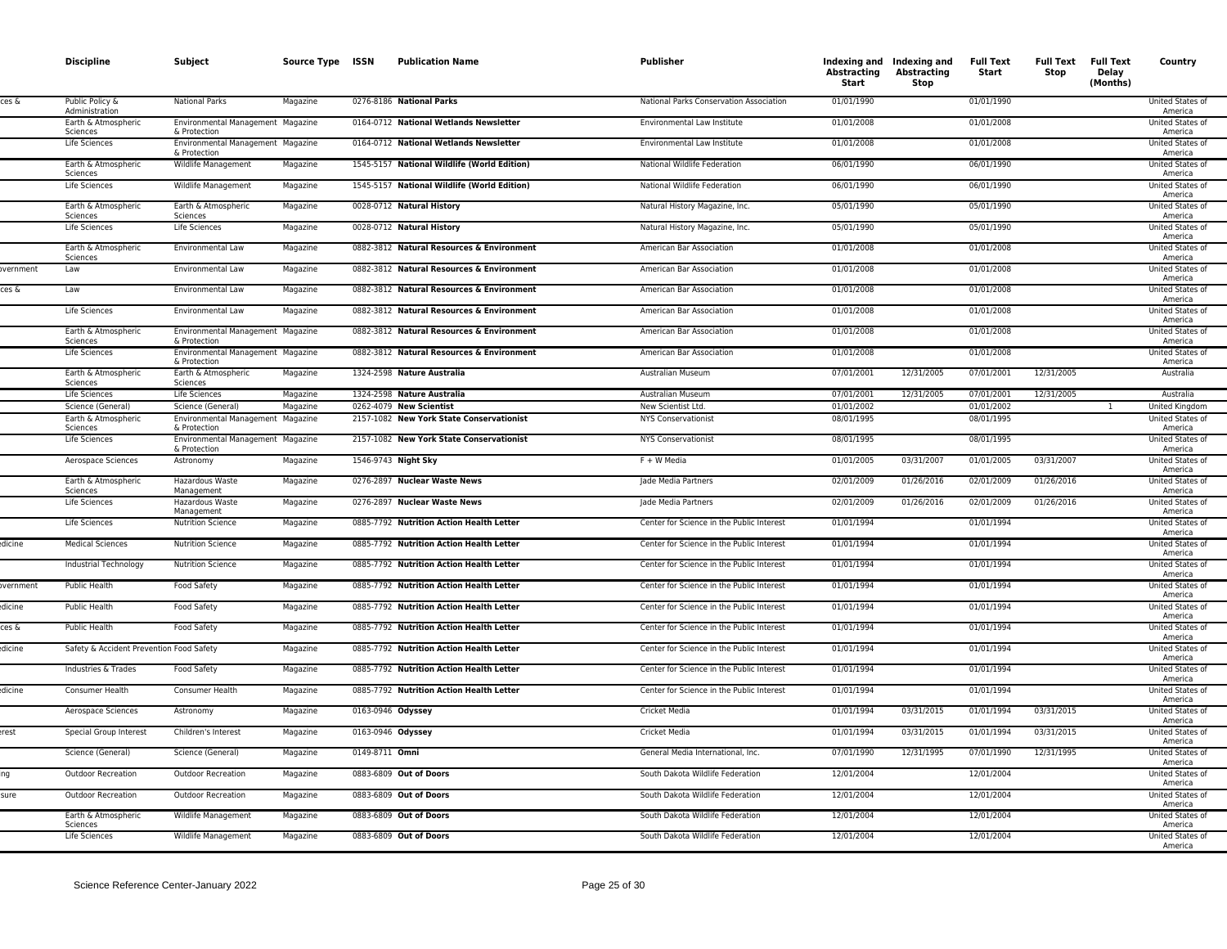|          | <b>Discipline</b>                        | Subject                                           | Source Type ISSN |                | <b>Publication Name</b>                     | Publisher                                 | Indexing and Indexing and<br>Abstracting<br>Start | Abstracting<br>Stop | <b>Full Text</b><br>Start | <b>Full Text Full Text</b><br>Stop | Delay<br>(Months) | Country                            |
|----------|------------------------------------------|---------------------------------------------------|------------------|----------------|---------------------------------------------|-------------------------------------------|---------------------------------------------------|---------------------|---------------------------|------------------------------------|-------------------|------------------------------------|
| ces δ    | Public Policy &<br>Administration        | <b>National Parks</b>                             | Magazine         |                | 0276-8186 National Parks                    | National Parks Conservation Association   | 01/01/1990                                        |                     | 01/01/1990                |                                    |                   | United States of<br>America        |
|          | Earth & Atmospheric<br>Sciences          | Environmental Management Magazine<br>& Protection |                  |                | 0164-0712 National Wetlands Newsletter      | Environmental Law Institute               | 01/01/2008                                        |                     | 01/01/2008                |                                    |                   | United States of<br>America        |
|          | Life Sciences                            | Environmental Management Magazine<br>& Protection |                  |                | 0164-0712 National Wetlands Newsletter      | Environmental Law Institute               | 01/01/2008                                        |                     | 01/01/2008                |                                    |                   | United States of<br>America        |
|          | Earth & Atmospheric<br>Sciences          | Wildlife Management                               | Magazine         |                | 1545-5157 National Wildlife (World Edition) | National Wildlife Federation              | 06/01/1990                                        |                     | 06/01/1990                |                                    |                   | United States of<br>America        |
|          | Life Sciences                            | Wildlife Management                               | Magazine         |                | 1545-5157 National Wildlife (World Edition) | National Wildlife Federation              | 06/01/1990                                        |                     | 06/01/1990                |                                    |                   | <b>United States of</b><br>America |
|          | Earth & Atmospheric<br>Sciences          | Earth & Atmospheric<br>Sciences                   | Magazine         |                | 0028-0712 Natural History                   | Natural History Magazine, Inc.            | 05/01/1990                                        |                     | 05/01/1990                |                                    |                   | <b>United States of</b><br>America |
|          | <b>Life Sciences</b>                     | Life Sciences                                     | Magazine         |                | 0028-0712 Natural History                   | Natural History Magazine, Inc.            | 05/01/1990                                        |                     | 05/01/1990                |                                    |                   | United States of<br>America        |
|          | Earth & Atmospheric<br>Sciences          | Environmental Law                                 | Magazine         |                | 0882-3812 Natural Resources & Environment   | American Bar Association                  | 01/01/2008                                        |                     | 01/01/2008                |                                    |                   | United States of<br>America        |
| vernment | Law                                      | Environmental Law                                 | Magazine         |                | 0882-3812 Natural Resources & Environment   | American Bar Association                  | 01/01/2008                                        |                     | 01/01/2008                |                                    |                   | United States of<br>America        |
| ces &    | Law                                      | Environmental Law                                 | Magazine         |                | 0882-3812 Natural Resources & Environment   | American Bar Association                  | 01/01/2008                                        |                     | 01/01/2008                |                                    |                   | United States of<br>America        |
|          | Life Sciences                            | <b>Environmental Law</b>                          | Magazine         |                | 0882-3812 Natural Resources & Environment   | American Bar Association                  | 01/01/2008                                        |                     | 01/01/2008                |                                    |                   | United States of<br>America        |
|          | Earth & Atmospheric<br>Sciences          | Environmental Management Magazine<br>& Protection |                  |                | 0882-3812 Natural Resources & Environment   | American Bar Association                  | 01/01/2008                                        |                     | 01/01/2008                |                                    |                   | <b>United States of</b><br>America |
|          | <b>Life Sciences</b>                     | Environmental Management Magazine<br>& Protection |                  |                | 0882-3812 Natural Resources & Environment   | American Bar Association                  | 01/01/2008                                        |                     | 01/01/2008                |                                    |                   | <b>United States of</b><br>America |
|          | Earth & Atmospheric<br>Sciences          | Earth & Atmospheric<br>Sciences                   | Magazine         |                | 1324-2598 Nature Australia                  | Australian Museum                         | 07/01/2001                                        | 12/31/2005          | 07/01/2001                | 12/31/2005                         |                   | Australia                          |
|          | Life Sciences                            | Life Sciences                                     | Magazine         |                | 1324-2598 Nature Australia                  | Australian Museum                         | 07/01/2001                                        | 12/31/2005          | 07/01/2001                | 12/31/2005                         |                   | Australia                          |
|          | Science (General)                        | Science (General)                                 | Magazine         |                | 0262-4079 New Scientist                     | New Scientist Ltd.                        | 01/01/2002                                        |                     | 01/01/2002                |                                    |                   | United Kingdom                     |
|          | Earth & Atmospheric<br>Sciences          | Environmental Management Magazine<br>& Protection |                  |                | 2157-1082 New York State Conservationist    | <b>NYS Conservationist</b>                | 08/01/1995                                        |                     | 08/01/1995                |                                    |                   | United States of<br>America        |
|          | Life Sciences                            | Environmental Management Magazine<br>& Protection |                  |                | 2157-1082 New York State Conservationist    | <b>NYS Conservationist</b>                | 08/01/1995                                        |                     | 08/01/1995                |                                    |                   | United States of<br>America        |
|          | Aerospace Sciences                       | Astronomy                                         | Magazine         |                | 1546-9743 Night Sky                         | F + W Media                               | 01/01/2005                                        | 03/31/2007          | 01/01/2005                | 03/31/2007                         |                   | United States of<br>America        |
|          | Earth & Atmospheric<br>Sciences          | Hazardous Waste<br>Management                     | Magazine         |                | 0276-2897 Nuclear Waste News                | Jade Media Partners                       | 02/01/2009                                        | 01/26/2016          | 02/01/2009                | 01/26/2016                         |                   | United States of<br>America        |
|          | Life Sciences                            | Hazardous Waste<br>Management                     | Magazine         |                | 0276-2897 Nuclear Waste News                | Jade Media Partners                       | 02/01/2009                                        | 01/26/2016          | 02/01/2009                | 01/26/2016                         |                   | United States of<br>America        |
|          | Life Sciences                            | <b>Nutrition Science</b>                          | Magazine         |                | 0885-7792 Nutrition Action Health Letter    | Center for Science in the Public Interest | 01/01/1994                                        |                     | 01/01/1994                |                                    |                   | <b>United States of</b><br>America |
| dicine   | <b>Medical Sciences</b>                  | <b>Nutrition Science</b>                          | Magazine         |                | 0885-7792 Nutrition Action Health Letter    | Center for Science in the Public Interest | 01/01/1994                                        |                     | 01/01/1994                |                                    |                   | United States of<br>America        |
|          | Industrial Technology                    | <b>Nutrition Science</b>                          | Magazine         |                | 0885-7792 Nutrition Action Health Letter    | Center for Science in the Public Interest | 01/01/1994                                        |                     | 01/01/1994                |                                    |                   | United States of<br>America        |
| overnmen | <b>Public Health</b>                     | Food Safety                                       | Magazine         |                | 0885-7792 Nutrition Action Health Letter    | Center for Science in the Public Interest | 01/01/1994                                        |                     | 01/01/1994                |                                    |                   | United States of<br>America        |
| dicine   | Public Health                            | Food Safety                                       | Magazine         |                | 0885-7792 Nutrition Action Health Letter    | Center for Science in the Public Interest | 01/01/1994                                        |                     | 01/01/1994                |                                    |                   | United States of<br>America        |
| ces &    | Public Health                            | Food Safety                                       | Magazine         |                | 0885-7792 Nutrition Action Health Letter    | Center for Science in the Public Interest | 01/01/1994                                        |                     | 01/01/1994                |                                    |                   | <b>United States of</b><br>America |
| dicine   | Safety & Accident Prevention Food Safety |                                                   | Magazine         |                | 0885-7792 Nutrition Action Health Letter    | Center for Science in the Public Interest | 01/01/1994                                        |                     | 01/01/1994                |                                    |                   | United States of<br>America        |
|          | Industries & Trades                      | <b>Food Safety</b>                                | Magazine         |                | 0885-7792 Nutrition Action Health Letter    | Center for Science in the Public Interest | 01/01/1994                                        |                     | 01/01/1994                |                                    |                   | <b>United States of</b><br>America |
| dicine   | Consumer Health                          | Consumer Health                                   | Magazine         |                | 0885-7792 Nutrition Action Health Letter    | Center for Science in the Public Interest | 01/01/1994                                        |                     | 01/01/1994                |                                    |                   | United States of<br>America        |
|          | Aerospace Sciences                       | Astronomy                                         | Magazine         |                | 0163-0946 Odyssey                           | Cricket Media                             | 01/01/1994                                        | 03/31/2015          | 01/01/1994                | 03/31/2015                         |                   | United States of<br>America        |
| erest    | Special Group Interest                   | Children's Interest                               | Magazine         |                | 0163-0946 Odyssey                           | Cricket Media                             | 01/01/1994                                        | 03/31/2015          | 01/01/1994                | 03/31/2015                         |                   | United States of<br>America        |
|          | Science (General)                        | Science (General)                                 | Magazine         | 0149-8711 Omni |                                             | General Media International, Inc.         | 07/01/1990                                        | 12/31/1995          | 07/01/1990                | 12/31/1995                         |                   | United States of<br>America        |
|          | <b>Outdoor Recreation</b>                | <b>Outdoor Recreation</b>                         | Magazine         |                | 0883-6809 Out of Doors                      | South Dakota Wildlife Federation          | 12/01/2004                                        |                     | 12/01/2004                |                                    |                   | <b>United States of</b><br>America |
| sure     | <b>Outdoor Recreation</b>                | <b>Outdoor Recreation</b>                         | Magazine         |                | 0883-6809 Out of Doors                      | South Dakota Wildlife Federation          | 12/01/2004                                        |                     | 12/01/2004                |                                    |                   | <b>United States of</b><br>America |
|          | Earth & Atmospheric<br>Sciences          | Wildlife Management                               | Magazine         |                | 0883-6809 Out of Doors                      | South Dakota Wildlife Federation          | 12/01/2004                                        |                     | 12/01/2004                |                                    |                   | United States of<br>America        |
|          | Life Sciences                            | Wildlife Management                               | Magazine         |                | 0883-6809 Out of Doors                      | South Dakota Wildlife Federation          | 12/01/2004                                        |                     | 12/01/2004                |                                    |                   | United States of<br>America        |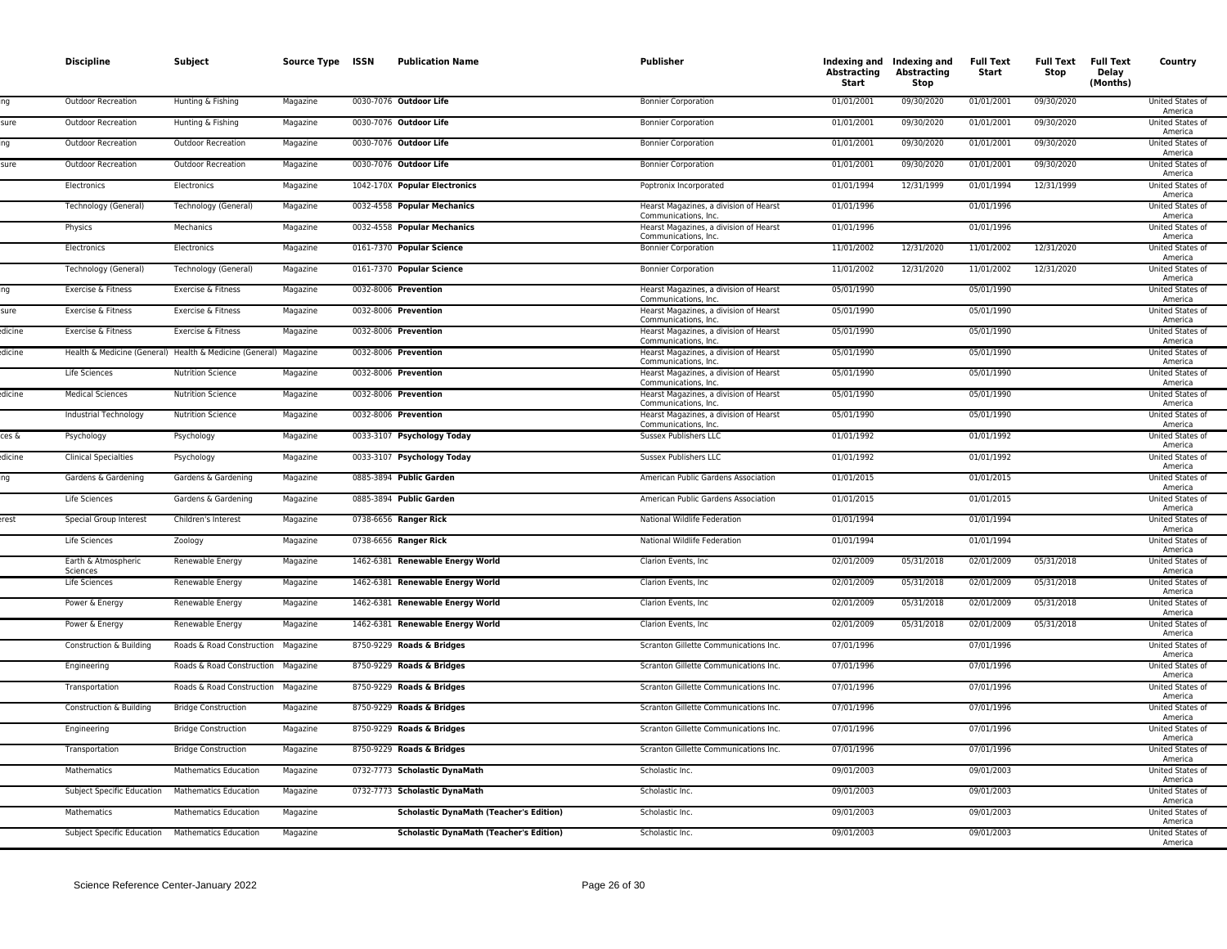|        | <b>Discipline</b>               | Subject                                                          | Source Type ISSN | <b>Publication Name</b>                        | Publisher                                                      | Abstracting<br>Start | Indexing and Indexing and<br><b>Abstracting</b><br>Stop | <b>Full Text</b><br>Start | <b>Full Text Full Text</b><br>Stop | Delay<br>(Months) | Country                            |
|--------|---------------------------------|------------------------------------------------------------------|------------------|------------------------------------------------|----------------------------------------------------------------|----------------------|---------------------------------------------------------|---------------------------|------------------------------------|-------------------|------------------------------------|
|        | <b>Outdoor Recreation</b>       | Hunting & Fishing                                                | Magazine         | 0030-7076 Outdoor Life                         | <b>Bonnier Corporation</b>                                     | 01/01/2001           | 09/30/2020                                              | 01/01/2001                | 09/30/2020                         |                   | United States of<br>America        |
| sure   | Outdoor Recreation              | Hunting & Fishing                                                | Magazine         | 0030-7076 Outdoor Life                         | <b>Bonnier Corporation</b>                                     | 01/01/2001           | 09/30/2020                                              | 01/01/2001                | 09/30/2020                         |                   | United States of<br>America        |
|        | <b>Outdoor Recreation</b>       | <b>Outdoor Recreation</b>                                        | Magazine         | 0030-7076 Outdoor Life                         | <b>Bonnier Corporation</b>                                     | 01/01/2001           | 09/30/2020                                              | 01/01/2001                | 09/30/2020                         |                   | United States of<br>America        |
| sure   | Outdoor Recreation              | Outdoor Recreation                                               | Magazine         | 0030-7076 Outdoor Life                         | <b>Bonnier Corporation</b>                                     | 01/01/2001           | 09/30/2020                                              | 01/01/2001                | 09/30/2020                         |                   | United States of<br>America        |
|        | Electronics                     | Electronics                                                      | Magazine         | 1042-170X Popular Electronics                  | Poptronix Incorporated                                         | 01/01/1994           | 12/31/1999                                              | 01/01/1994                | 12/31/1999                         |                   | <b>United States of</b><br>America |
|        | Technology (General)            | Technology (General)                                             | Magazine         | 0032-4558 Popular Mechanics                    | Hearst Magazines, a division of Hearst<br>Communications, Inc. | 01/01/1996           |                                                         | 01/01/1996                |                                    |                   | <b>United States of</b><br>America |
|        | Physics                         | Mechanics                                                        | Magazine         | 0032-4558 Popular Mechanics                    | Hearst Magazines, a division of Hearst<br>Communications, Inc. | 01/01/1996           |                                                         | 01/01/1996                |                                    |                   | United States of<br>America        |
|        | Electronics                     | Electronics                                                      | Magazine         | 0161-7370 Popular Science                      | <b>Bonnier Corporation</b>                                     | 11/01/2002           | 12/31/2020                                              | 11/01/2002                | 12/31/2020                         |                   | United States of<br>America        |
|        | Technology (General)            | Technology (General)                                             | Magazine         | 0161-7370 Popular Science                      | <b>Bonnier Corporation</b>                                     | 11/01/2002           | 12/31/2020                                              | 11/01/2002                | 12/31/2020                         |                   | <b>United States of</b><br>America |
|        | Exercise & Fitness              | Exercise & Fitness                                               | Magazine         | 0032-8006 Prevention                           | Hearst Magazines, a division of Hearst<br>Communications, Inc. | 05/01/1990           |                                                         | 05/01/1990                |                                    |                   | United States of<br>America        |
| sure   | Exercise & Fitness              | Exercise & Fitness                                               | Magazine         | 0032-8006 Prevention                           | Hearst Magazines, a division of Hearst<br>Communications, Inc. | 05/01/1990           |                                                         | 05/01/1990                |                                    |                   | United States of<br>America        |
| dicine | Exercise & Fitness              | Exercise & Fitness                                               | Magazine         | 0032-8006 Prevention                           | Hearst Magazines, a division of Hearst<br>Communications, Inc. | 05/01/1990           |                                                         | 05/01/1990                |                                    |                   | United States of<br>America        |
| dicine |                                 | Health & Medicine (General) Health & Medicine (General) Magazine |                  | 0032-8006 Prevention                           | Hearst Magazines, a division of Hearst<br>Communications, Inc. | 05/01/1990           |                                                         | 05/01/1990                |                                    |                   | United States of<br>America        |
|        | <b>Life Sciences</b>            | <b>Nutrition Science</b>                                         | Magazine         | 0032-8006 Prevention                           | Hearst Magazines, a division of Hearst<br>Communications, Inc. | 05/01/1990           |                                                         | 05/01/1990                |                                    |                   | <b>United States of</b><br>America |
| dicine | <b>Medical Sciences</b>         | <b>Nutrition Science</b>                                         | Magazine         | 0032-8006 Prevention                           | Hearst Magazines, a division of Hearst<br>Communications, Inc. | 05/01/1990           |                                                         | 05/01/1990                |                                    |                   | <b>United States of</b><br>America |
|        | Industrial Technology           | <b>Nutrition Science</b>                                         | Magazine         | 0032-8006 Prevention                           | Hearst Magazines, a division of Hearst<br>Communications, Inc. | 05/01/1990           |                                                         | 05/01/1990                |                                    |                   | <b>United States of</b><br>America |
| ces &  | Psychology                      | Psychology                                                       | Magazine         | 0033-3107 Psychology Today                     | Sussex Publishers LLC                                          | 01/01/1992           |                                                         | 01/01/1992                |                                    |                   | United States of<br>America        |
| dicine | <b>Clinical Specialties</b>     | Psychology                                                       | Magazine         | 0033-3107 Psychology Today                     | Sussex Publishers LLC                                          | 01/01/1992           |                                                         | 01/01/1992                |                                    |                   | United States of<br>America        |
| ing    | Gardens & Gardening             | Gardens & Gardening                                              | Magazine         | 0885-3894 Public Garden                        | American Public Gardens Association                            | 01/01/2015           |                                                         | 01/01/2015                |                                    |                   | United States of<br>America        |
|        | Life Sciences                   | Gardens & Gardening                                              | Magazine         | 0885-3894 Public Garden                        | American Public Gardens Association                            | 01/01/2015           |                                                         | 01/01/2015                |                                    |                   | United States of<br>America        |
| erest  | Special Group Interest          | Children's Interest                                              | Magazine         | 0738-6656 Ranger Rick                          | National Wildlife Federation                                   | 01/01/1994           |                                                         | 01/01/1994                |                                    |                   | <b>United States of</b><br>America |
|        | Life Sciences                   | Zoology                                                          | Magazine         | 0738-6656 Ranger Rick                          | National Wildlife Federation                                   | 01/01/1994           |                                                         | 01/01/1994                |                                    |                   | <b>United States of</b><br>America |
|        | Earth & Atmospheric<br>Sciences | Renewable Energy                                                 | Magazine         | 1462-6381 Renewable Energy World               | Clarion Events, Inc.                                           | 02/01/2009           | 05/31/2018                                              | 02/01/2009                | 05/31/2018                         |                   | United States of<br>America        |
|        | Life Sciences                   | Renewable Energy                                                 | Magazine         | 1462-6381 Renewable Energy World               | Clarion Events, Inc.                                           | 02/01/2009           | 05/31/2018                                              | 02/01/2009                | 05/31/2018                         |                   | United States of<br>America        |
|        | Power & Energy                  | Renewable Energy                                                 | Magazine         | 1462-6381 Renewable Energy World               | Clarion Events, Inc.                                           | 02/01/2009           | 05/31/2018                                              | 02/01/2009                | 05/31/2018                         |                   | United States of<br>America        |
|        | Power & Energy                  | Renewable Energy                                                 | Magazine         | 1462-6381 Renewable Energy World               | Clarion Events, Inc.                                           | 02/01/2009           | 05/31/2018                                              | 02/01/2009                | 05/31/2018                         |                   | United States of<br>America        |
|        | Construction & Building         | Roads & Road Construction                                        | Magazine         | 8750-9229 Roads & Bridges                      | Scranton Gillette Communications Inc.                          | 07/01/1996           |                                                         | 07/01/1996                |                                    |                   | United States of<br>America        |
|        | Engineering                     | Roads & Road Construction                                        | Magazine         | 8750-9229 Roads & Bridges                      | Scranton Gillette Communications Inc.                          | 07/01/1996           |                                                         | 07/01/1996                |                                    |                   | United States of<br>America        |
|        | Transportation                  | Roads & Road Construction                                        | Magazine         | 8750-9229 Roads & Bridges                      | Scranton Gillette Communications Inc.                          | 07/01/1996           |                                                         | 07/01/1996                |                                    |                   | United States of<br>America        |
|        | Construction & Building         | <b>Bridge Construction</b>                                       | Magazine         | 8750-9229 Roads & Bridges                      | Scranton Gillette Communications Inc.                          | 07/01/1996           |                                                         | 07/01/1996                |                                    |                   | United States of<br>America        |
|        | Engineering                     | <b>Bridge Construction</b>                                       | Magazine         | 8750-9229 Roads & Bridges                      | Scranton Gillette Communications Inc.                          | 07/01/1996           |                                                         | 07/01/1996                |                                    |                   | United States of<br>America        |
|        | Transportation                  | <b>Bridge Construction</b>                                       | Magazine         | 8750-9229 Roads & Bridges                      | Scranton Gillette Communications Inc.                          | 07/01/1996           |                                                         | 07/01/1996                |                                    |                   | United States of<br>America        |
|        | Mathematics                     | <b>Mathematics Education</b>                                     | Magazine         | 0732-7773 Scholastic DynaMath                  | Scholastic Inc.                                                | 09/01/2003           |                                                         | 09/01/2003                |                                    |                   | United States of<br>America        |
|        | Subject Specific Education      | <b>Mathematics Education</b>                                     | Magazine         | 0732-7773 Scholastic DynaMath                  | Scholastic Inc.                                                | 09/01/2003           |                                                         | 09/01/2003                |                                    |                   | United States of<br>America        |
|        | Mathematics                     | <b>Mathematics Education</b>                                     | Magazine         | <b>Scholastic DynaMath (Teacher's Edition)</b> | Scholastic Inc.                                                | 09/01/2003           |                                                         | 09/01/2003                |                                    |                   | United States of<br>America        |
|        | Subject Specific Education      | <b>Mathematics Education</b>                                     | Magazine         | <b>Scholastic DynaMath (Teacher's Edition)</b> | Scholastic Inc.                                                | 09/01/2003           |                                                         | 09/01/2003                |                                    |                   | United States of                   |
|        |                                 |                                                                  |                  |                                                |                                                                |                      |                                                         |                           |                                    |                   | America                            |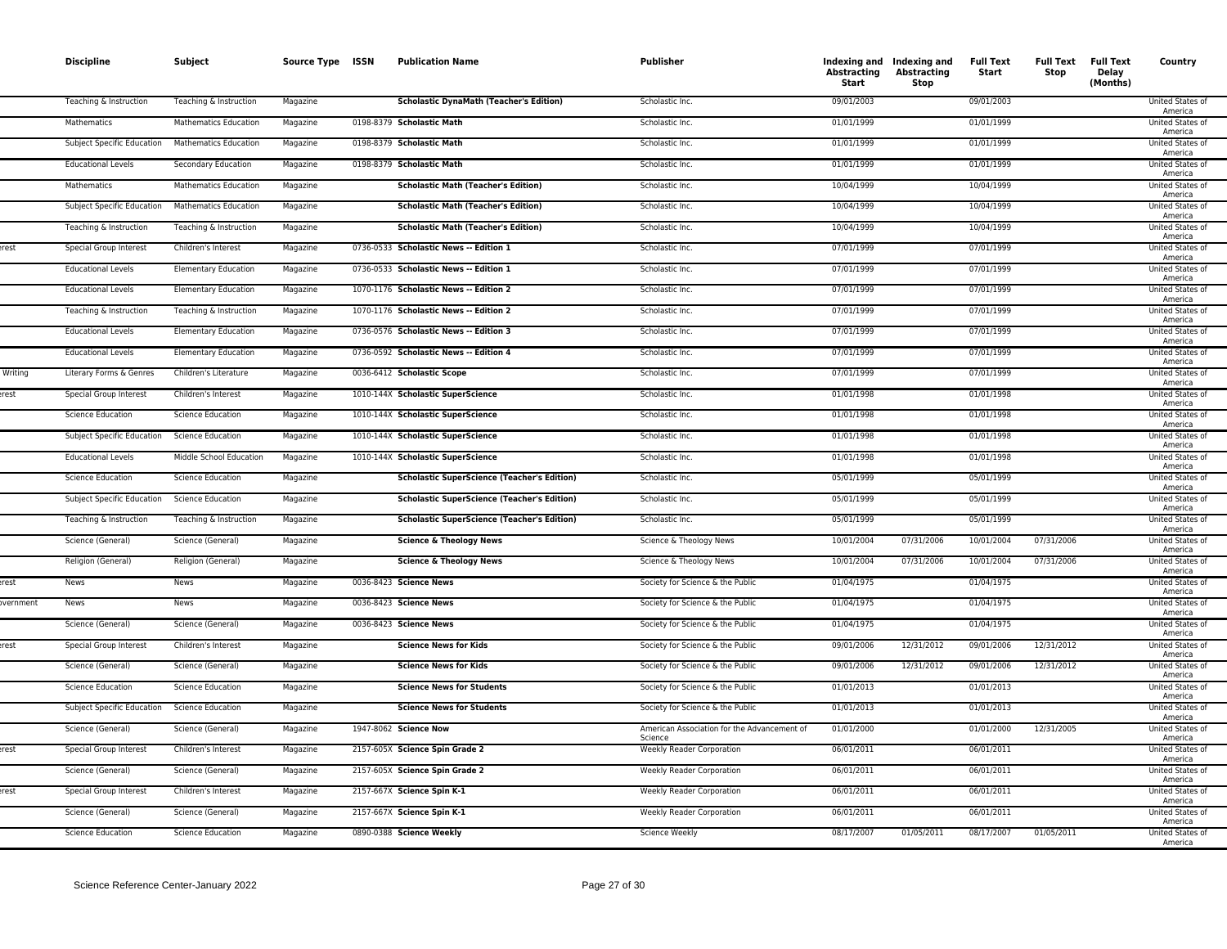|                 | <b>Discipline</b>                 | Subject                      | Source Type ISSN | <b>Publication Name</b>                            | <b>Publisher</b>                            | Abstracting<br>Start | Indexing and Indexing and<br><b>Abstracting</b><br>Stop | <b>Full Text</b><br>Start | <b>Full Text</b><br>Stop | <b>Full Text</b><br>Delay<br>(Months) | Country                            |
|-----------------|-----------------------------------|------------------------------|------------------|----------------------------------------------------|---------------------------------------------|----------------------|---------------------------------------------------------|---------------------------|--------------------------|---------------------------------------|------------------------------------|
|                 | Teaching & Instruction            | Teaching & Instruction       | Magazine         | <b>Scholastic DynaMath (Teacher's Edition)</b>     | Scholastic Inc.                             | 09/01/2003           |                                                         | 09/01/2003                |                          |                                       | United States of<br>America        |
|                 | Mathematics                       | <b>Mathematics Education</b> | Magazine         | 0198-8379 Scholastic Math                          | Scholastic Inc.                             | 01/01/1999           |                                                         | 01/01/1999                |                          |                                       | United States of<br>America        |
|                 | <b>Subject Specific Education</b> | <b>Mathematics Education</b> | Magazine         | 0198-8379 Scholastic Math                          | Scholastic Inc.                             | 01/01/1999           |                                                         | 01/01/1999                |                          |                                       | <b>United States of</b><br>America |
|                 | <b>Educational Levels</b>         | Secondary Education          | Magazine         | 0198-8379 Scholastic Math                          | Scholastic Inc.                             | 01/01/1999           |                                                         | 01/01/1999                |                          |                                       | United States of<br>America        |
|                 | Mathematics                       | <b>Mathematics Education</b> | Magazine         | <b>Scholastic Math (Teacher's Edition)</b>         | Scholastic Inc.                             | 10/04/1999           |                                                         | 10/04/1999                |                          |                                       | United States of<br>America        |
|                 | <b>Subject Specific Education</b> | <b>Mathematics Education</b> | Magazine         | <b>Scholastic Math (Teacher's Edition)</b>         | Scholastic Inc.                             | 10/04/1999           |                                                         | 10/04/1999                |                          |                                       | United States of<br>America        |
|                 | Teaching & Instruction            | Teaching & Instruction       | Magazine         | <b>Scholastic Math (Teacher's Edition)</b>         | Scholastic Inc.                             | 10/04/1999           |                                                         | 10/04/1999                |                          |                                       | <b>United States of</b><br>America |
| rest            | Special Group Interest            | Children's Interest          | Magazine         | 0736-0533 Scholastic News -- Edition 1             | Scholastic Inc.                             | 07/01/1999           |                                                         | 07/01/1999                |                          |                                       | United States of<br>America        |
|                 | <b>Educational Levels</b>         | <b>Elementary Education</b>  | Magazine         | 0736-0533 Scholastic News -- Edition 1             | Scholastic Inc.                             | 07/01/1999           |                                                         | 07/01/1999                |                          |                                       | United States of                   |
|                 | <b>Educational Levels</b>         | <b>Elementary Education</b>  | Magazine         | 1070-1176 Scholastic News -- Edition 2             | Scholastic Inc.                             | 07/01/1999           |                                                         | 07/01/1999                |                          |                                       | America<br>United States of        |
|                 | Teaching & Instruction            | Teaching & Instruction       | Magazine         | 1070-1176 Scholastic News -- Edition 2             | Scholastic Inc.                             | 07/01/1999           |                                                         | 07/01/1999                |                          |                                       | America<br>United States of        |
|                 | <b>Educational Levels</b>         | <b>Elementary Education</b>  | Magazine         | 0736-0576 Scholastic News -- Edition 3             | Scholastic Inc.                             | 07/01/1999           |                                                         | 07/01/1999                |                          |                                       | America<br>United States of        |
|                 | <b>Educational Levels</b>         | <b>Elementary Education</b>  | Magazine         | 0736-0592 Scholastic News -- Edition 4             | Scholastic Inc.                             | 07/01/1999           |                                                         | 07/01/1999                |                          |                                       | America<br>United States of        |
| Writing         | Literary Forms & Genres           | Children's Literature        | Magazine         | 0036-6412 Scholastic Scope                         | Scholastic Inc.                             | 07/01/1999           |                                                         | 07/01/1999                |                          |                                       | America<br>United States of        |
| rest            | Special Group Interest            | Children's Interest          | Magazine         | 1010-144X Scholastic SuperScience                  | Scholastic Inc.                             | 01/01/1998           |                                                         | 01/01/1998                |                          |                                       | America<br><b>United States of</b> |
|                 | <b>Science Education</b>          | <b>Science Education</b>     | Magazine         | 1010-144X Scholastic SuperScience                  | Scholastic Inc.                             | 01/01/1998           |                                                         | 01/01/1998                |                          |                                       | America<br><b>United States of</b> |
|                 | Subject Specific Education        | <b>Science Education</b>     | Magazine         | 1010-144X Scholastic SuperScience                  | Scholastic Inc.                             | 01/01/1998           |                                                         | 01/01/1998                |                          |                                       | America<br>United States of        |
|                 | <b>Educational Levels</b>         | Middle School Education      | Magazine         | 1010-144X Scholastic SuperScience                  | Scholastic Inc.                             | 01/01/1998           |                                                         | 01/01/1998                |                          |                                       | America<br>United States of        |
|                 | <b>Science Education</b>          | <b>Science Education</b>     | Magazine         | <b>Scholastic SuperScience (Teacher's Edition)</b> | Scholastic Inc.                             | 05/01/1999           |                                                         | 05/01/1999                |                          |                                       | America<br>United States of        |
|                 | Subject Specific Education        | <b>Science Education</b>     | Magazine         | <b>Scholastic SuperScience (Teacher's Edition)</b> | Scholastic Inc.                             | 05/01/1999           |                                                         | 05/01/1999                |                          |                                       | America<br>United States of        |
|                 | Teaching & Instruction            | Teaching & Instruction       | Magazine         | <b>Scholastic SuperScience (Teacher's Edition)</b> | Scholastic Inc.                             | 05/01/1999           |                                                         | 05/01/1999                |                          |                                       | America<br>United States of        |
|                 | Science (General)                 | Science (General)            | Magazine         | <b>Science &amp; Theology News</b>                 | Science & Theology News                     | 10/01/2004           | 07/31/2006                                              | 10/01/2004                | 07/31/2006               |                                       | America<br>United States of        |
|                 | Religion (General)                | Religion (General)           | Magazine         | <b>Science &amp; Theology News</b>                 | Science & Theology News                     | 10/01/2004           | 07/31/2006                                              | 10/01/2004                | 07/31/2006               |                                       | America<br>United States of        |
| est.            | News                              | News                         | Magazine         | 0036-8423 Science News                             | Society for Science & the Public            | 01/04/1975           |                                                         | 01/04/1975                |                          |                                       | America<br>United States of        |
| <b>vernment</b> | News                              | News                         | Magazine         | 0036-8423 Science News                             | Society for Science & the Public            | 01/04/1975           |                                                         | 01/04/1975                |                          |                                       | America<br>United States of        |
|                 | Science (General)                 | Science (General)            | Magazine         | 0036-8423 Science News                             | Society for Science & the Public            | 01/04/1975           |                                                         | 01/04/1975                |                          |                                       | America<br>United States of        |
| rest            | Special Group Interest            | Children's Interest          | Magazine         | <b>Science News for Kids</b>                       | Society for Science & the Public            | 09/01/2006           | 12/31/2012                                              | 09/01/2006                | 12/31/2012               |                                       | America<br>United States of        |
|                 | Science (General)                 | Science (General)            | Magazine         | <b>Science News for Kids</b>                       | Society for Science & the Public            | 09/01/2006           | 12/31/2012                                              | 09/01/2006                | 12/31/2012               |                                       | America<br>United States of        |
|                 | <b>Science Education</b>          | <b>Science Education</b>     | Magazine         | <b>Science News for Students</b>                   | Society for Science & the Public            | 01/01/2013           |                                                         | 01/01/2013                |                          |                                       | America<br>United States of        |
|                 | Subject Specific Education        | <b>Science Education</b>     | Magazine         | <b>Science News for Students</b>                   | Society for Science & the Public            | 01/01/2013           |                                                         | 01/01/2013                |                          |                                       | America<br>United States of        |
|                 | Science (General)                 | Science (General)            | Magazine         | 1947-8062 Science Now                              | American Association for the Advancement of | 01/01/2000           |                                                         | 01/01/2000                | 12/31/2005               |                                       | America<br>United States of        |
| rest            | Special Group Interest            | Children's Interest          | Magazine         | 2157-605X Science Spin Grade 2                     | Science<br><b>Weekly Reader Corporation</b> | 06/01/2011           |                                                         | 06/01/2011                |                          |                                       | America<br>United States of        |
|                 | Science (General)                 | Science (General)            | Magazine         | 2157-605X Science Spin Grade 2                     | <b>Weekly Reader Corporation</b>            | 06/01/2011           |                                                         | 06/01/2011                |                          |                                       | America<br><b>United States of</b> |
| rest            | Special Group Interest            | Children's Interest          | Magazine         | 2157-667X Science Spin K-1                         | <b>Weekly Reader Corporation</b>            | 06/01/2011           |                                                         | 06/01/2011                |                          |                                       | America<br>United States of        |
|                 | Science (General)                 | Science (General)            | Magazine         | 2157-667X Science Spin K-1                         | <b>Weekly Reader Corporation</b>            | 06/01/2011           |                                                         | 06/01/2011                |                          |                                       | America<br>United States of        |
|                 | <b>Science Education</b>          | <b>Science Education</b>     |                  | 0890-0388 Science Weekly                           | Science Weekly                              | 08/17/2007           | 01/05/2011                                              | 08/17/2007                | 01/05/2011               |                                       | America<br>United States of        |
|                 |                                   |                              | Magazine         |                                                    |                                             |                      |                                                         |                           |                          |                                       | America                            |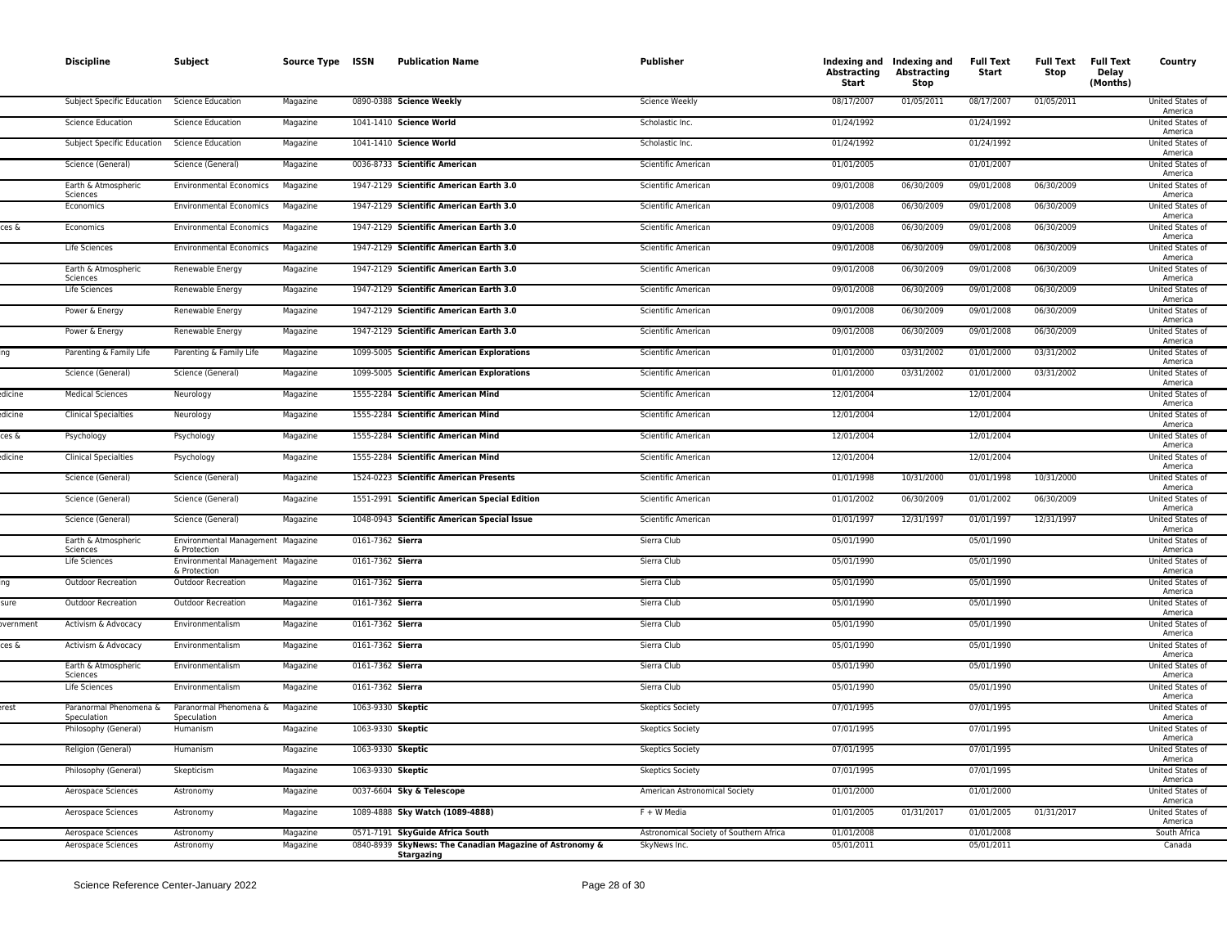|           | <b>Discipline</b>                     | Subject                                           | Source Type ISSN |                  | <b>Publication Name</b>                                                      | <b>Publisher</b>                        | Abstracting<br>Start | Indexing and Indexing and<br>Abstracting<br>Stop | <b>Full Text</b><br>Start | <b>Full Text</b><br>Stop | <b>Full Text</b><br>Delay<br>(Months) | Country                     |
|-----------|---------------------------------------|---------------------------------------------------|------------------|------------------|------------------------------------------------------------------------------|-----------------------------------------|----------------------|--------------------------------------------------|---------------------------|--------------------------|---------------------------------------|-----------------------------|
|           | Subject Specific Education            | <b>Science Education</b>                          | Magazine         |                  | 0890-0388 Science Weekly                                                     | Science Weekly                          | 08/17/2007           | 01/05/2011                                       | 08/17/2007                | 01/05/2011               |                                       | United States of<br>America |
|           | <b>Science Education</b>              | <b>Science Education</b>                          | Magazine         |                  | 1041-1410 Science World                                                      | Scholastic Inc.                         | 01/24/1992           |                                                  | 01/24/1992                |                          |                                       | United States of<br>America |
|           | Subject Specific Education            | Science Education                                 | Magazine         |                  | 1041-1410 Science World                                                      | Scholastic Inc.                         | 01/24/1992           |                                                  | 01/24/1992                |                          |                                       | United States of<br>America |
|           | Science (General)                     | Science (General)                                 | Magazine         |                  | 0036-8733 Scientific American                                                | Scientific American                     | 01/01/2005           |                                                  | 01/01/2007                |                          |                                       | United States of<br>America |
|           | Earth & Atmospheric<br>Sciences       | <b>Environmental Economics</b>                    | Magazine         |                  | 1947-2129 Scientific American Earth 3.0                                      | Scientific American                     | 09/01/2008           | 06/30/2009                                       | 09/01/2008                | 06/30/2009               |                                       | United States of<br>America |
|           | Economics                             | <b>Environmental Economics</b>                    | Magazine         |                  | 1947-2129 Scientific American Earth 3.0                                      | Scientific American                     | 09/01/2008           | 06/30/2009                                       | 09/01/2008                | 06/30/2009               |                                       | United States of<br>America |
| ces &     | Economics                             | <b>Environmental Economics</b>                    | Magazine         |                  | 1947-2129 Scientific American Earth 3.0                                      | Scientific American                     | 09/01/2008           | 06/30/2009                                       | 09/01/2008                | 06/30/2009               |                                       | United States of<br>America |
|           | Life Sciences                         | <b>Environmental Economics</b>                    | Magazine         |                  | 1947-2129 Scientific American Earth 3.0                                      | Scientific American                     | 09/01/2008           | 06/30/2009                                       | 09/01/2008                | 06/30/2009               |                                       | United States of<br>America |
|           | Earth & Atmospheric<br>Sciences       | Renewable Energy                                  | Magazine         |                  | 1947-2129 Scientific American Earth 3.0                                      | Scientific American                     | 09/01/2008           | 06/30/2009                                       | 09/01/2008                | 06/30/2009               |                                       | United States of<br>America |
|           | Life Sciences                         | Renewable Energy                                  | Magazine         |                  | 1947-2129 Scientific American Earth 3.0                                      | Scientific American                     | 09/01/2008           | 06/30/2009                                       | 09/01/2008                | 06/30/2009               |                                       | United States of<br>America |
|           | Power & Energy                        | Renewable Energy                                  | Magazine         |                  | 1947-2129 Scientific American Earth 3.0                                      | Scientific American                     | 09/01/2008           | 06/30/2009                                       | 09/01/2008                | 06/30/2009               |                                       | United States of<br>America |
|           | Power & Energy                        | Renewable Energy                                  | Magazine         |                  | 1947-2129 Scientific American Earth 3.0                                      | Scientific American                     | 09/01/2008           | 06/30/2009                                       | 09/01/2008                | 06/30/2009               |                                       | United States of<br>America |
|           | Parenting & Family Life               | Parenting & Family Life                           | Magazine         |                  | 1099-5005 Scientific American Explorations                                   | Scientific American                     | 01/01/2000           | 03/31/2002                                       | 01/01/2000                | 03/31/2002               |                                       | United States of<br>America |
|           | Science (General)                     | Science (General)                                 | Magazine         |                  | 1099-5005 Scientific American Explorations                                   | Scientific American                     | 01/01/2000           | 03/31/2002                                       | 01/01/2000                | 03/31/2002               |                                       | United States of<br>America |
| dicine    | <b>Medical Sciences</b>               | Neurology                                         | Magazine         |                  | 1555-2284 Scientific American Mind                                           | Scientific American                     | 12/01/2004           |                                                  | 12/01/2004                |                          |                                       | United States of<br>America |
| dicine    | <b>Clinical Specialties</b>           | Neurology                                         | Magazine         |                  | 1555-2284 Scientific American Mind                                           | Scientific American                     | 12/01/2004           |                                                  | 12/01/2004                |                          |                                       | United States of<br>America |
| ces &     | Psychology                            | Psychology                                        | Magazine         |                  | 1555-2284 Scientific American Mind                                           | Scientific American                     | 12/01/2004           |                                                  | 12/01/2004                |                          |                                       | United States of<br>America |
| dicine    | <b>Clinical Specialties</b>           | Psychology                                        | Magazine         |                  | 1555-2284 Scientific American Mind                                           | Scientific American                     | 12/01/2004           |                                                  | 12/01/2004                |                          |                                       | United States of<br>America |
|           | Science (General)                     | Science (General)                                 | Magazine         |                  | 1524-0223 Scientific American Presents                                       | Scientific American                     | 01/01/1998           | 10/31/2000                                       | 01/01/1998                | 10/31/2000               |                                       | United States of<br>America |
|           | Science (General)                     | Science (General)                                 | Magazine         |                  | 1551-2991 Scientific American Special Edition                                | Scientific American                     | 01/01/2002           | 06/30/2009                                       | 01/01/2002                | 06/30/2009               |                                       | United States of<br>America |
|           | Science (General)                     | Science (General)                                 | Magazine         |                  | 1048-0943 Scientific American Special Issue                                  | Scientific American                     | 01/01/1997           | 12/31/1997                                       | 01/01/1997                | 12/31/1997               |                                       | United States of<br>America |
|           | Earth & Atmospheric<br>Sciences       | Environmental Management Magazine<br>& Protection |                  | 0161-7362 Sierra |                                                                              | Sierra Club                             | 05/01/1990           |                                                  | 05/01/1990                |                          |                                       | United States of<br>America |
|           | Life Sciences                         | Environmental Management Magazine<br>& Protection |                  | 0161-7362 Sierra |                                                                              | Sierra Club                             | 05/01/1990           |                                                  | 05/01/1990                |                          |                                       | United States of<br>America |
|           | Outdoor Recreation                    | Outdoor Recreation                                | Magazine         | 0161-7362 Sierra |                                                                              | Sierra Club                             | 05/01/1990           |                                                  | 05/01/1990                |                          |                                       | United States of<br>America |
| sure      | Outdoor Recreation                    | <b>Outdoor Recreation</b>                         | Magazine         | 0161-7362 Sierra |                                                                              | Sierra Club                             | 05/01/1990           |                                                  | 05/01/1990                |                          |                                       | United States of<br>America |
| overnment | Activism & Advocacy                   | Environmentalism                                  | Magazine         | 0161-7362 Sierra |                                                                              | Sierra Club                             | 05/01/1990           |                                                  | 05/01/1990                |                          |                                       | United States of<br>America |
| ces &     | Activism & Advocacy                   | Environmentalism                                  | Magazine         | 0161-7362 Sierra |                                                                              | Sierra Club                             | 05/01/1990           |                                                  | 05/01/1990                |                          |                                       | United States of<br>America |
|           | Earth & Atmospheric<br>Sciences       | Environmentalism                                  | Magazine         | 0161-7362 Sierra |                                                                              | Sierra Club                             | 05/01/1990           |                                                  | 05/01/1990                |                          |                                       | United States of<br>America |
|           | Life Sciences                         | Environmentalism                                  | Magazine         | 0161-7362 Sierra |                                                                              | Sierra Club                             | 05/01/1990           |                                                  | 05/01/1990                |                          |                                       | United States of<br>America |
| erest     | Paranormal Phenomena &<br>Speculation | Paranormal Phenomena &<br>Speculation             | Magazine         |                  | 1063-9330 Skeptic                                                            | <b>Skeptics Society</b>                 | 07/01/1995           |                                                  | 07/01/1995                |                          |                                       | United States of<br>America |
|           | Philosophy (General)                  | Humanism                                          | Magazine         |                  | 1063-9330 Skeptic                                                            | <b>Skeptics Society</b>                 | 07/01/1995           |                                                  | 07/01/1995                |                          |                                       | United States of<br>America |
|           | Religion (General)                    | Humanism                                          | Magazine         |                  | 1063-9330 Skeptic                                                            | <b>Skeptics Society</b>                 | 07/01/1995           |                                                  | 07/01/1995                |                          |                                       | United States of<br>America |
|           | Philosophy (General)                  | Skepticism                                        | Magazine         |                  | 1063-9330 Skeptic                                                            | <b>Skeptics Society</b>                 | 07/01/1995           |                                                  | 07/01/1995                |                          |                                       | United States of<br>America |
|           | Aerospace Sciences                    | Astronomy                                         | Magazine         |                  | 0037-6604 Sky & Telescope                                                    | American Astronomical Society           | 01/01/2000           |                                                  | 01/01/2000                |                          |                                       | United States of<br>America |
|           | Aerospace Sciences                    | Astronomy                                         | Magazine         |                  | 1089-4888 Sky Watch (1089-4888)                                              | F + W Media                             | 01/01/2005           | 01/31/2017                                       | 01/01/2005                | 01/31/2017               |                                       | United States of<br>America |
|           | Aerospace Sciences                    | Astronomy                                         | Magazine         |                  | 0571-7191 SkyGuide Africa South                                              | Astronomical Society of Southern Africa | 01/01/2008           |                                                  | 01/01/2008                |                          |                                       | South Africa                |
|           | Aerospace Sciences                    | Astronomy                                         | Magazine         |                  | 0840-8939 SkyNews: The Canadian Magazine of Astronomy &<br><b>Stargazing</b> | SkyNews Inc.                            | 05/01/2011           |                                                  | 05/01/2011                |                          |                                       | Canada                      |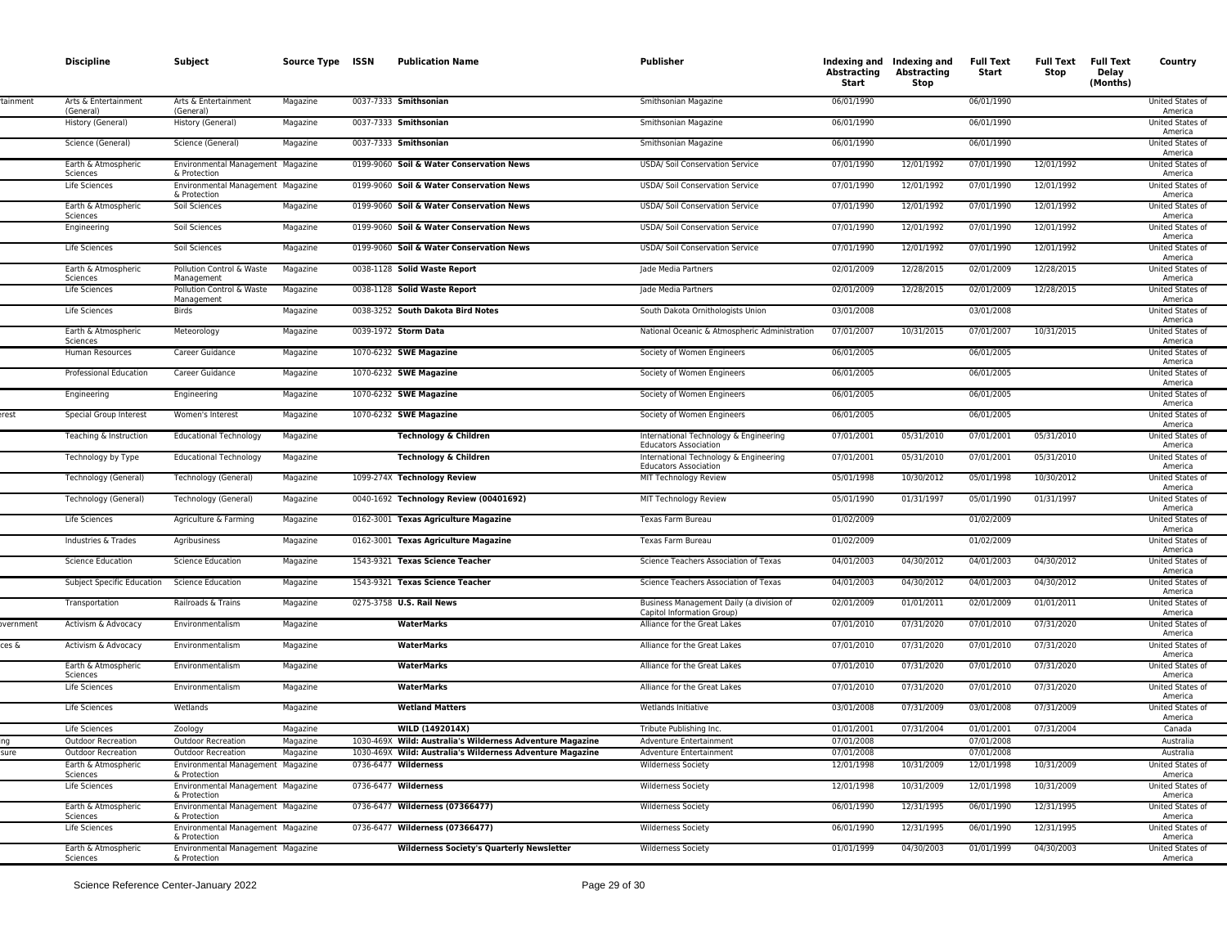|           | <b>Discipline</b>                                | Subject                                           | Source Type ISSN     | <b>Publication Name</b>                                                              | Publisher                                                              | Abstracting<br>Start     | Indexing and Indexing and<br><b>Abstracting</b><br>Stop | <b>Full Text</b><br>Start | <b>Full Text</b><br>Stop | <b>Full Text</b><br>Delay<br>(Months) | Country                                         |
|-----------|--------------------------------------------------|---------------------------------------------------|----------------------|--------------------------------------------------------------------------------------|------------------------------------------------------------------------|--------------------------|---------------------------------------------------------|---------------------------|--------------------------|---------------------------------------|-------------------------------------------------|
| tainment  | Arts & Entertainment<br>(General)                | Arts & Entertainment<br>(General)                 | Magazine             | 0037-7333 Smithsonian                                                                | Smithsonian Magazine                                                   | 06/01/1990               |                                                         | 06/01/1990                |                          |                                       | United States of<br>America                     |
|           | History (General)                                | History (General)                                 | Magazine             | 0037-7333 Smithsonian                                                                | Smithsonian Magazine                                                   | 06/01/1990               |                                                         | 06/01/1990                |                          |                                       | United States of<br>America                     |
|           | Science (General)                                | Science (General)                                 | Magazine             | 0037-7333 Smithsonian                                                                | Smithsonian Magazine                                                   | 06/01/1990               |                                                         | 06/01/1990                |                          |                                       | United States of<br>America                     |
|           | Earth & Atmospheric<br>Sciences                  | Environmental Management Magazine<br>& Protection |                      | 0199-9060 Soil & Water Conservation News                                             | USDA/ Soil Conservation Service                                        | 07/01/1990               | 12/01/1992                                              | 07/01/1990                | 12/01/1992               |                                       | United States of<br>America                     |
|           | Life Sciences                                    | Environmental Management Magazine<br>& Protection |                      | 0199-9060 Soil & Water Conservation News                                             | <b>USDA/ Soil Conservation Service</b>                                 | 07/01/1990               | 12/01/1992                                              | 07/01/1990                | 12/01/1992               |                                       | United States of<br>America                     |
|           | Earth & Atmospheric<br>Sciences                  | Soil Sciences                                     | Magazine             | 0199-9060 Soil & Water Conservation News                                             | <b>USDA/ Soil Conservation Service</b>                                 | 07/01/1990               | 12/01/1992                                              | 07/01/1990                | 12/01/1992               |                                       | United States of<br>America                     |
|           | Engineering<br>Life Sciences                     | Soil Sciences<br>Soil Sciences                    | Magazine             | 0199-9060 Soil & Water Conservation News<br>0199-9060 Soil & Water Conservation News | USDA/ Soil Conservation Service<br>USDA/ Soil Conservation Service     | 07/01/1990<br>07/01/1990 | 12/01/1992<br>12/01/1992                                | 07/01/1990<br>07/01/1990  | 12/01/1992<br>12/01/1992 |                                       | United States of<br>America<br>United States of |
|           | Earth & Atmospheric                              | Pollution Control & Waste                         | Magazine<br>Magazine | 0038-1128 Solid Waste Report                                                         | Jade Media Partners                                                    | 02/01/2009               | 12/28/2015                                              | 02/01/2009                | 12/28/2015               |                                       | America<br>United States of                     |
|           | Sciences<br>Life Sciences                        | Management<br>Pollution Control & Waste           | Magazine             | 0038-1128 Solid Waste Report                                                         | Jade Media Partners                                                    | 02/01/2009               | 12/28/2015                                              | 02/01/2009                | 12/28/2015               |                                       | America<br>United States of                     |
|           | Life Sciences                                    | Management<br><b>Birds</b>                        | Magazine             | 0038-3252 South Dakota Bird Notes                                                    | South Dakota Ornithologists Union                                      | 03/01/2008               |                                                         | 03/01/2008                |                          |                                       | America<br>United States of                     |
|           | Earth & Atmospheric                              | Meteorology                                       | Magazine             | 0039-1972 Storm Data                                                                 | National Oceanic & Atmospheric Administration                          | 07/01/2007               | 10/31/2015                                              | 07/01/2007                | 10/31/2015               |                                       | America<br>United States of                     |
|           | Sciences<br>Human Resources                      | Career Guidance                                   | Magazine             | 1070-6232 SWE Magazine                                                               | Society of Women Engineers                                             | 06/01/2005               |                                                         | 06/01/2005                |                          |                                       | America<br>United States of                     |
|           | Professional Education                           | Career Guidance                                   | Magazine             | 1070-6232 SWE Magazine                                                               | Society of Women Engineers                                             | 06/01/2005               |                                                         | 06/01/2005                |                          |                                       | America<br>United States of                     |
|           | Engineering                                      | Engineering                                       | Magazine             | 1070-6232 SWE Magazine                                                               | Society of Women Engineers                                             | 06/01/2005               |                                                         | 06/01/2005                |                          |                                       | America<br>United States of                     |
| erest     | Special Group Interest                           | Women's Interest                                  | Magazine             | 1070-6232 SWE Magazine                                                               | Society of Women Engineers                                             | 06/01/2005               |                                                         | 06/01/2005                |                          |                                       | America<br>United States of                     |
|           | Teaching & Instruction                           | <b>Educational Technology</b>                     | Magazine             | Technology & Children                                                                | International Technology & Engineering<br><b>Educators Association</b> | 07/01/2001               | 05/31/2010                                              | 07/01/2001                | 05/31/2010               |                                       | America<br>United States of<br>America          |
|           | Technology by Type                               | <b>Educational Technology</b>                     | Magazine             | Technology & Children                                                                | International Technology & Engineering<br><b>Educators Association</b> | 07/01/2001               | 05/31/2010                                              | 07/01/2001                | 05/31/2010               |                                       | United States of<br>America                     |
|           | Technology (General)                             | Technology (General)                              | Magazine             | 1099-274X Technology Review                                                          | MIT Technology Review                                                  | 05/01/1998               | 10/30/2012                                              | 05/01/1998                | 10/30/2012               |                                       | United States of<br>America                     |
|           | Technology (General)                             | Technology (General)                              | Magazine             | 0040-1692 Technology Review (00401692)                                               | MIT Technology Review                                                  | 05/01/1990               | 01/31/1997                                              | 05/01/1990                | 01/31/1997               |                                       | United States of<br>America                     |
|           | Life Sciences                                    | Agriculture & Farming                             | Magazine             | 0162-3001 Texas Agriculture Magazine                                                 | Texas Farm Bureau                                                      | 01/02/2009               |                                                         | 01/02/2009                |                          |                                       | United States of<br>America                     |
|           | Industries & Trades                              | Agribusiness                                      | Magazine             | 0162-3001 Texas Agriculture Magazine                                                 | Texas Farm Bureau                                                      | 01/02/2009               |                                                         | 01/02/2009                |                          |                                       | United States of<br>America                     |
|           | <b>Science Education</b>                         | <b>Science Education</b>                          | Magazine             | 1543-9321 Texas Science Teacher                                                      | Science Teachers Association of Texas                                  | 04/01/2003               | 04/30/2012                                              | 04/01/2003                | 04/30/2012               |                                       | United States of<br>America                     |
|           | Subject Specific Education                       | <b>Science Education</b>                          | Magazine             | 1543-9321 Texas Science Teacher                                                      | Science Teachers Association of Texas                                  | 04/01/2003               | 04/30/2012                                              | 04/01/2003                | 04/30/2012               |                                       | United States of<br>America                     |
|           | Transportation                                   | Railroads & Trains                                | Magazine             | 0275-3758 U.S. Rail News                                                             | Business Management Daily (a division of<br>Capitol Information Group) | 02/01/2009               | 01/01/2011                                              | 02/01/2009                | 01/01/2011               |                                       | United States of<br>America                     |
| overnment | Activism & Advocacy                              | Environmentalism                                  | Magazine             | WaterMarks                                                                           | Alliance for the Great Lakes                                           | 07/01/2010               | 07/31/2020                                              | 07/01/2010                | 07/31/2020               |                                       | United States of<br>America                     |
| ces &     | Activism & Advocacy                              | Environmentalism                                  | Magazine             | WaterMarks                                                                           | Alliance for the Great Lakes                                           | 07/01/2010               | 07/31/2020                                              | 07/01/2010                | 07/31/2020               |                                       | United States of<br>America                     |
|           | Earth & Atmospheric<br>Sciences<br>Life Sciences | Environmentalism<br>Environmentalism              | Magazine             | WaterMarks<br>WaterMarks                                                             | Alliance for the Great Lakes<br>Alliance for the Great Lakes           | 07/01/2010<br>07/01/2010 | 07/31/2020<br>07/31/2020                                | 07/01/2010<br>07/01/2010  | 07/31/2020<br>07/31/2020 |                                       | United States of<br>America<br>United States of |
|           | Life Sciences                                    | Wetlands                                          | Magazine<br>Magazine | <b>Wetland Matters</b>                                                               | Wetlands Initiative                                                    | 03/01/2008               | 07/31/2009                                              | 03/01/2008                | 07/31/2009               |                                       | America<br>United States of                     |
|           | Life Sciences                                    | Zoology                                           | Magazine             | WILD (1492014X)                                                                      | Tribute Publishing Inc.                                                | 01/01/2001               | 07/31/2004                                              | 01/01/2001                | 07/31/2004               |                                       | America<br>Canada                               |
|           | <b>Outdoor Recreation</b>                        | <b>Outdoor Recreation</b>                         | Magazine             | 1030-469X Wild: Australia's Wilderness Adventure Magazine                            | <b>Adventure Entertainment</b>                                         | 07/01/2008               |                                                         | 07/01/2008                |                          |                                       | Australia                                       |
| sure      | <b>Outdoor Recreation</b>                        | <b>Outdoor Recreation</b>                         | Magazine             | 1030-469X Wild: Australia's Wilderness Adventure Magazine                            | Adventure Entertainment                                                | 07/01/2008               |                                                         | 07/01/2008                |                          |                                       | Australia                                       |
|           | Earth & Atmospheric<br>Sciences                  | Environmental Management Magazine<br>& Protection |                      | 0736-6477 Wilderness                                                                 | <b>Wilderness Society</b>                                              | 12/01/1998               | 10/31/2009                                              | 12/01/1998                | 10/31/2009               |                                       | United States of<br>America                     |
|           | Life Sciences                                    | Environmental Management Magazine<br>& Protection |                      | 0736-6477 Wilderness                                                                 | <b>Wilderness Society</b>                                              | 12/01/1998               | 10/31/2009                                              | 12/01/1998                | 10/31/2009               |                                       | United States of<br>America                     |
|           | Earth & Atmospheric<br>Sciences                  | Environmental Management Magazine<br>& Protection |                      | 0736-6477 Wilderness (07366477)                                                      | <b>Wilderness Society</b>                                              | 06/01/1990               | 12/31/1995                                              | 06/01/1990                | 12/31/1995               |                                       | United States of<br>America                     |
|           | Life Sciences                                    | Environmental Management Magazine<br>& Protection |                      | 0736-6477 Wilderness (07366477)                                                      | <b>Wilderness Society</b>                                              | 06/01/1990               | 12/31/1995                                              | 06/01/1990                | 12/31/1995               |                                       | United States of<br>America                     |
|           | Earth & Atmospheric<br>Sciences                  | Environmental Management Magazine<br>& Protection |                      | <b>Wilderness Society's Quarterly Newsletter</b>                                     | <b>Wilderness Society</b>                                              | 01/01/1999               | 04/30/2003                                              | 01/01/1999                | 04/30/2003               |                                       | United States of<br>America                     |